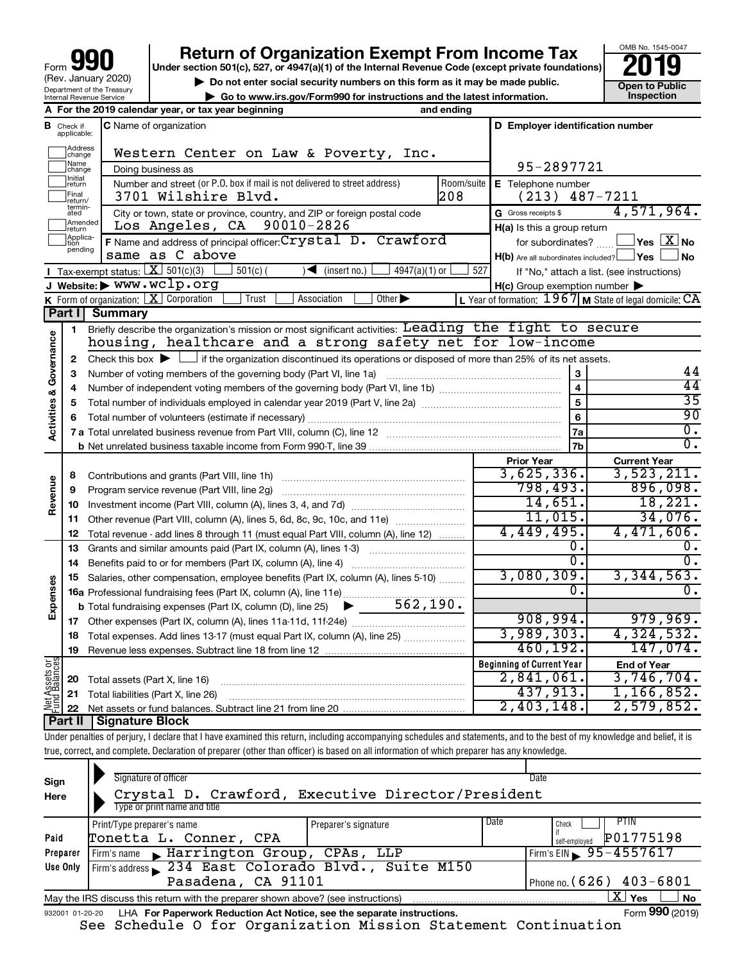# **your Beart of Organization Exempt From Income Tax Properties and Solution Solutions Properties and Solutions Properties and Solutions Properties and Solutions Properties and Solutions Properties and Solutions**

OMB No. 1545-0047 **Open to Public<br>Inspection** 

| $\triangleright$ Do not enter social security numbers on this form as it may be made public. | Open to Publ |
|----------------------------------------------------------------------------------------------|--------------|
| $\blacktriangleright$ Go to www.irs.gov/Form990 for instructions and the latest information. | Inspection   |

|                         |                             | A For the 2019 calendar year, or tax year beginning                                                                                         | and ending                       |                                                     |                                                             |
|-------------------------|-----------------------------|---------------------------------------------------------------------------------------------------------------------------------------------|----------------------------------|-----------------------------------------------------|-------------------------------------------------------------|
| в                       | Check if<br>applicable:     | <b>C</b> Name of organization                                                                                                               | D Employer identification number |                                                     |                                                             |
|                         | Address<br>change           | Western Center on Law & Poverty, Inc.                                                                                                       |                                  |                                                     |                                                             |
|                         | Name<br> change             | Doing business as                                                                                                                           | 95-2897721                       |                                                     |                                                             |
|                         | Initial<br> return          | Number and street (or P.O. box if mail is not delivered to street address)                                                                  | Room/suite                       | E Telephone number                                  |                                                             |
|                         | Final<br>return/            | 3701 Wilshire Blvd.                                                                                                                         | 208                              | (213)                                               | 487-7211                                                    |
|                         | termin-<br>ated             | City or town, state or province, country, and ZIP or foreign postal code                                                                    |                                  | G Gross receipts \$                                 | 4,571,964.                                                  |
|                         | Amended<br>Ireturn          | Los Angeles, CA 90010-2826                                                                                                                  |                                  | H(a) Is this a group return                         |                                                             |
|                         | Applica-<br>tion<br>pending | F Name and address of principal officer: Crystal D. Crawford                                                                                |                                  | for subordinates?                                   | $\sqrt{}$ Yes $\sqrt{}$ X $\sqrt{}$ No                      |
|                         |                             | same as C above                                                                                                                             |                                  | $H(b)$ Are all subordinates included? $\Box$ Yes    | ∫No                                                         |
|                         |                             | Tax-exempt status: $X \over 301(c)(3)$<br>$501(c)$ (<br>$\sqrt{\frac{1}{1}}$ (insert no.)<br>$4947(a)(1)$ or                                | 527                              |                                                     | If "No," attach a list. (see instructions)                  |
|                         |                             | J Website: WWW.WClp.org                                                                                                                     |                                  | $H(c)$ Group exemption number $\blacktriangleright$ |                                                             |
|                         |                             | K Form of organization: $X$ Corporation<br>Trust<br>Association<br>Other $\blacktriangleright$                                              |                                  |                                                     | L Year of formation: $1967$ M State of legal domicile: $CA$ |
|                         | Part I I                    | Summary                                                                                                                                     |                                  |                                                     |                                                             |
|                         | 1.                          | Briefly describe the organization's mission or most significant activities: Leading the fight to secure                                     |                                  |                                                     |                                                             |
| Governance              |                             | housing, healthcare and a strong safety net for low-income                                                                                  |                                  |                                                     |                                                             |
|                         | 2                           | Check this box $\blacktriangleright$ $\Box$ if the organization discontinued its operations or disposed of more than 25% of its net assets. |                                  |                                                     | 44                                                          |
|                         | 3                           | Number of voting members of the governing body (Part VI, line 1a)                                                                           |                                  | 3                                                   | 44                                                          |
|                         | 4                           |                                                                                                                                             | $\overline{\mathbf{4}}$<br>5     | $\overline{35}$                                     |                                                             |
|                         | 5                           |                                                                                                                                             | 6                                | 90                                                  |                                                             |
| <b>Activities &amp;</b> | 6                           |                                                                                                                                             |                                  | 7a                                                  | $\overline{0}$ .                                            |
|                         |                             |                                                                                                                                             |                                  | 7b                                                  | $\overline{0}$ .                                            |
|                         |                             |                                                                                                                                             |                                  | <b>Prior Year</b>                                   | <b>Current Year</b>                                         |
|                         | 8                           |                                                                                                                                             |                                  | 3,625,336.                                          | 3,523,211.                                                  |
|                         | 9                           | Program service revenue (Part VIII, line 2g)                                                                                                |                                  | 798,493.                                            | 896,098.                                                    |
| Revenue                 |                             |                                                                                                                                             |                                  | 14,651.                                             | 18,221.                                                     |
|                         | 11                          | Other revenue (Part VIII, column (A), lines 5, 6d, 8c, 9c, 10c, and 11e)                                                                    |                                  | 11,015.                                             | 34,076.                                                     |
|                         | 12                          | Total revenue - add lines 8 through 11 (must equal Part VIII, column (A), line 12)                                                          |                                  | 4,449,495.                                          | 4,471,606.                                                  |
|                         | 13                          | Grants and similar amounts paid (Part IX, column (A), lines 1-3)                                                                            |                                  | 0.                                                  | 0.                                                          |
|                         | 14                          | Benefits paid to or for members (Part IX, column (A), line 4)                                                                               |                                  | $\overline{0}$ .                                    | $\overline{0}$ .                                            |
|                         |                             | 15 Salaries, other compensation, employee benefits (Part IX, column (A), lines 5-10)                                                        |                                  | 3,080,309.                                          | 3,344,563.                                                  |
| Expenses                |                             | 16a Professional fundraising fees (Part IX, column (A), line 11e)                                                                           |                                  | 0.                                                  | 0.                                                          |
|                         |                             | 562, 190.<br><b>b</b> Total fundraising expenses (Part IX, column (D), line 25)                                                             |                                  |                                                     |                                                             |
|                         |                             |                                                                                                                                             |                                  | 908,994.                                            | 979,969.                                                    |
|                         | 18                          | Total expenses. Add lines 13-17 (must equal Part IX, column (A), line 25) <i></i>                                                           |                                  | 3,989,303.                                          | 4,324,532.                                                  |
|                         | 19                          |                                                                                                                                             |                                  | 460, 192.                                           | 147,074.                                                    |
| t Assets or             |                             |                                                                                                                                             |                                  | <b>Beginning of Current Year</b>                    | <b>End of Year</b>                                          |
|                         | 20                          | Total assets (Part X, line 16)                                                                                                              |                                  | 2,841,061.                                          | 3,746,704.                                                  |
| 윷                       |                             | 21 Total liabilities (Part X, line 26)                                                                                                      |                                  | 437,913.                                            | 1, 166, 852.                                                |
|                         |                             | <u>+ II   Cianoturo Plook.</u>                                                                                                              |                                  | 2,403,148.                                          | 2,579,852.                                                  |

**Part II Signature Block**

Under penalties of perjury, I declare that I have examined this return, including accompanying schedules and statements, and to the best of my knowledge and belief, it is true, correct, and complete. Declaration of preparer (other than officer) is based on all information of which preparer has any knowledge.

| Sign<br>Here    | Signature of officer<br>Crystal D. Crawford, Executive Director/President<br>Type or print name and title     | Date                           |  |  |  |  |  |  |
|-----------------|---------------------------------------------------------------------------------------------------------------|--------------------------------|--|--|--|--|--|--|
|                 | Preparer's signature<br>Print/Type preparer's name                                                            | Date<br><b>PTIN</b><br>Check   |  |  |  |  |  |  |
| Paid            | Tonetta L. Conner, CPA                                                                                        | P01775198<br>self-emploved     |  |  |  |  |  |  |
| Preparer        | Firm's name Marrington Group, CPAs, LLP                                                                       | Firm's EIN $\sqrt{95-4557617}$ |  |  |  |  |  |  |
| Use Only        | Firm's address 234 East Colorado Blvd., Suite M150                                                            |                                |  |  |  |  |  |  |
|                 | Pasadena, CA 91101                                                                                            | Phone no. (626) $403 - 6801$   |  |  |  |  |  |  |
|                 | ΧI<br>l Yes<br><b>No</b><br>May the IRS discuss this return with the preparer shown above? (see instructions) |                                |  |  |  |  |  |  |
| 932001 01-20-20 | LHA For Paperwork Reduction Act Notice, see the separate instructions.                                        | Form 990 (2019)                |  |  |  |  |  |  |

See Schedule O for Organization Mission Statement Continuation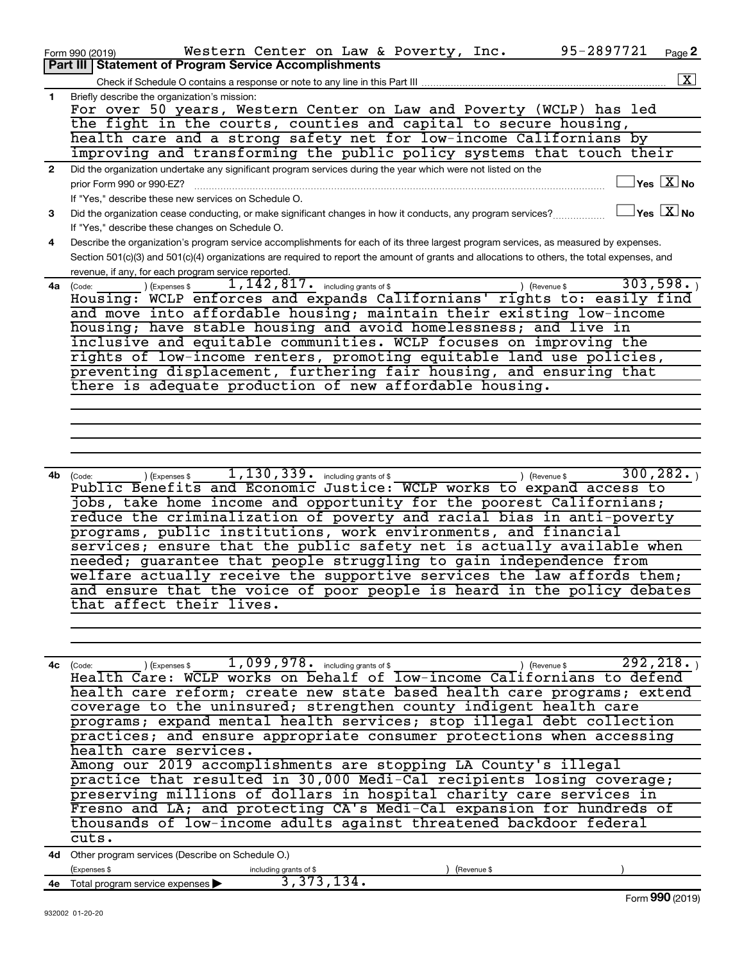|                | 95-2897721<br>Western Center on Law & Poverty, Inc.<br>Page 2<br>Form 990 (2019)                                                                                                                     |
|----------------|------------------------------------------------------------------------------------------------------------------------------------------------------------------------------------------------------|
|                | Part III Statement of Program Service Accomplishments                                                                                                                                                |
|                | $\boxed{\textbf{X}}$                                                                                                                                                                                 |
| 1.             | Briefly describe the organization's mission:                                                                                                                                                         |
|                | For over 50 years, Western Center on Law and Poverty (WCLP) has led                                                                                                                                  |
|                | the fight in the courts, counties and capital to secure housing,                                                                                                                                     |
|                | health care and a strong safety net for low-income Californians by                                                                                                                                   |
|                | improving and transforming the public policy systems that touch their                                                                                                                                |
| $\overline{2}$ | Did the organization undertake any significant program services during the year which were not listed on the                                                                                         |
|                | $\overline{\ }$ Yes $\overline{\rm{X}}$ No<br>prior Form 990 or 990-EZ?                                                                                                                              |
|                |                                                                                                                                                                                                      |
|                | If "Yes," describe these new services on Schedule O.<br>$\sqrt{\ }$ Yes $\sqrt{\ \text{X}}$ No                                                                                                       |
| 3              | Did the organization cease conducting, or make significant changes in how it conducts, any program services?                                                                                         |
|                | If "Yes," describe these changes on Schedule O.                                                                                                                                                      |
| 4              | Describe the organization's program service accomplishments for each of its three largest program services, as measured by expenses.                                                                 |
|                | Section 501(c)(3) and 501(c)(4) organizations are required to report the amount of grants and allocations to others, the total expenses, and                                                         |
|                | revenue, if any, for each program service reported.                                                                                                                                                  |
| 4a             | $1,142,817$ $\cdot$ including grants of \$<br>303,598.<br>(Expenses \$<br>(Code:<br>) (Revenue \$                                                                                                    |
|                | Housing: WCLP enforces and expands Californians' rights to: easily find                                                                                                                              |
|                | and move into affordable housing; maintain their existing low-income                                                                                                                                 |
|                | housing; have stable housing and avoid homelessness; and live in                                                                                                                                     |
|                | inclusive and equitable communities. WCLP focuses on improving the                                                                                                                                   |
|                | rights of low-income renters, promoting equitable land use policies,                                                                                                                                 |
|                | preventing displacement, furthering fair housing, and ensuring that                                                                                                                                  |
|                | there is adequate production of new affordable housing.                                                                                                                                              |
|                |                                                                                                                                                                                                      |
|                |                                                                                                                                                                                                      |
|                |                                                                                                                                                                                                      |
|                |                                                                                                                                                                                                      |
|                |                                                                                                                                                                                                      |
| 4b             | 1, 130, 339. including grants of \$<br>300, 282.<br>) (Expenses \$<br>) (Revenue \$<br>(Code:                                                                                                        |
|                | Public Benefits and Economic Justice: WCLP works to expand access to                                                                                                                                 |
|                | jobs, take home income and opportunity for the poorest Californians;                                                                                                                                 |
|                | reduce the criminalization of poverty and racial bias in anti-poverty                                                                                                                                |
|                | programs, public institutions, work environments, and financial                                                                                                                                      |
|                | services; ensure that the public safety net is actually available when                                                                                                                               |
|                | needed; guarantee that people struggling to gain independence from                                                                                                                                   |
|                | welfare actually receive the supportive services the law affords them;                                                                                                                               |
|                | and ensure that the voice of poor people is heard in the policy debates                                                                                                                              |
|                | that affect their lives.                                                                                                                                                                             |
|                |                                                                                                                                                                                                      |
|                |                                                                                                                                                                                                      |
|                |                                                                                                                                                                                                      |
|                | 292, 218.                                                                                                                                                                                            |
|                | $\frac{(\text{Code:})}{(\text{Code:})}$ / (Expenses \$ 1,099,978. including grants of \$ ) (Revenue \$ 292,218. Itealth Care: WCLP works on behalf of low-income Californians to defend<br>4c (Code: |
|                | health care reform; create new state based health care programs; extend                                                                                                                              |
|                |                                                                                                                                                                                                      |
|                | coverage to the uninsured; strengthen county indigent health care                                                                                                                                    |
|                | programs; expand mental health services; stop illegal debt collection                                                                                                                                |
|                | practices; and ensure appropriate consumer protections when accessing                                                                                                                                |
|                | health care services.                                                                                                                                                                                |
|                | Among our 2019 accomplishments are stopping LA County's illegal                                                                                                                                      |
|                | practice that resulted in 30,000 Medi-Cal recipients losing coverage;                                                                                                                                |
|                | preserving millions of dollars in hospital charity care services in                                                                                                                                  |

Fresno and LA; and protecting CA's Medi-Cal expansion for hundreds of thousands of low-income adults against threatened backdoor federal cuts.

**4d** Other program services (Describe on Schedule O.)

|    | (Expenses \$                                         | including grants of \$ | (Revenue \$ |                    |
|----|------------------------------------------------------|------------------------|-------------|--------------------|
| 4е | Total program service expenses $\blacktriangleright$ |                        |             |                    |
|    |                                                      |                        |             | (2019)<br>Form YYU |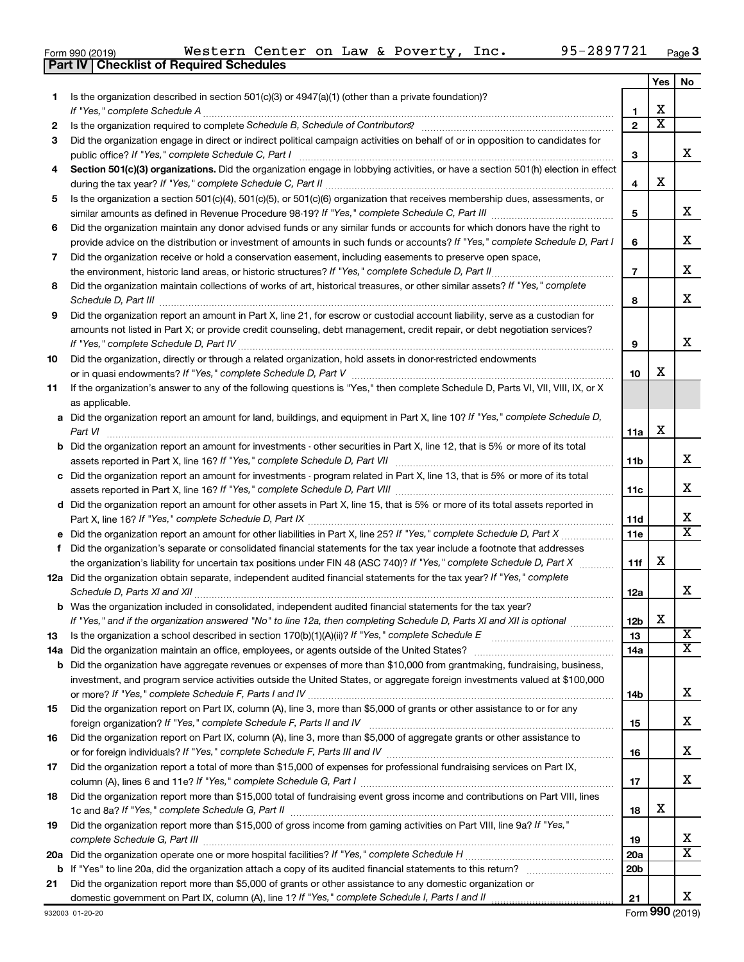|  | Form 990 (2019) |  |
|--|-----------------|--|
|  |                 |  |

**Part IV Checklist of Required Schedules**

|    |                                                                                                                                                                                                                                             |                 | Yes | No                      |
|----|---------------------------------------------------------------------------------------------------------------------------------------------------------------------------------------------------------------------------------------------|-----------------|-----|-------------------------|
| 1. | Is the organization described in section 501(c)(3) or 4947(a)(1) (other than a private foundation)?<br>If "Yes," complete Schedule A                                                                                                        | 1               | х   |                         |
| 2  |                                                                                                                                                                                                                                             | $\mathbf{2}$    | X   |                         |
| 3  | Did the organization engage in direct or indirect political campaign activities on behalf of or in opposition to candidates for                                                                                                             |                 |     |                         |
|    | public office? If "Yes," complete Schedule C, Part I                                                                                                                                                                                        | 3               |     | x.                      |
| 4  | Section 501(c)(3) organizations. Did the organization engage in lobbying activities, or have a section 501(h) election in effect                                                                                                            | 4               | х   |                         |
| 5  | Is the organization a section 501(c)(4), 501(c)(5), or 501(c)(6) organization that receives membership dues, assessments, or                                                                                                                |                 |     |                         |
|    | Did the organization maintain any donor advised funds or any similar funds or accounts for which donors have the right to                                                                                                                   | 5               |     | x.                      |
| 6  | provide advice on the distribution or investment of amounts in such funds or accounts? If "Yes," complete Schedule D, Part I                                                                                                                | 6               |     | х                       |
| 7  | Did the organization receive or hold a conservation easement, including easements to preserve open space,                                                                                                                                   | 7               |     | x                       |
| 8  | Did the organization maintain collections of works of art, historical treasures, or other similar assets? If "Yes," complete                                                                                                                | 8               |     | x                       |
| 9  | Did the organization report an amount in Part X, line 21, for escrow or custodial account liability, serve as a custodian for                                                                                                               |                 |     |                         |
|    | amounts not listed in Part X; or provide credit counseling, debt management, credit repair, or debt negotiation services?                                                                                                                   | 9               |     | x                       |
| 10 | Did the organization, directly or through a related organization, hold assets in donor-restricted endowments                                                                                                                                | 10              | х   |                         |
| 11 | If the organization's answer to any of the following questions is "Yes," then complete Schedule D, Parts VI, VII, VIII, IX, or X<br>as applicable.                                                                                          |                 |     |                         |
|    | a Did the organization report an amount for land, buildings, and equipment in Part X, line 10? If "Yes," complete Schedule D,<br>Part VI                                                                                                    | 11a             | х   |                         |
|    | <b>b</b> Did the organization report an amount for investments - other securities in Part X, line 12, that is 5% or more of its total                                                                                                       | 11b             |     | x                       |
|    | c Did the organization report an amount for investments - program related in Part X, line 13, that is 5% or more of its total                                                                                                               |                 |     |                         |
|    |                                                                                                                                                                                                                                             | 11c             |     | x                       |
|    | d Did the organization report an amount for other assets in Part X, line 15, that is 5% or more of its total assets reported in                                                                                                             |                 |     |                         |
|    |                                                                                                                                                                                                                                             | 11d             |     | х                       |
|    |                                                                                                                                                                                                                                             | 11e             |     | X                       |
| f  | Did the organization's separate or consolidated financial statements for the tax year include a footnote that addresses                                                                                                                     |                 |     |                         |
|    | the organization's liability for uncertain tax positions under FIN 48 (ASC 740)? If "Yes," complete Schedule D, Part X                                                                                                                      | 11f             | х   |                         |
|    | 12a Did the organization obtain separate, independent audited financial statements for the tax year? If "Yes," complete                                                                                                                     | 12a             |     | x                       |
|    | <b>b</b> Was the organization included in consolidated, independent audited financial statements for the tax year?<br>If "Yes," and if the organization answered "No" to line 12a, then completing Schedule D, Parts XI and XII is optional | 12b             | х   |                         |
| 13 |                                                                                                                                                                                                                                             | 13              |     | $\overline{\textbf{x}}$ |
|    |                                                                                                                                                                                                                                             | 14a             |     | X                       |
|    | <b>b</b> Did the organization have aggregate revenues or expenses of more than \$10,000 from grantmaking, fundraising, business,                                                                                                            |                 |     |                         |
|    | investment, and program service activities outside the United States, or aggregate foreign investments valued at \$100,000                                                                                                                  | 14b             |     | x                       |
| 15 | Did the organization report on Part IX, column (A), line 3, more than \$5,000 of grants or other assistance to or for any                                                                                                                   | 15              |     | х                       |
| 16 | Did the organization report on Part IX, column (A), line 3, more than \$5,000 of aggregate grants or other assistance to                                                                                                                    | 16              |     | х                       |
| 17 | Did the organization report a total of more than \$15,000 of expenses for professional fundraising services on Part IX,                                                                                                                     |                 |     |                         |
|    |                                                                                                                                                                                                                                             | 17              |     | x                       |
| 18 | Did the organization report more than \$15,000 total of fundraising event gross income and contributions on Part VIII, lines                                                                                                                | 18              | х   |                         |
| 19 | Did the organization report more than \$15,000 of gross income from gaming activities on Part VIII, line 9a? If "Yes,"                                                                                                                      |                 |     |                         |
|    |                                                                                                                                                                                                                                             | 19              |     | х                       |
|    |                                                                                                                                                                                                                                             | <b>20a</b>      |     | x                       |
|    |                                                                                                                                                                                                                                             | 20 <sub>b</sub> |     |                         |
| 21 | Did the organization report more than \$5,000 of grants or other assistance to any domestic organization or                                                                                                                                 |                 |     |                         |
|    |                                                                                                                                                                                                                                             | 21              |     | x                       |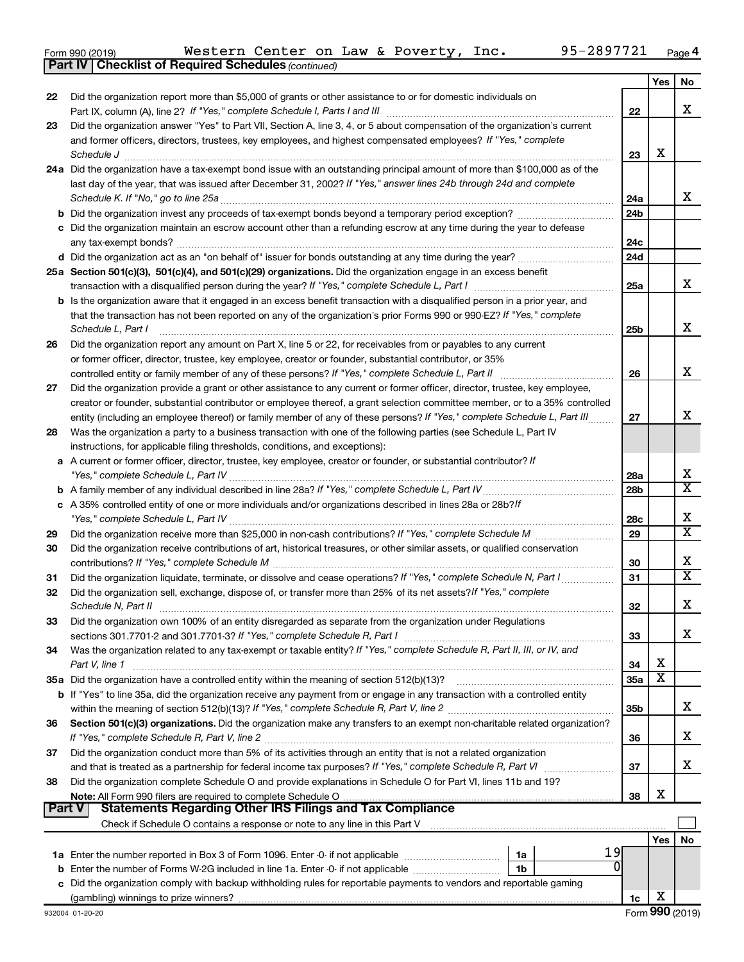| Form 990 (2019) |  |
|-----------------|--|
|-----------------|--|

*(continued)* **Part IV Checklist of Required Schedules**

|               |                                                                                                                                                                                                               |                 | Yes | No                      |
|---------------|---------------------------------------------------------------------------------------------------------------------------------------------------------------------------------------------------------------|-----------------|-----|-------------------------|
| 22            | Did the organization report more than \$5,000 of grants or other assistance to or for domestic individuals on                                                                                                 |                 |     |                         |
|               |                                                                                                                                                                                                               | 22              |     | x                       |
| 23            | Did the organization answer "Yes" to Part VII, Section A, line 3, 4, or 5 about compensation of the organization's current                                                                                    |                 |     |                         |
|               | and former officers, directors, trustees, key employees, and highest compensated employees? If "Yes," complete                                                                                                |                 |     |                         |
|               | Schedule J                                                                                                                                                                                                    | 23              | X   |                         |
|               | 24a Did the organization have a tax-exempt bond issue with an outstanding principal amount of more than \$100,000 as of the                                                                                   |                 |     |                         |
|               | last day of the year, that was issued after December 31, 2002? If "Yes," answer lines 24b through 24d and complete                                                                                            |                 |     |                         |
|               | Schedule K. If "No," go to line 25a                                                                                                                                                                           | 24a             |     | x                       |
|               |                                                                                                                                                                                                               | 24 <sub>b</sub> |     |                         |
|               | c Did the organization maintain an escrow account other than a refunding escrow at any time during the year to defease                                                                                        |                 |     |                         |
|               | any tax-exempt bonds?                                                                                                                                                                                         | 24c             |     |                         |
|               |                                                                                                                                                                                                               | 24d             |     |                         |
|               | 25a Section 501(c)(3), 501(c)(4), and 501(c)(29) organizations. Did the organization engage in an excess benefit                                                                                              |                 |     | x                       |
|               |                                                                                                                                                                                                               | 25a             |     |                         |
|               | <b>b</b> Is the organization aware that it engaged in an excess benefit transaction with a disqualified person in a prior year, and                                                                           |                 |     |                         |
|               | that the transaction has not been reported on any of the organization's prior Forms 990 or 990-EZ? If "Yes," complete                                                                                         |                 |     | х                       |
|               | Schedule L, Part I                                                                                                                                                                                            | 25b             |     |                         |
| 26            | Did the organization report any amount on Part X, line 5 or 22, for receivables from or payables to any current                                                                                               |                 |     |                         |
|               | or former officer, director, trustee, key employee, creator or founder, substantial contributor, or 35%<br>controlled entity or family member of any of these persons? If "Yes," complete Schedule L, Part II | 26              |     | x                       |
| 27            | Did the organization provide a grant or other assistance to any current or former officer, director, trustee, key employee,                                                                                   |                 |     |                         |
|               | creator or founder, substantial contributor or employee thereof, a grant selection committee member, or to a 35% controlled                                                                                   |                 |     |                         |
|               | entity (including an employee thereof) or family member of any of these persons? If "Yes," complete Schedule L, Part III                                                                                      | 27              |     | x                       |
| 28            | Was the organization a party to a business transaction with one of the following parties (see Schedule L, Part IV                                                                                             |                 |     |                         |
|               | instructions, for applicable filing thresholds, conditions, and exceptions):                                                                                                                                  |                 |     |                         |
|               | a A current or former officer, director, trustee, key employee, creator or founder, or substantial contributor? If                                                                                            |                 |     |                         |
|               |                                                                                                                                                                                                               | 28a             |     | х                       |
|               |                                                                                                                                                                                                               | 28 <sub>b</sub> |     | X                       |
|               | c A 35% controlled entity of one or more individuals and/or organizations described in lines 28a or 28b?If                                                                                                    |                 |     |                         |
|               |                                                                                                                                                                                                               | 28c             |     | х                       |
| 29            |                                                                                                                                                                                                               | 29              |     | $\overline{\text{x}}$   |
| 30            | Did the organization receive contributions of art, historical treasures, or other similar assets, or qualified conservation                                                                                   |                 |     |                         |
|               |                                                                                                                                                                                                               | 30              |     | х                       |
| 31            | Did the organization liquidate, terminate, or dissolve and cease operations? If "Yes," complete Schedule N, Part I                                                                                            | 31              |     | $\overline{\textbf{X}}$ |
| 32            | Did the organization sell, exchange, dispose of, or transfer more than 25% of its net assets? If "Yes," complete                                                                                              |                 |     |                         |
|               | Schedule N, Part II                                                                                                                                                                                           | 32              |     | х                       |
| 33            | Did the organization own 100% of an entity disregarded as separate from the organization under Regulations                                                                                                    |                 |     |                         |
|               |                                                                                                                                                                                                               | 33              |     | x                       |
| 34            | Was the organization related to any tax-exempt or taxable entity? If "Yes," complete Schedule R, Part II, III, or IV, and                                                                                     |                 |     |                         |
|               | Part V, line 1                                                                                                                                                                                                | 34              | X   |                         |
|               |                                                                                                                                                                                                               | 35a             | X   |                         |
|               | b If "Yes" to line 35a, did the organization receive any payment from or engage in any transaction with a controlled entity                                                                                   |                 |     |                         |
|               |                                                                                                                                                                                                               | 35 <sub>b</sub> |     | х                       |
| 36            | Section 501(c)(3) organizations. Did the organization make any transfers to an exempt non-charitable related organization?                                                                                    |                 |     |                         |
|               |                                                                                                                                                                                                               | 36              |     | х                       |
| 37            | Did the organization conduct more than 5% of its activities through an entity that is not a related organization                                                                                              |                 |     |                         |
|               | and that is treated as a partnership for federal income tax purposes? If "Yes," complete Schedule R, Part VI                                                                                                  | 37              |     | х                       |
| 38            | Did the organization complete Schedule O and provide explanations in Schedule O for Part VI, lines 11b and 19?                                                                                                |                 |     |                         |
| <b>Part V</b> | <b>Statements Regarding Other IRS Filings and Tax Compliance</b>                                                                                                                                              | 38              | X   |                         |
|               |                                                                                                                                                                                                               |                 |     |                         |
|               |                                                                                                                                                                                                               |                 |     |                         |
|               | 19                                                                                                                                                                                                            |                 | Yes | No                      |
|               | 1a<br>b Enter the number of Forms W-2G included in line 1a. Enter -0- if not applicable                                                                                                                       |                 |     |                         |
|               | 1b<br>c Did the organization comply with backup withholding rules for reportable payments to vendors and reportable gaming                                                                                    |                 |     |                         |
|               |                                                                                                                                                                                                               | 1c              | х   |                         |
|               |                                                                                                                                                                                                               |                 |     |                         |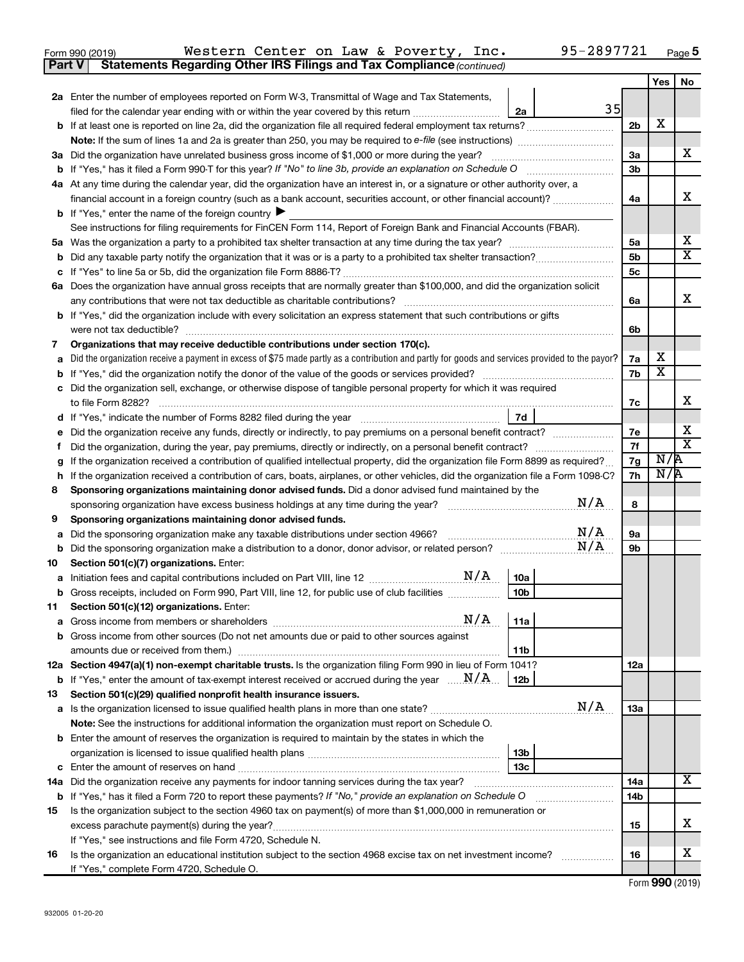| Form 990 (2019) |                                                                                     |  |  | Western Center on Law & Poverty, Inc. | 95-2897721 | Page |
|-----------------|-------------------------------------------------------------------------------------|--|--|---------------------------------------|------------|------|
|                 | <b>Part V</b> Statements Regarding Other IRS Filings and Tax Compliance (continued) |  |  |                                       |            |      |

|                                                                             |                                                                                                                                                 |                      | Yes                     | No                           |  |  |
|-----------------------------------------------------------------------------|-------------------------------------------------------------------------------------------------------------------------------------------------|----------------------|-------------------------|------------------------------|--|--|
|                                                                             | <b>2a</b> Enter the number of employees reported on Form W-3, Transmittal of Wage and Tax Statements,                                           |                      |                         |                              |  |  |
|                                                                             | 35<br>filed for the calendar year ending with or within the year covered by this return<br>2a                                                   |                      |                         |                              |  |  |
|                                                                             |                                                                                                                                                 | 2 <sub>b</sub>       | X                       |                              |  |  |
|                                                                             |                                                                                                                                                 |                      |                         |                              |  |  |
|                                                                             | 3a Did the organization have unrelated business gross income of \$1,000 or more during the year?                                                | За                   |                         | x                            |  |  |
|                                                                             |                                                                                                                                                 | 3 <sub>b</sub>       |                         |                              |  |  |
|                                                                             | 4a At any time during the calendar year, did the organization have an interest in, or a signature or other authority over, a                    |                      |                         |                              |  |  |
|                                                                             | financial account in a foreign country (such as a bank account, securities account, or other financial account)?                                | 4a                   |                         | x                            |  |  |
|                                                                             | <b>b</b> If "Yes," enter the name of the foreign country $\blacktriangleright$                                                                  |                      |                         |                              |  |  |
|                                                                             | See instructions for filing requirements for FinCEN Form 114, Report of Foreign Bank and Financial Accounts (FBAR).                             |                      |                         | х                            |  |  |
| 5а                                                                          |                                                                                                                                                 | 5a<br>5 <sub>b</sub> |                         | $\overline{\text{X}}$        |  |  |
| b                                                                           |                                                                                                                                                 | 5c                   |                         |                              |  |  |
| с                                                                           | 6a Does the organization have annual gross receipts that are normally greater than \$100,000, and did the organization solicit                  |                      |                         |                              |  |  |
| any contributions that were not tax deductible as charitable contributions? |                                                                                                                                                 |                      |                         |                              |  |  |
|                                                                             | <b>b</b> If "Yes," did the organization include with every solicitation an express statement that such contributions or gifts                   | 6a                   |                         | x                            |  |  |
|                                                                             | were not tax deductible?                                                                                                                        | 6b                   |                         |                              |  |  |
| 7                                                                           | Organizations that may receive deductible contributions under section 170(c).                                                                   |                      |                         |                              |  |  |
| a                                                                           | Did the organization receive a payment in excess of \$75 made partly as a contribution and partly for goods and services provided to the payor? | 7a                   | х                       |                              |  |  |
| b                                                                           |                                                                                                                                                 | 7b                   | $\overline{\textbf{x}}$ |                              |  |  |
| с                                                                           | Did the organization sell, exchange, or otherwise dispose of tangible personal property for which it was required                               |                      |                         |                              |  |  |
|                                                                             |                                                                                                                                                 | 7c                   |                         | x.                           |  |  |
| d                                                                           | 7d                                                                                                                                              |                      |                         |                              |  |  |
|                                                                             | Did the organization receive any funds, directly or indirectly, to pay premiums on a personal benefit contract?                                 | 7е                   |                         | х<br>$\overline{\textbf{X}}$ |  |  |
| Ť.                                                                          | Did the organization, during the year, pay premiums, directly or indirectly, on a personal benefit contract?                                    |                      |                         |                              |  |  |
| g                                                                           | If the organization received a contribution of qualified intellectual property, did the organization file Form 8899 as required?                |                      |                         |                              |  |  |
| h                                                                           | If the organization received a contribution of cars, boats, airplanes, or other vehicles, did the organization file a Form 1098-C?              | 7h                   | N/R                     |                              |  |  |
| 8                                                                           | Sponsoring organizations maintaining donor advised funds. Did a donor advised fund maintained by the                                            |                      |                         |                              |  |  |
|                                                                             | N/A<br>sponsoring organization have excess business holdings at any time during the year?                                                       | 8                    |                         |                              |  |  |
| 9                                                                           | Sponsoring organizations maintaining donor advised funds.<br>N/A                                                                                |                      |                         |                              |  |  |
| а                                                                           | Did the sponsoring organization make any taxable distributions under section 4966?<br>N/A                                                       | <b>9a</b><br>9b      |                         |                              |  |  |
| b<br>10                                                                     | Section 501(c)(7) organizations. Enter:                                                                                                         |                      |                         |                              |  |  |
| а                                                                           | N/A<br>10a<br>Initiation fees and capital contributions included on Part VIII, line 12 <i></i>                                                  |                      |                         |                              |  |  |
|                                                                             | 10 <sub>b</sub><br><b>b</b> Gross receipts, included on Form 990, Part VIII, line 12, for public use of club facilities                         |                      |                         |                              |  |  |
| 11                                                                          | Section 501(c)(12) organizations. Enter:                                                                                                        |                      |                         |                              |  |  |
|                                                                             | N/A<br> 11a                                                                                                                                     |                      |                         |                              |  |  |
|                                                                             | <b>b</b> Gross income from other sources (Do not net amounts due or paid to other sources against                                               |                      |                         |                              |  |  |
|                                                                             | 11b                                                                                                                                             |                      |                         |                              |  |  |
|                                                                             | 12a Section 4947(a)(1) non-exempt charitable trusts. Is the organization filing Form 990 in lieu of Form 1041?                                  | 12a                  |                         |                              |  |  |
|                                                                             | <b>b</b> If "Yes," enter the amount of tax-exempt interest received or accrued during the year $\ldots$ $\mathbf{N}/\mathbf{A}$<br>  12b        |                      |                         |                              |  |  |
| 13                                                                          | Section 501(c)(29) qualified nonprofit health insurance issuers.                                                                                |                      |                         |                              |  |  |
|                                                                             | N/A<br>a Is the organization licensed to issue qualified health plans in more than one state?                                                   | 13a                  |                         |                              |  |  |
|                                                                             | Note: See the instructions for additional information the organization must report on Schedule O.                                               |                      |                         |                              |  |  |
|                                                                             | <b>b</b> Enter the amount of reserves the organization is required to maintain by the states in which the                                       |                      |                         |                              |  |  |
|                                                                             | 13b                                                                                                                                             |                      |                         |                              |  |  |
|                                                                             | 13 <sub>c</sub><br>14a Did the organization receive any payments for indoor tanning services during the tax year?                               | 14a                  |                         | x                            |  |  |
|                                                                             | b If "Yes," has it filed a Form 720 to report these payments? If "No," provide an explanation on Schedule O                                     | 14 <sub>b</sub>      |                         |                              |  |  |
| 15                                                                          | Is the organization subject to the section 4960 tax on payment(s) of more than \$1,000,000 in remuneration or                                   |                      |                         |                              |  |  |
|                                                                             | excess parachute payment(s) during the year?                                                                                                    | 15                   |                         | x                            |  |  |
|                                                                             | If "Yes," see instructions and file Form 4720, Schedule N.                                                                                      |                      |                         |                              |  |  |
| 16                                                                          | Is the organization an educational institution subject to the section 4968 excise tax on net investment income?                                 | 16                   |                         | x                            |  |  |
|                                                                             | If "Yes," complete Form 4720, Schedule O.                                                                                                       |                      |                         |                              |  |  |

Form (2019) **990**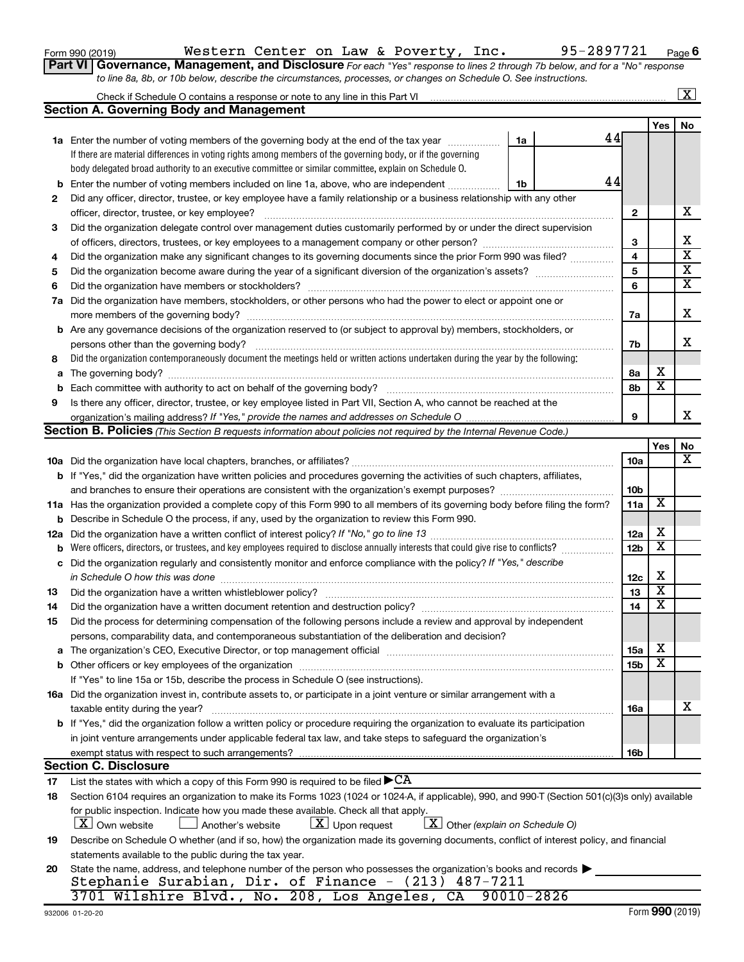| Form 990 (2019) |  |
|-----------------|--|
|-----------------|--|

Form 990 (2019)  $\,$  Western Center on Law & Poverty, Inc.  $\,$  95-2897721  $\,$   $_{\rm Page}$ 

**6**

**Part VI** Governance, Management, and Disclosure For each "Yes" response to lines 2 through 7b below, and for a "No" response *to line 8a, 8b, or 10b below, describe the circumstances, processes, or changes on Schedule O. See instructions.*

|     |                                                                                                                                                  |                |    |                 |                         | $\mathbf{X}$            |
|-----|--------------------------------------------------------------------------------------------------------------------------------------------------|----------------|----|-----------------|-------------------------|-------------------------|
|     | Section A. Governing Body and Management                                                                                                         |                |    |                 |                         |                         |
|     |                                                                                                                                                  |                |    |                 | Yes                     | No                      |
|     | <b>1a</b> Enter the number of voting members of the governing body at the end of the tax year                                                    | 1a             | 44 |                 |                         |                         |
|     | If there are material differences in voting rights among members of the governing body, or if the governing                                      |                |    |                 |                         |                         |
|     | body delegated broad authority to an executive committee or similar committee, explain on Schedule O.                                            |                |    |                 |                         |                         |
| b   | Enter the number of voting members included on line 1a, above, who are independent                                                               | 1b             | 44 |                 |                         |                         |
| 2   | Did any officer, director, trustee, or key employee have a family relationship or a business relationship with any other                         |                |    |                 |                         |                         |
|     | officer, director, trustee, or key employee?                                                                                                     |                |    | $\mathbf{2}$    |                         | х                       |
| 3   | Did the organization delegate control over management duties customarily performed by or under the direct supervision                            |                |    |                 |                         |                         |
|     |                                                                                                                                                  |                |    | З               |                         | х                       |
| 4   | Did the organization make any significant changes to its governing documents since the prior Form 990 was filed?                                 |                |    | 4               |                         | $\overline{\textbf{x}}$ |
| 5   |                                                                                                                                                  |                |    | 5               |                         | $\overline{\textbf{x}}$ |
| 6   | Did the organization have members or stockholders?                                                                                               |                |    | 6               |                         | $\overline{\textbf{x}}$ |
| 7a  | Did the organization have members, stockholders, or other persons who had the power to elect or appoint one or                                   |                |    |                 |                         |                         |
|     |                                                                                                                                                  |                |    | 7a              |                         | х                       |
|     | <b>b</b> Are any governance decisions of the organization reserved to (or subject to approval by) members, stockholders, or                      |                |    |                 |                         |                         |
|     | persons other than the governing body?                                                                                                           |                |    | 7b              |                         | x                       |
| 8   | Did the organization contemporaneously document the meetings held or written actions undertaken during the year by the following:                |                |    |                 |                         |                         |
| a   |                                                                                                                                                  |                |    | 8а              | х                       |                         |
| b   |                                                                                                                                                  |                |    | 8b              | $\overline{\textbf{x}}$ |                         |
| 9   | Is there any officer, director, trustee, or key employee listed in Part VII, Section A, who cannot be reached at the                             |                |    |                 |                         |                         |
|     |                                                                                                                                                  |                |    | 9               |                         | x                       |
|     | Section B. Policies (This Section B requests information about policies not required by the Internal Revenue Code.)                              |                |    |                 |                         |                         |
|     |                                                                                                                                                  |                |    |                 | Yes                     | No                      |
|     |                                                                                                                                                  |                |    | 10a             |                         | x                       |
|     | <b>b</b> If "Yes," did the organization have written policies and procedures governing the activities of such chapters, affiliates,              |                |    |                 |                         |                         |
|     |                                                                                                                                                  |                |    | 10 <sub>b</sub> |                         |                         |
|     | 11a Has the organization provided a complete copy of this Form 990 to all members of its governing body before filing the form?                  |                |    | 11a             | X                       |                         |
| b   | Describe in Schedule O the process, if any, used by the organization to review this Form 990.                                                    |                |    |                 |                         |                         |
| 12a | Did the organization have a written conflict of interest policy? If "No," go to line 13                                                          |                |    | 12a             | х                       |                         |
| b   | Were officers, directors, or trustees, and key employees required to disclose annually interests that could give rise to conflicts?              |                |    | 12 <sub>b</sub> | х                       |                         |
| с   | Did the organization regularly and consistently monitor and enforce compliance with the policy? If "Yes," describe                               |                |    |                 |                         |                         |
|     | in Schedule O how this was done                                                                                                                  |                |    | 12c             | х                       |                         |
| 13  | Did the organization have a written whistleblower policy?                                                                                        |                |    | 13              | $\overline{\textbf{x}}$ |                         |
| 14  |                                                                                                                                                  |                |    | 14              | $\overline{\textbf{x}}$ |                         |
| 15  | Did the process for determining compensation of the following persons include a review and approval by independent                               |                |    |                 |                         |                         |
|     | persons, comparability data, and contemporaneous substantiation of the deliberation and decision?                                                |                |    |                 |                         |                         |
| а   |                                                                                                                                                  |                |    | <b>15a</b>      | х                       |                         |
|     |                                                                                                                                                  |                |    | 15 <sub>b</sub> | X                       |                         |
|     | If "Yes" to line 15a or 15b, describe the process in Schedule O (see instructions).                                                              |                |    |                 |                         |                         |
|     | 16a Did the organization invest in, contribute assets to, or participate in a joint venture or similar arrangement with a                        |                |    |                 |                         |                         |
|     | taxable entity during the year?                                                                                                                  |                |    | 16a             |                         | х                       |
|     | b If "Yes," did the organization follow a written policy or procedure requiring the organization to evaluate its participation                   |                |    |                 |                         |                         |
|     | in joint venture arrangements under applicable federal tax law, and take steps to safeguard the organization's                                   |                |    |                 |                         |                         |
|     | exempt status with respect to such arrangements?                                                                                                 |                |    | 16 <sub>b</sub> |                         |                         |
|     | <b>Section C. Disclosure</b>                                                                                                                     |                |    |                 |                         |                         |
| 17  | List the states with which a copy of this Form 990 is required to be filed $\blacktriangleright$ CA                                              |                |    |                 |                         |                         |
| 18  | Section 6104 requires an organization to make its Forms 1023 (1024 or 1024-A, if applicable), 990, and 990-T (Section 501(c)(3)s only) available |                |    |                 |                         |                         |
|     | for public inspection. Indicate how you made these available. Check all that apply.                                                              |                |    |                 |                         |                         |
|     | $\lfloor x \rfloor$ Upon request<br>$X$ Other (explain on Schedule O)<br>$ \mathbf{X} $ Own website<br>Another's website                         |                |    |                 |                         |                         |
| 19  | Describe on Schedule O whether (and if so, how) the organization made its governing documents, conflict of interest policy, and financial        |                |    |                 |                         |                         |
|     | statements available to the public during the tax year.                                                                                          |                |    |                 |                         |                         |
| 20  | State the name, address, and telephone number of the person who possesses the organization's books and records                                   |                |    |                 |                         |                         |
|     | Stephanie Surabian, Dir. of Finance - (213) 487-7211                                                                                             |                |    |                 |                         |                         |
|     | 3701 Wilshire Blvd., No. 208, Los Angeles, CA                                                                                                    | $90010 - 2826$ |    |                 |                         |                         |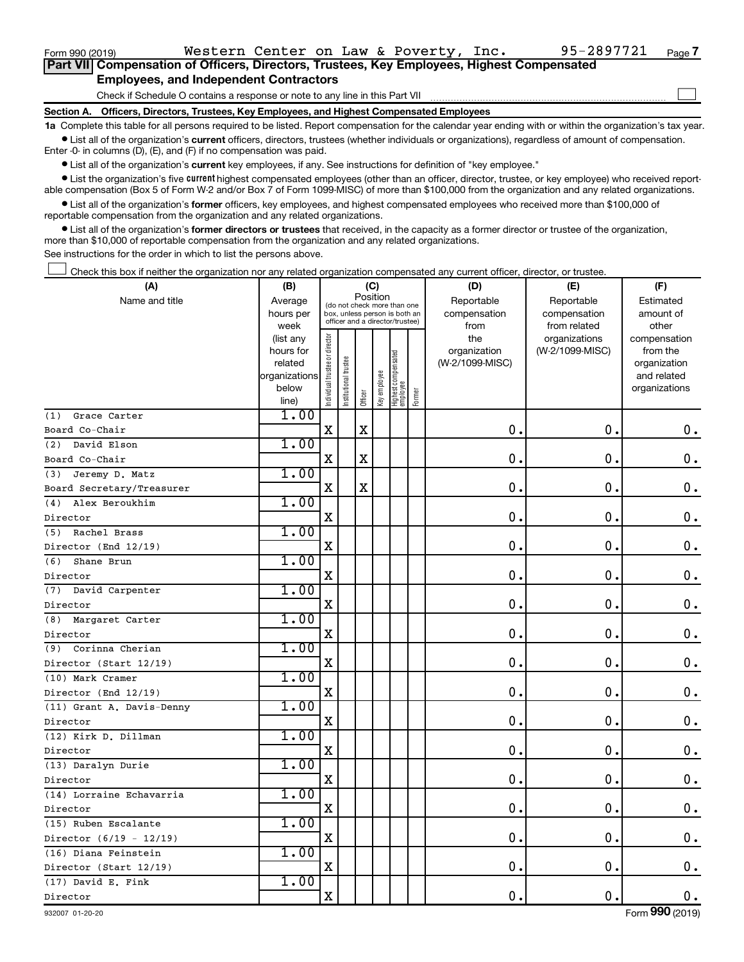| Form 990 (2019) |                                                                                                   |  | Western Center on Law & Poverty, Inc. | 95-2897721 | Page 7 |
|-----------------|---------------------------------------------------------------------------------------------------|--|---------------------------------------|------------|--------|
|                 | <b>Part VII Compensation of Officers, Directors, Trustees, Key Employees, Highest Compensated</b> |  |                                       |            |        |
|                 | <b>Employees, and Independent Contractors</b>                                                     |  |                                       |            |        |
|                 | Check if Schedule O contains a response or note to any line in this Part VII                      |  |                                       |            |        |
|                 | Section A. Officers, Directors, Trustees, Key Employees, and Highest Compensated Employees        |  |                                       |            |        |

**1a**  Complete this table for all persons required to be listed. Report compensation for the calendar year ending with or within the organization's tax year.  $\bullet$  List all of the organization's current officers, directors, trustees (whether individuals or organizations), regardless of amount of compensation.

Enter -0- in columns (D), (E), and (F) if no compensation was paid.

**•** List all of the organization's current key employees, if any. See instructions for definition of "key employee."

• List the organization's five *current* highest compensated employees (other than an officer, director, trustee, or key employee) who received reportable compensation (Box 5 of Form W-2 and/or Box 7 of Form 1099-MISC) of more than \$100,000 from the organization and any related organizations.

 $\bullet$  List all of the organization's former officers, key employees, and highest compensated employees who received more than \$100,000 of reportable compensation from the organization and any related organizations.

**•** List all of the organization's former directors or trustees that received, in the capacity as a former director or trustee of the organization, more than \$10,000 of reportable compensation from the organization and any related organizations.

See instructions for the order in which to list the persons above.

Check this box if neither the organization nor any related organization compensated any current officer, director, or trustee. †

| (A)                       | (B)<br>(C)<br>Position                                               |                                |                                                                                                 |             |              |                                 |        | (D)                                    | (F)                                        |                                                                          |  |
|---------------------------|----------------------------------------------------------------------|--------------------------------|-------------------------------------------------------------------------------------------------|-------------|--------------|---------------------------------|--------|----------------------------------------|--------------------------------------------|--------------------------------------------------------------------------|--|
| Name and title            | Average<br>hours per<br>week                                         |                                | (do not check more than one<br>box, unless person is both an<br>officer and a director/trustee) |             |              |                                 |        | Reportable<br>compensation<br>from     | Reportable<br>compensation<br>from related | Estimated<br>amount of<br>other                                          |  |
|                           | (list any<br>hours for<br>related<br>organizations<br>below<br>line) | Individual trustee or director | Institutional trustee                                                                           | Officer     | Key employee | Highest compensated<br>employee | Former | the<br>organization<br>(W-2/1099-MISC) | organizations<br>(W-2/1099-MISC)           | compensation<br>from the<br>organization<br>and related<br>organizations |  |
| Grace Carter<br>(1)       | 1.00                                                                 |                                |                                                                                                 |             |              |                                 |        |                                        |                                            |                                                                          |  |
| Board Co-Chair            |                                                                      | X                              |                                                                                                 | $\mathbf X$ |              |                                 |        | $\mathbf 0$ .                          | $\mathbf 0$                                | $\mathbf 0$ .                                                            |  |
| David Elson<br>(2)        | 1.00                                                                 |                                |                                                                                                 |             |              |                                 |        |                                        |                                            |                                                                          |  |
| Board Co-Chair            |                                                                      | $\mathbf X$                    |                                                                                                 | $\mathbf X$ |              |                                 |        | 0                                      | $\mathbf 0$                                | $\mathbf 0$ .                                                            |  |
| (3)<br>Jeremy D. Matz     | 1.00                                                                 |                                |                                                                                                 |             |              |                                 |        |                                        |                                            |                                                                          |  |
| Board Secretary/Treasurer |                                                                      | $\mathbf X$                    |                                                                                                 | $\mathbf X$ |              |                                 |        | 0                                      | $\mathbf 0$                                | $\mathbf 0$ .                                                            |  |
| Alex Beroukhim<br>(4)     | 1.00                                                                 |                                |                                                                                                 |             |              |                                 |        |                                        |                                            |                                                                          |  |
| Director                  |                                                                      | $\mathbf X$                    |                                                                                                 |             |              |                                 |        | 0.                                     | 0.                                         | $\mathbf 0$ .                                                            |  |
| Rachel Brass<br>(5)       | 1.00                                                                 |                                |                                                                                                 |             |              |                                 |        |                                        |                                            |                                                                          |  |
| Director (End 12/19)      |                                                                      | $\mathbf X$                    |                                                                                                 |             |              |                                 |        | $\mathbf 0$                            | $\mathbf 0$ .                              | $\mathbf 0$ .                                                            |  |
| Shane Brun<br>(6)         | 1.00                                                                 |                                |                                                                                                 |             |              |                                 |        |                                        |                                            |                                                                          |  |
| Director                  |                                                                      | $\rm X$                        |                                                                                                 |             |              |                                 |        | $\mathbf 0$                            | $\mathbf 0$ .                              | $\mathbf 0$ .                                                            |  |
| (7) David Carpenter       | 1.00                                                                 |                                |                                                                                                 |             |              |                                 |        |                                        |                                            |                                                                          |  |
| Director                  |                                                                      | X                              |                                                                                                 |             |              |                                 |        | $\mathbf 0$                            | $\mathbf 0$ .                              | $\mathbf 0$ .                                                            |  |
| Margaret Carter<br>(8)    | 1.00                                                                 |                                |                                                                                                 |             |              |                                 |        |                                        |                                            |                                                                          |  |
| Director                  |                                                                      | $\mathbf X$                    |                                                                                                 |             |              |                                 |        | 0.                                     | 0.                                         | $\mathbf 0$ .                                                            |  |
| Corinna Cherian<br>(9)    | 1.00                                                                 |                                |                                                                                                 |             |              |                                 |        |                                        |                                            |                                                                          |  |
| Director (Start 12/19)    |                                                                      | $\mathbf X$                    |                                                                                                 |             |              |                                 |        | $\mathbf 0$                            | $\mathbf 0$ .                              | $\mathbf 0$ .                                                            |  |
| (10) Mark Cramer          | 1.00                                                                 |                                |                                                                                                 |             |              |                                 |        |                                        |                                            |                                                                          |  |
| Director (End 12/19)      |                                                                      | $\mathbf X$                    |                                                                                                 |             |              |                                 |        | $\mathbf 0$                            | $\mathbf 0$ .                              | $0$ .                                                                    |  |
| (11) Grant A. Davis-Denny | 1.00                                                                 |                                |                                                                                                 |             |              |                                 |        |                                        |                                            |                                                                          |  |
| Director                  |                                                                      | $\mathbf X$                    |                                                                                                 |             |              |                                 |        | $\mathbf 0$                            | $\mathbf 0$ .                              | 0.                                                                       |  |
| (12) Kirk D. Dillman      | 1.00                                                                 |                                |                                                                                                 |             |              |                                 |        |                                        |                                            |                                                                          |  |
| Director                  |                                                                      | $\mathbf X$                    |                                                                                                 |             |              |                                 |        | $\mathbf 0$ .                          | $\mathbf 0$ .                              | $\mathbf 0$ .                                                            |  |
| (13) Daralyn Durie        | 1.00                                                                 |                                |                                                                                                 |             |              |                                 |        |                                        |                                            |                                                                          |  |
| Director                  |                                                                      | X                              |                                                                                                 |             |              |                                 |        | $\mathbf 0$ .                          | $\mathbf 0$ .                              | $\mathbf 0$ .                                                            |  |
| (14) Lorraine Echavarria  | 1.00                                                                 |                                |                                                                                                 |             |              |                                 |        |                                        |                                            |                                                                          |  |
| Director                  |                                                                      | $\mathbf X$                    |                                                                                                 |             |              |                                 |        | $\mathbf 0$                            | $\mathbf 0$ .                              | $0$ .                                                                    |  |
| (15) Ruben Escalante      | 1.00                                                                 |                                |                                                                                                 |             |              |                                 |        |                                        |                                            |                                                                          |  |
| Director $(6/19 - 12/19)$ |                                                                      | $\mathbf X$                    |                                                                                                 |             |              |                                 |        | $\mathbf 0$                            | $\mathbf 0$ .                              | $\mathbf 0$ .                                                            |  |
| (16) Diana Feinstein      | 1.00                                                                 |                                |                                                                                                 |             |              |                                 |        |                                        |                                            |                                                                          |  |
| Director (Start 12/19)    |                                                                      | $\mathbf X$                    |                                                                                                 |             |              |                                 |        | $\mathbf 0$ .                          | $\mathbf 0$ .                              | 0.                                                                       |  |
| (17) David E. Fink        | 1.00                                                                 |                                |                                                                                                 |             |              |                                 |        |                                        |                                            |                                                                          |  |
| Director                  |                                                                      | X                              |                                                                                                 |             |              |                                 |        | $\mathbf 0$ .                          | $\mathbf 0$ .                              | 0.                                                                       |  |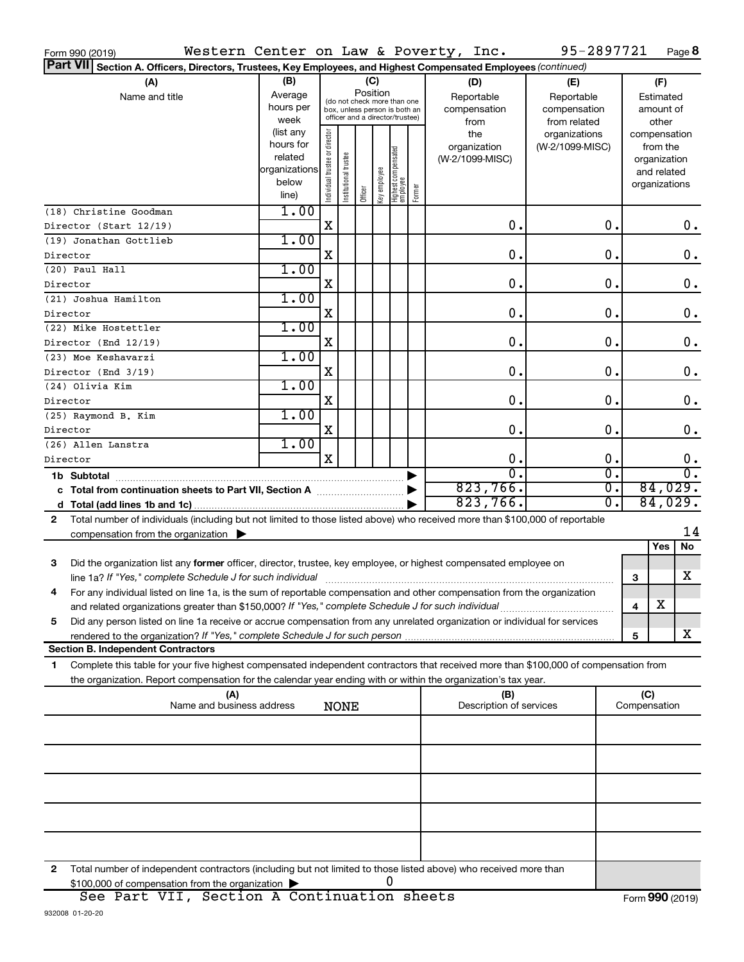| Western Center on Law & Poverty, Inc.<br>Form 990 (2019)                                                                                                                                                                        |                                                                      |                                |                       |                                                                                                                    |               |                                           |  |                                           | 95-2897721                                        |          |                     |                                                                          | Page 8           |
|---------------------------------------------------------------------------------------------------------------------------------------------------------------------------------------------------------------------------------|----------------------------------------------------------------------|--------------------------------|-----------------------|--------------------------------------------------------------------------------------------------------------------|---------------|-------------------------------------------|--|-------------------------------------------|---------------------------------------------------|----------|---------------------|--------------------------------------------------------------------------|------------------|
| <b>Part VII</b><br>Section A. Officers, Directors, Trustees, Key Employees, and Highest Compensated Employees (continued)                                                                                                       |                                                                      |                                |                       |                                                                                                                    |               |                                           |  |                                           |                                                   |          |                     |                                                                          |                  |
| (A)<br>Name and title                                                                                                                                                                                                           | (B)<br>Average<br>hours per<br>week                                  |                                |                       | (C)<br>Position<br>(do not check more than one<br>box, unless person is both an<br>officer and a director/trustee) |               |                                           |  | (D)<br>Reportable<br>compensation<br>from | (E)<br>Reportable<br>compensation<br>from related |          |                     | (F)<br>Estimated<br>amount of<br>other                                   |                  |
|                                                                                                                                                                                                                                 | (list any<br>hours for<br>related<br>organizations<br>below<br>line) | Individual trustee or director | Institutional trustee | Officer                                                                                                            | ea Aoldwa Aay | Highest compensated<br>employee<br>Former |  | the<br>organization<br>(W-2/1099-MISC)    | organizations<br>(W-2/1099-MISC)                  |          |                     | compensation<br>from the<br>organization<br>and related<br>organizations |                  |
| (18) Christine Goodman<br>Director (Start 12/19)                                                                                                                                                                                | 1.00                                                                 | X                              |                       |                                                                                                                    |               |                                           |  | 0.                                        |                                                   | 0.       |                     |                                                                          | $0$ .            |
| (19) Jonathan Gottlieb                                                                                                                                                                                                          | 1.00                                                                 |                                |                       |                                                                                                                    |               |                                           |  |                                           |                                                   |          |                     |                                                                          |                  |
| Director<br>(20) Paul Hall                                                                                                                                                                                                      | 1.00                                                                 | X                              |                       |                                                                                                                    |               |                                           |  | 0.                                        |                                                   | 0.       |                     |                                                                          | 0.               |
| Director                                                                                                                                                                                                                        |                                                                      | X                              |                       |                                                                                                                    |               |                                           |  | 0.                                        |                                                   | 0.       |                     |                                                                          | 0.               |
| (21) Joshua Hamilton<br>Director                                                                                                                                                                                                | 1.00                                                                 | X                              |                       |                                                                                                                    |               |                                           |  | 0.                                        |                                                   | 0.       |                     |                                                                          | 0.               |
| (22) Mike Hostettler                                                                                                                                                                                                            | 1.00                                                                 |                                |                       |                                                                                                                    |               |                                           |  |                                           |                                                   |          |                     |                                                                          |                  |
| Director (End 12/19)<br>(23) Moe Keshavarzi                                                                                                                                                                                     | 1.00                                                                 | X                              |                       |                                                                                                                    |               |                                           |  | 0.                                        |                                                   | 0.       |                     |                                                                          | $\mathbf 0$ .    |
| Director (End 3/19)                                                                                                                                                                                                             |                                                                      | X                              |                       |                                                                                                                    |               |                                           |  | 0.                                        |                                                   | 0.       |                     |                                                                          | 0.               |
| (24) Olivia Kim<br>Director                                                                                                                                                                                                     | 1.00                                                                 | X                              |                       |                                                                                                                    |               |                                           |  | 0.                                        |                                                   | 0.       |                     |                                                                          | 0.               |
| (25) Raymond B. Kim                                                                                                                                                                                                             | 1.00                                                                 |                                |                       |                                                                                                                    |               |                                           |  |                                           |                                                   |          |                     |                                                                          |                  |
| Director<br>(26) Allen Lanstra                                                                                                                                                                                                  | 1.00                                                                 | X                              |                       |                                                                                                                    |               |                                           |  | 0.                                        |                                                   | 0.       |                     |                                                                          | 0.               |
| Director                                                                                                                                                                                                                        |                                                                      | $\mathbf X$                    |                       |                                                                                                                    |               |                                           |  | 0.                                        |                                                   | 0.       |                     |                                                                          | 0.               |
| 1b Subtotal                                                                                                                                                                                                                     |                                                                      |                                |                       |                                                                                                                    |               |                                           |  | $\overline{0}$                            |                                                   | σ.       |                     |                                                                          | $\overline{0}$ . |
| c Total from continuation sheets to Part VII, Section A                                                                                                                                                                         |                                                                      |                                |                       |                                                                                                                    |               |                                           |  | 823,766.<br>823,766.                      |                                                   | σ.<br>σ. |                     | 84,029.<br>84,029.                                                       |                  |
| Total number of individuals (including but not limited to those listed above) who received more than \$100,000 of reportable<br>2                                                                                               |                                                                      |                                |                       |                                                                                                                    |               |                                           |  |                                           |                                                   |          |                     |                                                                          |                  |
| compensation from the organization $\blacktriangleright$                                                                                                                                                                        |                                                                      |                                |                       |                                                                                                                    |               |                                           |  |                                           |                                                   |          |                     |                                                                          | 14               |
| 3<br>Did the organization list any former officer, director, trustee, key employee, or highest compensated employee on                                                                                                          |                                                                      |                                |                       |                                                                                                                    |               |                                           |  |                                           |                                                   |          |                     | Yes                                                                      | No               |
| line 1a? If "Yes," complete Schedule J for such individual manufacture content to the settlement of the settle                                                                                                                  |                                                                      |                                |                       |                                                                                                                    |               |                                           |  |                                           |                                                   |          | 3                   |                                                                          | X                |
| For any individual listed on line 1a, is the sum of reportable compensation and other compensation from the organization<br>and related organizations greater than \$150,000? If "Yes," complete Schedule J for such individual |                                                                      |                                |                       |                                                                                                                    |               |                                           |  |                                           |                                                   |          | 4                   | х                                                                        |                  |
| Did any person listed on line 1a receive or accrue compensation from any unrelated organization or individual for services<br>5                                                                                                 |                                                                      |                                |                       |                                                                                                                    |               |                                           |  |                                           |                                                   |          |                     |                                                                          |                  |
| <b>Section B. Independent Contractors</b>                                                                                                                                                                                       |                                                                      |                                |                       |                                                                                                                    |               |                                           |  |                                           |                                                   |          | 5                   |                                                                          | X                |
| Complete this table for your five highest compensated independent contractors that received more than \$100,000 of compensation from<br>1                                                                                       |                                                                      |                                |                       |                                                                                                                    |               |                                           |  |                                           |                                                   |          |                     |                                                                          |                  |
| the organization. Report compensation for the calendar year ending with or within the organization's tax year.                                                                                                                  |                                                                      |                                |                       |                                                                                                                    |               |                                           |  |                                           |                                                   |          |                     |                                                                          |                  |
| (A)<br>Name and business address                                                                                                                                                                                                |                                                                      |                                | <b>NONE</b>           |                                                                                                                    |               |                                           |  | (B)<br>Description of services            |                                                   |          | (C)<br>Compensation |                                                                          |                  |
|                                                                                                                                                                                                                                 |                                                                      |                                |                       |                                                                                                                    |               |                                           |  |                                           |                                                   |          |                     |                                                                          |                  |
|                                                                                                                                                                                                                                 |                                                                      |                                |                       |                                                                                                                    |               |                                           |  |                                           |                                                   |          |                     |                                                                          |                  |
|                                                                                                                                                                                                                                 |                                                                      |                                |                       |                                                                                                                    |               |                                           |  |                                           |                                                   |          |                     |                                                                          |                  |
|                                                                                                                                                                                                                                 |                                                                      |                                |                       |                                                                                                                    |               |                                           |  |                                           |                                                   |          |                     |                                                                          |                  |
|                                                                                                                                                                                                                                 |                                                                      |                                |                       |                                                                                                                    |               |                                           |  |                                           |                                                   |          |                     |                                                                          |                  |
|                                                                                                                                                                                                                                 |                                                                      |                                |                       |                                                                                                                    |               |                                           |  |                                           |                                                   |          |                     |                                                                          |                  |
| Total number of independent contractors (including but not limited to those listed above) who received more than<br>2<br>\$100,000 of compensation from the organization                                                        |                                                                      |                                |                       |                                                                                                                    |               | 0                                         |  |                                           |                                                   |          |                     |                                                                          |                  |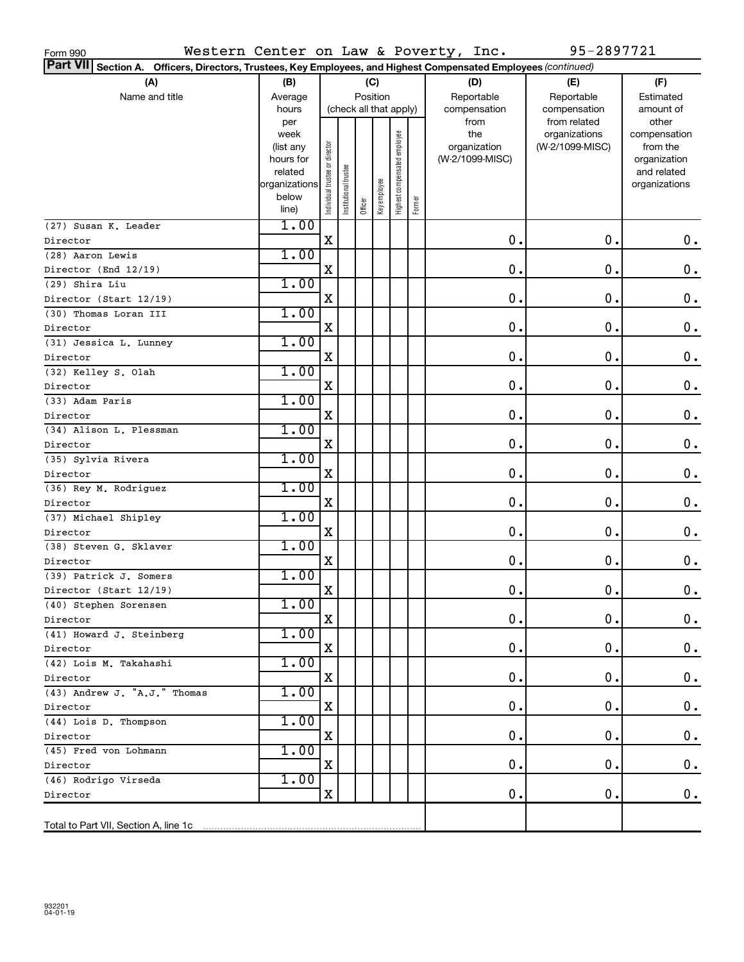| Western Center on Law & Poverty, Inc.<br>Form 990                                                                                                                                              |                                                                            |                               |                      |                        |              |                              |        |  |                                                | 95-2897721                                       |                                                                                   |  |  |
|------------------------------------------------------------------------------------------------------------------------------------------------------------------------------------------------|----------------------------------------------------------------------------|-------------------------------|----------------------|------------------------|--------------|------------------------------|--------|--|------------------------------------------------|--------------------------------------------------|-----------------------------------------------------------------------------------|--|--|
|                                                                                                                                                                                                |                                                                            |                               |                      |                        |              |                              |        |  |                                                |                                                  |                                                                                   |  |  |
| Part VII Section A. Officers, Directors, Trustees, Key Employees, and Highest Compensated Employees (continued)<br>(A)<br>(F)<br>(B)<br>(C)<br>(D)<br>(E)<br>Position<br>Reportable<br>Average |                                                                            |                               |                      |                        |              |                              |        |  |                                                |                                                  |                                                                                   |  |  |
| Name and title                                                                                                                                                                                 |                                                                            |                               | Reportable           | Estimated              |              |                              |        |  |                                                |                                                  |                                                                                   |  |  |
|                                                                                                                                                                                                | hours                                                                      |                               |                      | (check all that apply) |              |                              |        |  | compensation                                   | compensation                                     | amount of                                                                         |  |  |
|                                                                                                                                                                                                | per<br>week<br>(list any<br>hours for<br>related<br>organizations<br>below | ndividual trustee or director | nstitutional trustee |                        | Key employee | Highest compensated employee |        |  | from<br>the<br>organization<br>(W-2/1099-MISC) | from related<br>organizations<br>(W-2/1099-MISC) | other<br>compensation<br>from the<br>organization<br>and related<br>organizations |  |  |
|                                                                                                                                                                                                | line)                                                                      |                               |                      | Officer                |              |                              | Former |  |                                                |                                                  |                                                                                   |  |  |
| (27) Susan K. Leader                                                                                                                                                                           | 1.00                                                                       |                               |                      |                        |              |                              |        |  |                                                |                                                  |                                                                                   |  |  |
| Director                                                                                                                                                                                       |                                                                            | X                             |                      |                        |              |                              |        |  | 0.                                             | 0.                                               | 0.                                                                                |  |  |
| (28) Aaron Lewis                                                                                                                                                                               | 1.00                                                                       |                               |                      |                        |              |                              |        |  |                                                |                                                  |                                                                                   |  |  |
| Director (End 12/19)                                                                                                                                                                           |                                                                            | X                             |                      |                        |              |                              |        |  | 0.                                             | 0.                                               | $\mathbf 0$ .                                                                     |  |  |
| (29) Shira Liu                                                                                                                                                                                 | 1.00                                                                       |                               |                      |                        |              |                              |        |  |                                                |                                                  |                                                                                   |  |  |
| Director (Start 12/19)                                                                                                                                                                         |                                                                            | X                             |                      |                        |              |                              |        |  | 0.                                             | 0.                                               | $\mathbf 0$ .                                                                     |  |  |
| (30) Thomas Loran III                                                                                                                                                                          | 1.00                                                                       |                               |                      |                        |              |                              |        |  |                                                |                                                  |                                                                                   |  |  |
| Director                                                                                                                                                                                       |                                                                            | X                             |                      |                        |              |                              |        |  | 0.                                             | 0.                                               | $\mathbf 0$ .                                                                     |  |  |
| (31) Jessica L. Lunney                                                                                                                                                                         | 1.00                                                                       |                               |                      |                        |              |                              |        |  |                                                |                                                  |                                                                                   |  |  |
| Director                                                                                                                                                                                       |                                                                            | X                             |                      |                        |              |                              |        |  | 0.                                             | 0.                                               | $\mathbf 0$ .                                                                     |  |  |
| (32) Kelley S. Olah                                                                                                                                                                            | 1.00                                                                       |                               |                      |                        |              |                              |        |  |                                                |                                                  |                                                                                   |  |  |
| Director                                                                                                                                                                                       |                                                                            | X                             |                      |                        |              |                              |        |  | 0.                                             | 0.                                               | 0.                                                                                |  |  |
| (33) Adam Paris                                                                                                                                                                                | 1.00                                                                       |                               |                      |                        |              |                              |        |  |                                                |                                                  |                                                                                   |  |  |
| Director                                                                                                                                                                                       |                                                                            | X                             |                      |                        |              |                              |        |  | 0.                                             | 0.                                               | $\mathbf 0$ .                                                                     |  |  |
| (34) Alison L. Plessman                                                                                                                                                                        | 1.00                                                                       |                               |                      |                        |              |                              |        |  |                                                |                                                  |                                                                                   |  |  |
| Director                                                                                                                                                                                       |                                                                            | X                             |                      |                        |              |                              |        |  | 0.                                             | 0.                                               | $\mathbf 0$ .                                                                     |  |  |
| (35) Sylvia Rivera                                                                                                                                                                             | 1.00                                                                       |                               |                      |                        |              |                              |        |  |                                                |                                                  |                                                                                   |  |  |
| Director                                                                                                                                                                                       |                                                                            | X                             |                      |                        |              |                              |        |  | 0.                                             | 0.                                               | $\mathbf 0$ .                                                                     |  |  |
| (36) Rey M. Rodriguez                                                                                                                                                                          | 1.00                                                                       |                               |                      |                        |              |                              |        |  |                                                |                                                  |                                                                                   |  |  |
| Director                                                                                                                                                                                       |                                                                            | X                             |                      |                        |              |                              |        |  | 0.                                             | 0.                                               | $\mathbf 0$ .                                                                     |  |  |
| (37) Michael Shipley                                                                                                                                                                           | 1.00                                                                       |                               |                      |                        |              |                              |        |  |                                                |                                                  |                                                                                   |  |  |
| Director                                                                                                                                                                                       |                                                                            | X                             |                      |                        |              |                              |        |  | 0.                                             | 0.                                               | 0.                                                                                |  |  |
| (38) Steven G. Sklaver                                                                                                                                                                         | 1.00                                                                       |                               |                      |                        |              |                              |        |  |                                                |                                                  |                                                                                   |  |  |
| Director                                                                                                                                                                                       |                                                                            | X                             |                      |                        |              |                              |        |  | 0.                                             | 0.                                               | 0.                                                                                |  |  |
| (39) Patrick J. Somers                                                                                                                                                                         | 1.00                                                                       |                               |                      |                        |              |                              |        |  |                                                |                                                  |                                                                                   |  |  |
| Director (Start 12/19)                                                                                                                                                                         |                                                                            | X                             |                      |                        |              |                              |        |  | $\mathbf 0$ .                                  | $\mathbf 0$ .                                    | $0$ .                                                                             |  |  |
| (40) Stephen Sorensen                                                                                                                                                                          | 1.00                                                                       |                               |                      |                        |              |                              |        |  |                                                |                                                  |                                                                                   |  |  |
| Director                                                                                                                                                                                       |                                                                            | Χ                             |                      |                        |              |                              |        |  | 0.                                             | 0.                                               | $0$ .                                                                             |  |  |
| (41) Howard J. Steinberg                                                                                                                                                                       | 1.00                                                                       |                               |                      |                        |              |                              |        |  |                                                |                                                  |                                                                                   |  |  |
| Director                                                                                                                                                                                       |                                                                            | Χ                             |                      |                        |              |                              |        |  | 0.                                             | 0.                                               | $0\cdot$                                                                          |  |  |
| (42) Lois M. Takahashi                                                                                                                                                                         | 1.00                                                                       |                               |                      |                        |              |                              |        |  |                                                |                                                  |                                                                                   |  |  |
| Director                                                                                                                                                                                       |                                                                            | х                             |                      |                        |              |                              |        |  | 0.                                             | 0.                                               | $0\cdot$                                                                          |  |  |
| (43) Andrew J. "A.J." Thomas                                                                                                                                                                   | 1.00                                                                       |                               |                      |                        |              |                              |        |  |                                                |                                                  |                                                                                   |  |  |
| Director                                                                                                                                                                                       |                                                                            | х                             |                      |                        |              |                              |        |  | 0.                                             | 0.                                               | $0\cdot$                                                                          |  |  |
| (44) Lois D. Thompson                                                                                                                                                                          | 1.00                                                                       |                               |                      |                        |              |                              |        |  |                                                |                                                  |                                                                                   |  |  |
| Director                                                                                                                                                                                       |                                                                            | х                             |                      |                        |              |                              |        |  | 0.                                             | 0.                                               | 0.                                                                                |  |  |
| (45) Fred von Lohmann                                                                                                                                                                          | 1.00                                                                       | X                             |                      |                        |              |                              |        |  | 0.                                             | 0.                                               | 0.                                                                                |  |  |
| Director<br>(46) Rodrigo Virseda                                                                                                                                                               | 1.00                                                                       |                               |                      |                        |              |                              |        |  |                                                |                                                  |                                                                                   |  |  |
| Director                                                                                                                                                                                       |                                                                            | X                             |                      |                        |              |                              |        |  | 0.                                             | 0.                                               | $0$ .                                                                             |  |  |
|                                                                                                                                                                                                |                                                                            |                               |                      |                        |              |                              |        |  |                                                |                                                  |                                                                                   |  |  |
|                                                                                                                                                                                                |                                                                            |                               |                      |                        |              |                              |        |  |                                                |                                                  |                                                                                   |  |  |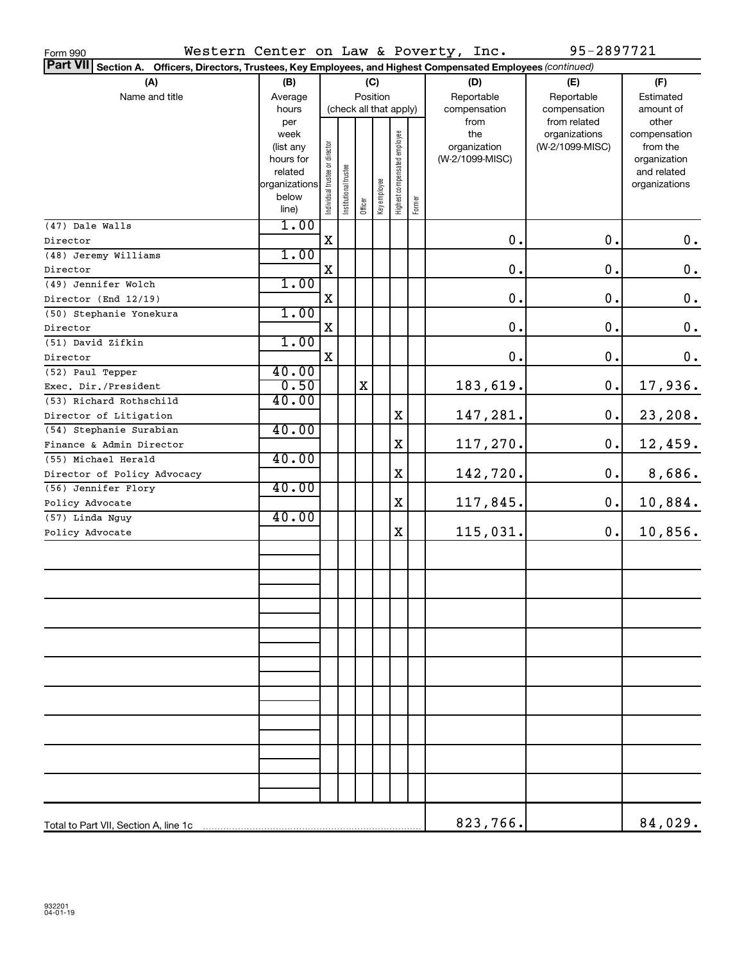| Western Center on Law & Poverty, Inc.<br>Form 990                                                                  |                                                                   |                                |                       |                        |              |                              |        |                                                |       | 95-2897721                                       |                                                                                   |
|--------------------------------------------------------------------------------------------------------------------|-------------------------------------------------------------------|--------------------------------|-----------------------|------------------------|--------------|------------------------------|--------|------------------------------------------------|-------|--------------------------------------------------|-----------------------------------------------------------------------------------|
| Part VII Section A.<br>Officers, Directors, Trustees, Key Employees, and Highest Compensated Employees (continued) |                                                                   |                                |                       |                        |              |                              |        |                                                |       |                                                  |                                                                                   |
| (A)                                                                                                                | (B)                                                               |                                |                       |                        | (C)          |                              |        | (D)                                            |       | (E)                                              | (F)                                                                               |
| Name and title                                                                                                     | Reportable                                                        |                                | Reportable            | Estimated              |              |                              |        |                                                |       |                                                  |                                                                                   |
|                                                                                                                    | hours                                                             |                                |                       | (check all that apply) |              |                              |        | compensation                                   |       | compensation                                     | amount of                                                                         |
|                                                                                                                    | per<br>week<br>(list any<br>hours for<br>related<br>organizations | Individual trustee or director | Institutional trustee |                        |              | Highest compensated employee |        | from<br>the<br>organization<br>(W-2/1099-MISC) |       | from related<br>organizations<br>(W-2/1099-MISC) | other<br>compensation<br>from the<br>organization<br>and related<br>organizations |
|                                                                                                                    | below<br>line)                                                    |                                |                       | Officer                | Key employee |                              | Former |                                                |       |                                                  |                                                                                   |
| (47) Dale Walls                                                                                                    | 1.00                                                              |                                |                       |                        |              |                              |        |                                                |       |                                                  |                                                                                   |
| Director                                                                                                           |                                                                   | $\mathbf X$                    |                       |                        |              |                              |        |                                                | $0$ . | 0.                                               | $\boldsymbol{0}$ .                                                                |
| (48) Jeremy Williams                                                                                               | 1.00                                                              |                                |                       |                        |              |                              |        |                                                |       |                                                  |                                                                                   |
| Director                                                                                                           |                                                                   | X                              |                       |                        |              |                              |        |                                                | $0$ . | $\mathbf 0$ .                                    | $\boldsymbol{0}$ .                                                                |
| (49) Jennifer Wolch                                                                                                | 1.00                                                              |                                |                       |                        |              |                              |        |                                                |       |                                                  |                                                                                   |
| Director (End 12/19)                                                                                               |                                                                   | X                              |                       |                        |              |                              |        |                                                | $0$ . | $\mathbf 0$ .                                    | $\boldsymbol{0}$ .                                                                |
| (50) Stephanie Yonekura                                                                                            | 1.00                                                              |                                |                       |                        |              |                              |        |                                                |       |                                                  |                                                                                   |
| Director                                                                                                           |                                                                   | X                              |                       |                        |              |                              |        |                                                | 0.    | 0.                                               | $\boldsymbol{0}$ .                                                                |
| (51) David Zifkin                                                                                                  | 1.00                                                              |                                |                       |                        |              |                              |        |                                                |       |                                                  |                                                                                   |
| Director                                                                                                           |                                                                   | X                              |                       |                        |              |                              |        |                                                | $0$ . | 0.                                               | $\boldsymbol{0}$ .                                                                |
| (52) Paul Tepper                                                                                                   | 40.00                                                             |                                |                       |                        |              |                              |        |                                                |       |                                                  |                                                                                   |
| Exec. Dir./President                                                                                               | 0.50                                                              |                                |                       | X                      |              |                              |        | 183,619.                                       |       | $\mathbf 0$ .                                    | 17,936.                                                                           |
| (53) Richard Rothschild                                                                                            | 40.00                                                             |                                |                       |                        |              |                              |        |                                                |       |                                                  |                                                                                   |
| Director of Litigation                                                                                             |                                                                   |                                |                       |                        |              | X                            |        | 147,281.                                       |       | 0.                                               | 23,208.                                                                           |
| (54) Stephanie Surabian                                                                                            | 40.00                                                             |                                |                       |                        |              |                              |        |                                                |       |                                                  |                                                                                   |
| Finance & Admin Director                                                                                           |                                                                   |                                |                       |                        |              | X                            |        | 117,270.                                       |       | $\mathbf 0$ .                                    | 12,459.                                                                           |
| (55) Michael Herald                                                                                                | 40.00                                                             |                                |                       |                        |              |                              |        |                                                |       |                                                  |                                                                                   |
| Director of Policy Advocacy                                                                                        |                                                                   |                                |                       |                        |              | X                            |        | 142,720.                                       |       | 0.                                               | 8,686.                                                                            |
| (56) Jennifer Flory                                                                                                | 40.00                                                             |                                |                       |                        |              |                              |        |                                                |       |                                                  |                                                                                   |
| Policy Advocate                                                                                                    |                                                                   |                                |                       |                        |              | X                            |        | 117,845.                                       |       | $\mathbf 0$ .                                    | 10,884.                                                                           |
| (57) Linda Nguy                                                                                                    | 40.00                                                             |                                |                       |                        |              |                              |        |                                                |       |                                                  |                                                                                   |
| Policy Advocate                                                                                                    |                                                                   |                                |                       |                        |              | X                            |        | 115,031.                                       |       | $\mathbf 0$ .                                    | 10,856.                                                                           |
|                                                                                                                    |                                                                   |                                |                       |                        |              |                              |        |                                                |       |                                                  |                                                                                   |
|                                                                                                                    |                                                                   |                                |                       |                        |              |                              |        |                                                |       |                                                  |                                                                                   |
|                                                                                                                    |                                                                   |                                |                       |                        |              |                              |        |                                                |       |                                                  |                                                                                   |
|                                                                                                                    |                                                                   |                                |                       |                        |              |                              |        |                                                |       |                                                  |                                                                                   |
|                                                                                                                    |                                                                   |                                |                       |                        |              |                              |        |                                                |       |                                                  |                                                                                   |
|                                                                                                                    |                                                                   |                                |                       |                        |              |                              |        |                                                |       |                                                  |                                                                                   |
|                                                                                                                    |                                                                   |                                |                       |                        |              |                              |        |                                                |       |                                                  |                                                                                   |
|                                                                                                                    |                                                                   |                                |                       |                        |              |                              |        |                                                |       |                                                  |                                                                                   |
|                                                                                                                    |                                                                   |                                |                       |                        |              |                              |        |                                                |       |                                                  |                                                                                   |
|                                                                                                                    |                                                                   |                                |                       |                        |              |                              |        | 823,766.                                       |       |                                                  | 84,029.                                                                           |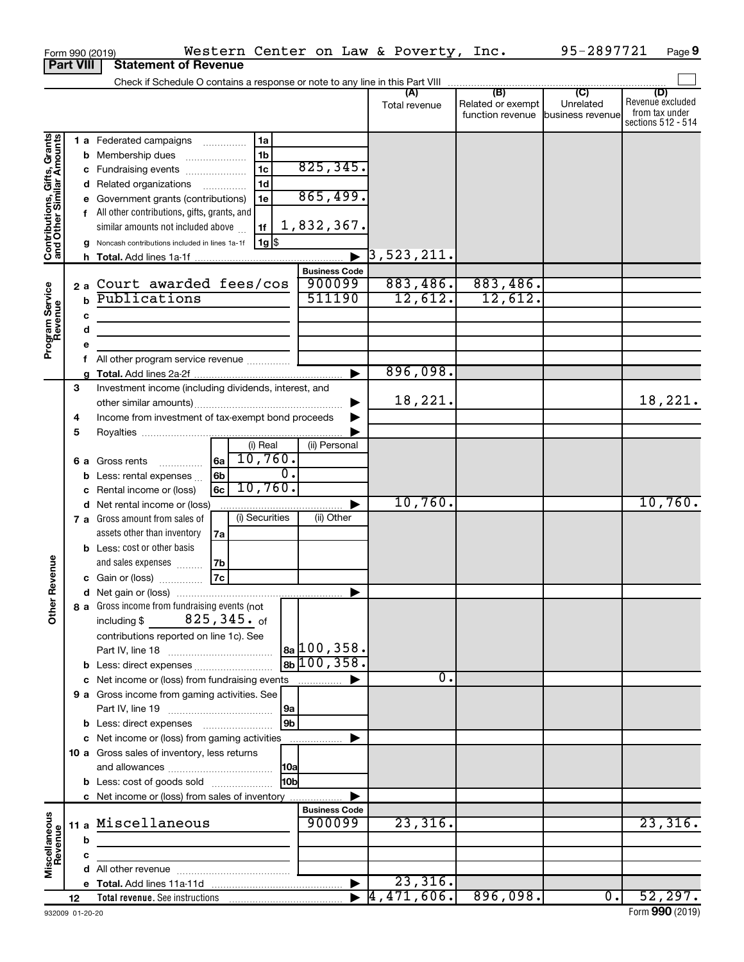|                                                           | Form 990 (2019)  | Western Center on Law & Poverty, Inc.                                                                                 |                       |                          |                          | 95-2897721                  | Page 9                  |
|-----------------------------------------------------------|------------------|-----------------------------------------------------------------------------------------------------------------------|-----------------------|--------------------------|--------------------------|-----------------------------|-------------------------|
|                                                           | <b>Part VIII</b> | <b>Statement of Revenue</b>                                                                                           |                       |                          |                          |                             |                         |
|                                                           |                  | Check if Schedule O contains a response or note to any line in this Part VIII                                         |                       |                          |                          |                             |                         |
|                                                           |                  |                                                                                                                       |                       | (A)                      | (B)<br>Related or exempt | $\overline{C}$<br>Unrelated | (D)<br>Revenue excluded |
|                                                           |                  |                                                                                                                       |                       | Total revenue            | function revenue         | business revenue            | from tax under          |
|                                                           |                  |                                                                                                                       |                       |                          |                          |                             | sections 512 - 514      |
| Contributions, Gifts, Grants<br>and Other Similar Amounts |                  | 1a<br>1 a Federated campaigns                                                                                         |                       |                          |                          |                             |                         |
|                                                           |                  | 1 <sub>b</sub><br><b>b</b> Membership dues                                                                            |                       |                          |                          |                             |                         |
|                                                           |                  | 1 <sub>c</sub><br>c Fundraising events                                                                                | 825, 345.             |                          |                          |                             |                         |
|                                                           |                  | 1 <sub>d</sub><br>d Related organizations                                                                             |                       |                          |                          |                             |                         |
|                                                           |                  | e Government grants (contributions)<br>1e                                                                             | 865,499.              |                          |                          |                             |                         |
|                                                           |                  | f All other contributions, gifts, grants, and                                                                         |                       |                          |                          |                             |                         |
|                                                           |                  | similar amounts not included above<br>1f                                                                              | 1,832,367.            |                          |                          |                             |                         |
|                                                           |                  | 1g  \$<br>Noncash contributions included in lines 1a-1f                                                               |                       |                          |                          |                             |                         |
|                                                           |                  |                                                                                                                       | $\blacktriangleright$ | $\overline{3}$ ,523,211. |                          |                             |                         |
|                                                           |                  |                                                                                                                       | <b>Business Code</b>  |                          |                          |                             |                         |
|                                                           |                  | 2a Court awarded fees/cos                                                                                             | 900099                | 883,486.                 | 883,486.                 |                             |                         |
|                                                           | $\mathbf b$      | Publications                                                                                                          | 511190                | 12,612.                  | 12,612.                  |                             |                         |
|                                                           | c                |                                                                                                                       |                       |                          |                          |                             |                         |
|                                                           | d                | <u> 1989 - Johann Barbara, martin amerikan basar dan berasal dan berasal dalam basar dalam basar dalam basar dala</u> |                       |                          |                          |                             |                         |
| Program Service<br>Revenue                                | е                |                                                                                                                       |                       |                          |                          |                             |                         |
|                                                           | f.               | All other program service revenue                                                                                     |                       |                          |                          |                             |                         |
|                                                           |                  |                                                                                                                       | ▶                     | 896,098.                 |                          |                             |                         |
|                                                           | 3                | Investment income (including dividends, interest, and                                                                 |                       |                          |                          |                             |                         |
|                                                           |                  |                                                                                                                       | ▶                     | 18,221.                  |                          |                             | 18,221.                 |
|                                                           | 4                | Income from investment of tax-exempt bond proceeds                                                                    |                       |                          |                          |                             |                         |
|                                                           | 5                |                                                                                                                       |                       |                          |                          |                             |                         |
|                                                           |                  | (i) Real                                                                                                              | (ii) Personal         |                          |                          |                             |                         |
|                                                           |                  | 10,760.<br>l6al<br><b>6 a</b> Gross rents                                                                             |                       |                          |                          |                             |                         |
|                                                           |                  | $\overline{0}$ .<br>6 <sub>b</sub><br><b>b</b> Less: rental expenses                                                  |                       |                          |                          |                             |                         |
|                                                           |                  | 10,760.<br>6c<br>c Rental income or (loss)                                                                            |                       |                          |                          |                             |                         |
|                                                           |                  | d Net rental income or (loss)                                                                                         | ▶                     | 10,760.                  |                          |                             | 10,760.                 |
|                                                           |                  | (i) Securities<br>7 a Gross amount from sales of                                                                      | (ii) Other            |                          |                          |                             |                         |
|                                                           |                  | assets other than inventory<br>7a                                                                                     |                       |                          |                          |                             |                         |
|                                                           |                  | <b>b</b> Less: cost or other basis                                                                                    |                       |                          |                          |                             |                         |
| evenue                                                    |                  | and sales expenses<br> 7b                                                                                             |                       |                          |                          |                             |                         |
|                                                           |                  | 7c<br>c Gain or (loss)                                                                                                |                       |                          |                          |                             |                         |
|                                                           |                  |                                                                                                                       |                       |                          |                          |                             |                         |
| Other F                                                   |                  | 8 a Gross income from fundraising events (not                                                                         |                       |                          |                          |                             |                         |
|                                                           |                  | including $$825, 345.$ of                                                                                             |                       |                          |                          |                             |                         |
|                                                           |                  | contributions reported on line 1c). See                                                                               |                       |                          |                          |                             |                         |
|                                                           |                  |                                                                                                                       | $ a_2 100, 358.$      |                          |                          |                             |                         |
|                                                           |                  | <b>b</b> Less: direct expenses                                                                                        | $8b$ 100, 358.        |                          |                          |                             |                         |
|                                                           |                  | c Net income or (loss) from fundraising events                                                                        | ▶                     | $\overline{0}$ .         |                          |                             |                         |
|                                                           |                  | 9 a Gross income from gaming activities. See                                                                          |                       |                          |                          |                             |                         |
|                                                           |                  | 9a                                                                                                                    |                       |                          |                          |                             |                         |
|                                                           |                  | 9 <sub>b</sub>                                                                                                        |                       |                          |                          |                             |                         |
|                                                           |                  | c Net income or (loss) from gaming activities                                                                         | ▶                     |                          |                          |                             |                         |
|                                                           |                  | 10 a Gross sales of inventory, less returns                                                                           |                       |                          |                          |                             |                         |
|                                                           |                  | 10a                                                                                                                   |                       |                          |                          |                             |                         |
|                                                           |                  | 10 <sub>b</sub><br><b>b</b> Less: cost of goods sold                                                                  |                       |                          |                          |                             |                         |
|                                                           |                  | c Net income or (loss) from sales of inventory                                                                        | ▶                     |                          |                          |                             |                         |
|                                                           |                  |                                                                                                                       | <b>Business Code</b>  |                          |                          |                             |                         |
| Miscellaneous<br>Revenue                                  |                  | 11 a Miscellaneous                                                                                                    | 900099                | 23,316.                  |                          |                             | 23,316.                 |
|                                                           | b                |                                                                                                                       |                       |                          |                          |                             |                         |
|                                                           | c                |                                                                                                                       |                       |                          |                          |                             |                         |
|                                                           |                  |                                                                                                                       |                       |                          |                          |                             |                         |
|                                                           |                  |                                                                                                                       | $\blacktriangleright$ | 23,316.                  |                          |                             |                         |
|                                                           | 12               |                                                                                                                       |                       | 4,471,606.               | 896,098.                 | $\overline{0}$ .            | 52, 297.                |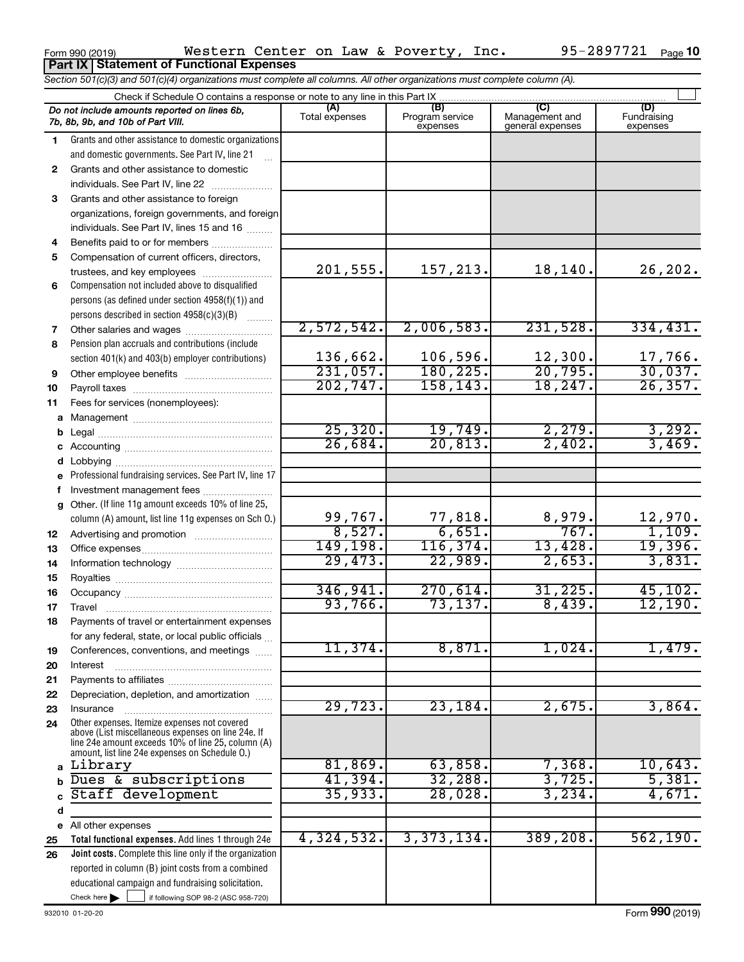|             | <b>Part IX   Statement of Functional Expenses</b>                                                                             |                       |                                    |                                    |                                |
|-------------|-------------------------------------------------------------------------------------------------------------------------------|-----------------------|------------------------------------|------------------------------------|--------------------------------|
|             | Section 501(c)(3) and 501(c)(4) organizations must complete all columns. All other organizations must complete column (A).    |                       |                                    |                                    |                                |
|             | Check if Schedule O contains a response or note to any line in this Part IX                                                   |                       |                                    |                                    |                                |
|             | Do not include amounts reported on lines 6b,<br>7b, 8b, 9b, and 10b of Part VIII.                                             | (A)<br>Total expenses | (B)<br>Program service<br>expenses | Management and<br>general expenses | (D)<br>Fundraising<br>expenses |
| 1           | Grants and other assistance to domestic organizations                                                                         |                       |                                    |                                    |                                |
|             | and domestic governments. See Part IV, line 21                                                                                |                       |                                    |                                    |                                |
| 2           | Grants and other assistance to domestic                                                                                       |                       |                                    |                                    |                                |
|             | individuals. See Part IV, line 22                                                                                             |                       |                                    |                                    |                                |
| 3           | Grants and other assistance to foreign                                                                                        |                       |                                    |                                    |                                |
|             | organizations, foreign governments, and foreign                                                                               |                       |                                    |                                    |                                |
|             | individuals. See Part IV, lines 15 and 16                                                                                     |                       |                                    |                                    |                                |
| 4           | Benefits paid to or for members                                                                                               |                       |                                    |                                    |                                |
| 5           | Compensation of current officers, directors,                                                                                  |                       |                                    |                                    |                                |
|             | trustees, and key employees                                                                                                   | 201,555.              | 157,213.                           | 18, 140.                           | 26,202.                        |
| 6           | Compensation not included above to disqualified                                                                               |                       |                                    |                                    |                                |
|             | persons (as defined under section 4958(f)(1)) and                                                                             |                       |                                    |                                    |                                |
|             | persons described in section 4958(c)(3)(B)                                                                                    | 2,572,542.            | 2,006,583.                         | 231,528.                           | 334,431.                       |
| 7           |                                                                                                                               |                       |                                    |                                    |                                |
| 8           | Pension plan accruals and contributions (include<br>section 401(k) and 403(b) employer contributions)                         | 136,662.              | 106,596.                           | 12,300.                            | 17,766.                        |
| 9           |                                                                                                                               | 231,057.              | 180,225.                           | 20,795.                            | 30,037.                        |
| 10          |                                                                                                                               | 202, 747.             | 158, 143.                          | 18, 247.                           | 26, 357.                       |
| 11          | Fees for services (nonemployees):                                                                                             |                       |                                    |                                    |                                |
| a           |                                                                                                                               |                       |                                    |                                    |                                |
| b           |                                                                                                                               | 25,320.               | 19,749.                            | 2,279.                             | 3,292.                         |
| с           |                                                                                                                               | 26,684.               | 20,813.                            | 2,402.                             | 3,469.                         |
| d           |                                                                                                                               |                       |                                    |                                    |                                |
| е           | Professional fundraising services. See Part IV, line 17                                                                       |                       |                                    |                                    |                                |
| f           | Investment management fees                                                                                                    |                       |                                    |                                    |                                |
| g           | Other. (If line 11g amount exceeds 10% of line 25,                                                                            |                       |                                    |                                    |                                |
|             | column (A) amount, list line 11g expenses on Sch O.)                                                                          | 99,767.               | 77,818.                            | 8,979.                             | 12,970.                        |
| 12          |                                                                                                                               | 8,527.                | 6,651.                             | 767.                               | 1,109.                         |
| 13          |                                                                                                                               | 149,198.              | 116, 374.                          | 13,428.                            | 19,396.                        |
| 14          |                                                                                                                               | 29,473.               | 22,989.                            | 2,653.                             | 3,831.                         |
| 15          |                                                                                                                               |                       |                                    |                                    |                                |
| 16          |                                                                                                                               | 346, 941.             | 270,614.                           | 31, 225.                           | 45, 102.                       |
| 17          | Travel                                                                                                                        | 93,766.               | 73, 137.                           | 8,439.                             | 12,190.                        |
| 18          | Payments of travel or entertainment expenses                                                                                  |                       |                                    |                                    |                                |
|             | for any federal, state, or local public officials                                                                             | 11,374.               | 8,871.                             | 1,024.                             | 1,479.                         |
| 19<br>20    | Conferences, conventions, and meetings<br>Interest                                                                            |                       |                                    |                                    |                                |
| 21          |                                                                                                                               |                       |                                    |                                    |                                |
| 22          | Depreciation, depletion, and amortization                                                                                     |                       |                                    |                                    |                                |
| 23          | Insurance                                                                                                                     | 29,723.               | 23,184.                            | 2,675.                             | 3,864.                         |
| 24          | Other expenses. Itemize expenses not covered                                                                                  |                       |                                    |                                    |                                |
|             | above (List miscellaneous expenses on line 24e. If<br>line 24e amount exceeds 10% of line 25, column (A)                      |                       |                                    |                                    |                                |
|             | amount, list line 24e expenses on Schedule O.)                                                                                |                       |                                    |                                    |                                |
| a           | Library                                                                                                                       | 81,869.               | 63,858.                            | 7,368.                             | 10,643.                        |
| $\mathbf b$ | Dues & subscriptions                                                                                                          | 41,394.               | 32,288.                            | 3,725.                             | 5,381.                         |
|             | Staff development                                                                                                             | 35,933.               | 28,028.                            | 3,234.                             | 4,671.                         |
| d           |                                                                                                                               |                       |                                    |                                    |                                |
| е           | All other expenses                                                                                                            |                       |                                    |                                    |                                |
| 25          | Total functional expenses. Add lines 1 through 24e                                                                            | 4,324,532.            | 3,373,134.                         | 389,208.                           | 562, 190.                      |
| 26          | Joint costs. Complete this line only if the organization                                                                      |                       |                                    |                                    |                                |
|             | reported in column (B) joint costs from a combined                                                                            |                       |                                    |                                    |                                |
|             | educational campaign and fundraising solicitation.<br>Check here $\blacktriangleright$<br>if following SOP 98-2 (ASC 958-720) |                       |                                    |                                    |                                |
|             |                                                                                                                               |                       |                                    |                                    |                                |

 $_{\rm Form}$ 990 (2019) Western Center on Law & Poverty, Inc. 95-489 //21  $_{\rm Page}$ 

Western Center on Law & Poverty, Inc. 95-2897721

95-2897721 Page 10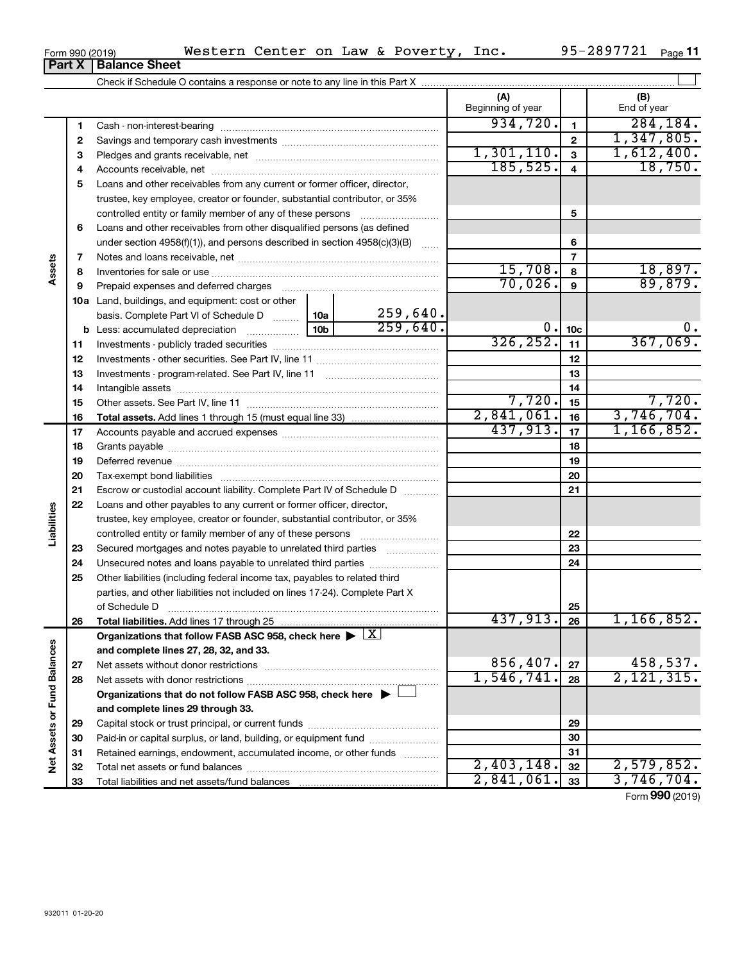| U(1113301)ZU(31) |                        |  |
|------------------|------------------------|--|
|                  | Part X   Balance Sheet |  |

|                             |          |                                                                                                        |                 |          | (A)<br>Beginning of year |                         | (B)<br>End of year |
|-----------------------------|----------|--------------------------------------------------------------------------------------------------------|-----------------|----------|--------------------------|-------------------------|--------------------|
|                             | 1        |                                                                                                        |                 |          | 934,720.                 | $\mathbf{1}$            | 284, 184.          |
|                             | 2        |                                                                                                        |                 |          |                          | $\mathbf{2}$            | 1,347,805.         |
|                             | з        |                                                                                                        |                 |          | 1,301,110.               | $\overline{\mathbf{3}}$ | 1,612,400.         |
|                             | 4        |                                                                                                        |                 |          | 185, 525.                | $\overline{4}$          | 18,750.            |
|                             | 5        | Loans and other receivables from any current or former officer, director,                              |                 |          |                          |                         |                    |
|                             |          | trustee, key employee, creator or founder, substantial contributor, or 35%                             |                 |          |                          |                         |                    |
|                             |          | controlled entity or family member of any of these persons [                                           |                 |          |                          | 5                       |                    |
|                             | 6        | Loans and other receivables from other disqualified persons (as defined                                |                 |          |                          |                         |                    |
|                             |          | under section $4958(f)(1)$ , and persons described in section $4958(c)(3)(B)$                          |                 |          |                          | 6                       |                    |
|                             | 7        |                                                                                                        |                 |          |                          | $\overline{7}$          |                    |
| Assets                      | 8        |                                                                                                        |                 |          | 15,708.                  | 8                       | 18,897.            |
|                             | 9        |                                                                                                        |                 |          | 70,026.                  | 9                       | 89,879.            |
|                             |          | <b>10a</b> Land, buildings, and equipment: cost or other                                               |                 |          |                          |                         |                    |
|                             |          | basis. Complete Part VI of Schedule D                                                                  | 10a             | 259,640. |                          |                         |                    |
|                             |          | <b>b</b> Less: accumulated depreciation <i>mimimimining</i>                                            | 10 <sub>b</sub> | 259,640. | 0.                       | 10 <sub>c</sub>         | Ο.                 |
|                             | 11       |                                                                                                        |                 |          | 326, 252.                | 11                      | 367,069.           |
|                             | 12       |                                                                                                        |                 |          |                          | 12                      |                    |
|                             | 13       |                                                                                                        |                 |          |                          | 13                      |                    |
|                             | 14       |                                                                                                        |                 |          |                          | 14                      |                    |
|                             | 15       |                                                                                                        |                 |          | 7,720.                   | 15                      | 7,720.             |
|                             | 16       |                                                                                                        |                 |          | 2,841,061.               | 16                      | 3,746,704.         |
|                             | 17       |                                                                                                        |                 |          | 437,913.                 | 17                      | 1, 166, 852.       |
|                             | 18       |                                                                                                        |                 |          |                          | 18                      |                    |
|                             | 19       |                                                                                                        |                 |          |                          | 19                      |                    |
|                             | 20       |                                                                                                        |                 |          |                          | 20                      |                    |
|                             | 21       | Escrow or custodial account liability. Complete Part IV of Schedule D                                  |                 |          |                          | 21                      |                    |
|                             | 22       | Loans and other payables to any current or former officer, director,                                   |                 |          |                          |                         |                    |
|                             |          | trustee, key employee, creator or founder, substantial contributor, or 35%                             |                 |          |                          |                         |                    |
| Liabilities                 |          | controlled entity or family member of any of these persons [                                           |                 |          |                          | 22                      |                    |
|                             | 23       | Secured mortgages and notes payable to unrelated third parties                                         |                 |          |                          | 23                      |                    |
|                             | 24       |                                                                                                        |                 |          |                          | 24                      |                    |
|                             | 25       | Other liabilities (including federal income tax, payables to related third                             |                 |          |                          |                         |                    |
|                             |          | parties, and other liabilities not included on lines 17-24). Complete Part X                           |                 |          |                          |                         |                    |
|                             |          | of Schedule D                                                                                          |                 |          | 437,913.                 | 25                      |                    |
|                             | 26       | Total liabilities. Add lines 17 through 25                                                             |                 |          |                          | 26                      | 1,166,852.         |
|                             |          | Organizations that follow FASB ASC 958, check here $\blacktriangleright \lfloor \underline{X} \rfloor$ |                 |          |                          |                         |                    |
|                             |          | and complete lines 27, 28, 32, and 33.                                                                 |                 |          | 856,407.                 |                         | 458,537.           |
|                             | 27       |                                                                                                        |                 |          | 1,546,741.               | 27<br>28                | 2, 121, 315.       |
|                             | 28       |                                                                                                        |                 |          |                          |                         |                    |
|                             |          | Organizations that do not follow FASB ASC 958, check here $\blacktriangleright$                        |                 |          |                          |                         |                    |
|                             |          | and complete lines 29 through 33.                                                                      |                 |          |                          | 29                      |                    |
|                             | 29       | Paid-in or capital surplus, or land, building, or equipment fund                                       |                 |          |                          | 30                      |                    |
|                             | 30<br>31 | Retained earnings, endowment, accumulated income, or other funds                                       |                 |          |                          | 31                      |                    |
| Net Assets or Fund Balances | 32       |                                                                                                        |                 |          | 2,403,148.               | 32                      | 2,579,852.         |
|                             | 33       |                                                                                                        |                 |          | 2,841,061.               | 33                      | 3,746,704.         |
|                             |          |                                                                                                        |                 |          |                          |                         |                    |

**11**

Form (2019) **990**

#### $_{\rm Form}$ 990 (2019) Western Center on Law & Poverty, Inc. 95-489 / /21  $_{\rm Page}$ Western Center on Law & Poverty, Inc. 95-2897721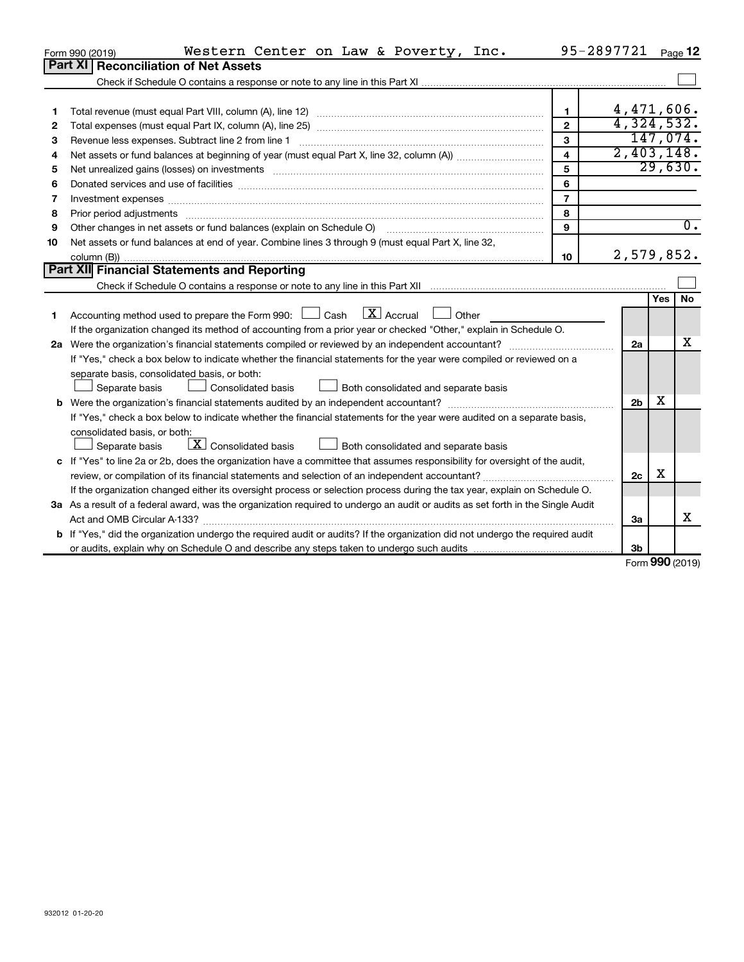|    | Western Center on Law & Poverty, Inc.<br>Form 990 (2019)                                                                        | 95-2897721 Page 12      |                |     |                  |
|----|---------------------------------------------------------------------------------------------------------------------------------|-------------------------|----------------|-----|------------------|
|    | <b>Part XI</b><br><b>Reconciliation of Net Assets</b>                                                                           |                         |                |     |                  |
|    |                                                                                                                                 |                         |                |     |                  |
|    |                                                                                                                                 |                         |                |     |                  |
| 1  |                                                                                                                                 | $\mathbf{1}$            | 4,471,606.     |     |                  |
| 2  |                                                                                                                                 | $\overline{2}$          | 4,324,532.     |     |                  |
| 3  | Revenue less expenses. Subtract line 2 from line 1                                                                              | 3                       |                |     | 147,074.         |
| 4  |                                                                                                                                 | $\overline{\mathbf{4}}$ | 2,403,148.     |     |                  |
| 5  | Net unrealized gains (losses) on investments [111] www.marting.com/marting.com/marting.com/marting.com/marting.                 | 5                       |                |     | 29,630.          |
| 6  |                                                                                                                                 | 6                       |                |     |                  |
| 7  | Investment expenses www.communication.com/www.communication.com/www.communication.com/www.com                                   | $\overline{7}$          |                |     |                  |
| 8  |                                                                                                                                 | 8                       |                |     |                  |
| 9  | Other changes in net assets or fund balances (explain on Schedule O)                                                            | 9                       |                |     | $\overline{0}$ . |
| 10 | Net assets or fund balances at end of year. Combine lines 3 through 9 (must equal Part X, line 32,                              |                         |                |     |                  |
|    |                                                                                                                                 | 10                      | 2,579,852.     |     |                  |
|    | Part XII Financial Statements and Reporting                                                                                     |                         |                |     |                  |
|    |                                                                                                                                 |                         |                |     |                  |
|    |                                                                                                                                 |                         |                | Yes | No               |
| 1  | $\boxed{\text{X}}$ Accrual<br>Accounting method used to prepare the Form 990: [130] Cash<br>Other                               |                         |                |     |                  |
|    | If the organization changed its method of accounting from a prior year or checked "Other," explain in Schedule O.               |                         |                |     |                  |
|    |                                                                                                                                 |                         | 2a             |     | x                |
|    | If "Yes," check a box below to indicate whether the financial statements for the year were compiled or reviewed on a            |                         |                |     |                  |
|    | separate basis, consolidated basis, or both:                                                                                    |                         |                |     |                  |
|    | Separate basis<br>Consolidated basis<br>Both consolidated and separate basis                                                    |                         |                |     |                  |
|    |                                                                                                                                 |                         | 2 <sub>b</sub> | X   |                  |
|    | If "Yes," check a box below to indicate whether the financial statements for the year were audited on a separate basis,         |                         |                |     |                  |
|    | consolidated basis, or both:                                                                                                    |                         |                |     |                  |
|    | $\boxed{\textbf{X}}$ Consolidated basis<br>Separate basis<br>Both consolidated and separate basis                               |                         |                |     |                  |
|    | c If "Yes" to line 2a or 2b, does the organization have a committee that assumes responsibility for oversight of the audit,     |                         |                |     |                  |
|    |                                                                                                                                 |                         | 2c             | х   |                  |
|    | If the organization changed either its oversight process or selection process during the tax year, explain on Schedule O.       |                         |                |     |                  |
|    | 3a As a result of a federal award, was the organization required to undergo an audit or audits as set forth in the Single Audit |                         |                |     |                  |
|    |                                                                                                                                 |                         | За             |     | х                |
|    | b If "Yes," did the organization undergo the required audit or audits? If the organization did not undergo the required audit   |                         |                |     |                  |
|    |                                                                                                                                 |                         | 3b             |     |                  |

Form (2019) **990**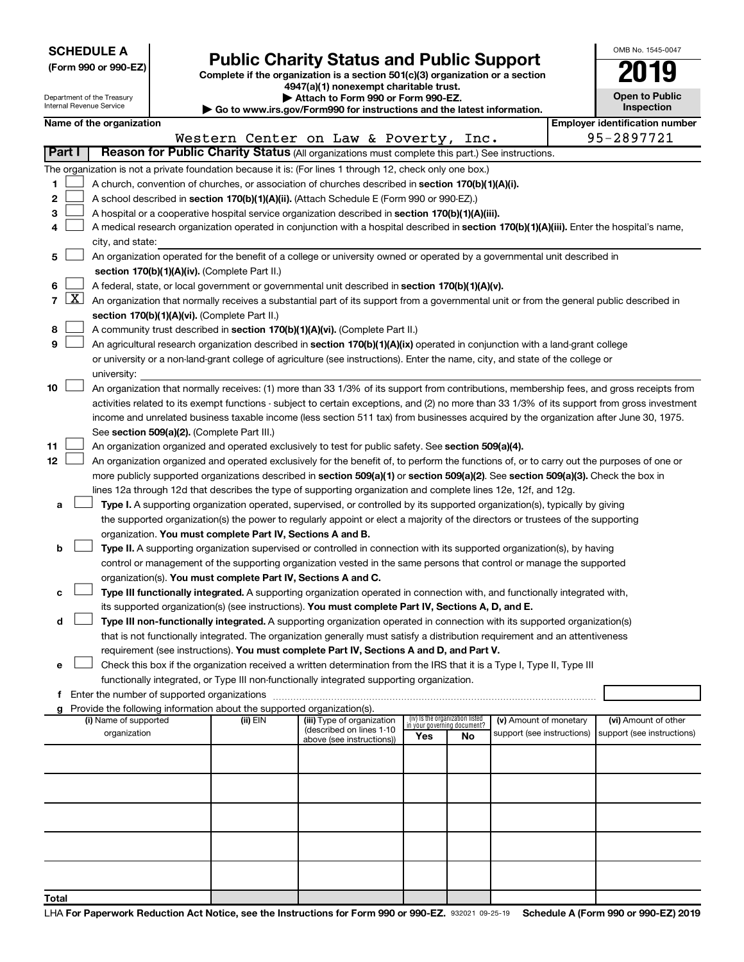| <b>SCHEDULE A</b> |  |
|-------------------|--|
|-------------------|--|

Department of the Treasury

|  |  | (Form 990 or 990-EZ) |
|--|--|----------------------|
|  |  |                      |

# Public Charity Status and Public Support<br>
omplete if the organization is a section 501(c)(3) organization or a section<br>
2019

**(Form 990 or 990-EZ) Complete if the organization is a section 501(c)(3) organization or a section 4947(a)(1) nonexempt charitable trust.**

**| Attach to Form 990 or Form 990-EZ.** 

| OMB No. 1545-0047                   |
|-------------------------------------|
| 019                                 |
| <b>Open to Public</b><br>Inspection |

1

| Internal Revenue Service<br>Inspection<br>Go to www.irs.gov/Form990 for instructions and the latest information. |                     |                                                                                                    |  |                                                                        |                                                                                                                                            |     |                                                                |                            |  |                                                                                                                                               |  |
|------------------------------------------------------------------------------------------------------------------|---------------------|----------------------------------------------------------------------------------------------------|--|------------------------------------------------------------------------|--------------------------------------------------------------------------------------------------------------------------------------------|-----|----------------------------------------------------------------|----------------------------|--|-----------------------------------------------------------------------------------------------------------------------------------------------|--|
|                                                                                                                  |                     | Name of the organization                                                                           |  |                                                                        |                                                                                                                                            |     |                                                                |                            |  | <b>Employer identification number</b>                                                                                                         |  |
|                                                                                                                  |                     |                                                                                                    |  |                                                                        | Western Center on Law & Poverty, Inc.                                                                                                      |     |                                                                |                            |  | 95-2897721                                                                                                                                    |  |
|                                                                                                                  | <b>Part I</b>       |                                                                                                    |  |                                                                        | Reason for Public Charity Status (All organizations must complete this part.) See instructions.                                            |     |                                                                |                            |  |                                                                                                                                               |  |
|                                                                                                                  |                     |                                                                                                    |  |                                                                        | The organization is not a private foundation because it is: (For lines 1 through 12, check only one box.)                                  |     |                                                                |                            |  |                                                                                                                                               |  |
| 1                                                                                                                |                     | A church, convention of churches, or association of churches described in section 170(b)(1)(A)(i). |  |                                                                        |                                                                                                                                            |     |                                                                |                            |  |                                                                                                                                               |  |
| 2                                                                                                                |                     |                                                                                                    |  |                                                                        | A school described in section 170(b)(1)(A)(ii). (Attach Schedule E (Form 990 or 990-EZ).)                                                  |     |                                                                |                            |  |                                                                                                                                               |  |
| 3                                                                                                                |                     |                                                                                                    |  |                                                                        | A hospital or a cooperative hospital service organization described in section 170(b)(1)(A)(iii).                                          |     |                                                                |                            |  |                                                                                                                                               |  |
| 4                                                                                                                |                     |                                                                                                    |  |                                                                        | A medical research organization operated in conjunction with a hospital described in section 170(b)(1)(A)(iii). Enter the hospital's name, |     |                                                                |                            |  |                                                                                                                                               |  |
|                                                                                                                  |                     | city, and state:                                                                                   |  |                                                                        |                                                                                                                                            |     |                                                                |                            |  |                                                                                                                                               |  |
| 5                                                                                                                |                     |                                                                                                    |  |                                                                        | An organization operated for the benefit of a college or university owned or operated by a governmental unit described in                  |     |                                                                |                            |  |                                                                                                                                               |  |
|                                                                                                                  |                     |                                                                                                    |  | section 170(b)(1)(A)(iv). (Complete Part II.)                          |                                                                                                                                            |     |                                                                |                            |  |                                                                                                                                               |  |
| 6                                                                                                                |                     |                                                                                                    |  |                                                                        | A federal, state, or local government or governmental unit described in section 170(b)(1)(A)(v).                                           |     |                                                                |                            |  |                                                                                                                                               |  |
| $\overline{7}$                                                                                                   | $\lfloor x \rfloor$ |                                                                                                    |  |                                                                        | An organization that normally receives a substantial part of its support from a governmental unit or from the general public described in  |     |                                                                |                            |  |                                                                                                                                               |  |
|                                                                                                                  |                     |                                                                                                    |  | section 170(b)(1)(A)(vi). (Complete Part II.)                          |                                                                                                                                            |     |                                                                |                            |  |                                                                                                                                               |  |
| 8                                                                                                                |                     |                                                                                                    |  |                                                                        | A community trust described in section 170(b)(1)(A)(vi). (Complete Part II.)                                                               |     |                                                                |                            |  |                                                                                                                                               |  |
| 9                                                                                                                |                     |                                                                                                    |  |                                                                        | An agricultural research organization described in section 170(b)(1)(A)(ix) operated in conjunction with a land-grant college              |     |                                                                |                            |  |                                                                                                                                               |  |
|                                                                                                                  |                     |                                                                                                    |  |                                                                        | or university or a non-land-grant college of agriculture (see instructions). Enter the name, city, and state of the college or             |     |                                                                |                            |  |                                                                                                                                               |  |
|                                                                                                                  |                     | university:                                                                                        |  |                                                                        |                                                                                                                                            |     |                                                                |                            |  |                                                                                                                                               |  |
| 10                                                                                                               |                     |                                                                                                    |  |                                                                        |                                                                                                                                            |     |                                                                |                            |  | An organization that normally receives: (1) more than 33 1/3% of its support from contributions, membership fees, and gross receipts from     |  |
|                                                                                                                  |                     |                                                                                                    |  |                                                                        |                                                                                                                                            |     |                                                                |                            |  | activities related to its exempt functions - subject to certain exceptions, and (2) no more than 33 1/3% of its support from gross investment |  |
|                                                                                                                  |                     |                                                                                                    |  |                                                                        |                                                                                                                                            |     |                                                                |                            |  | income and unrelated business taxable income (less section 511 tax) from businesses acquired by the organization after June 30, 1975.         |  |
|                                                                                                                  |                     |                                                                                                    |  | See section 509(a)(2). (Complete Part III.)                            |                                                                                                                                            |     |                                                                |                            |  |                                                                                                                                               |  |
| 11                                                                                                               |                     |                                                                                                    |  |                                                                        | An organization organized and operated exclusively to test for public safety. See section 509(a)(4).                                       |     |                                                                |                            |  |                                                                                                                                               |  |
| 12                                                                                                               |                     |                                                                                                    |  |                                                                        | An organization organized and operated exclusively for the benefit of, to perform the functions of, or to carry out the purposes of one or |     |                                                                |                            |  |                                                                                                                                               |  |
|                                                                                                                  |                     |                                                                                                    |  |                                                                        | more publicly supported organizations described in section 509(a)(1) or section 509(a)(2). See section 509(a)(3). Check the box in         |     |                                                                |                            |  |                                                                                                                                               |  |
|                                                                                                                  |                     |                                                                                                    |  |                                                                        | lines 12a through 12d that describes the type of supporting organization and complete lines 12e, 12f, and 12g.                             |     |                                                                |                            |  |                                                                                                                                               |  |
| a                                                                                                                |                     |                                                                                                    |  |                                                                        | Type I. A supporting organization operated, supervised, or controlled by its supported organization(s), typically by giving                |     |                                                                |                            |  |                                                                                                                                               |  |
|                                                                                                                  |                     |                                                                                                    |  |                                                                        | the supported organization(s) the power to regularly appoint or elect a majority of the directors or trustees of the supporting            |     |                                                                |                            |  |                                                                                                                                               |  |
|                                                                                                                  |                     |                                                                                                    |  | organization. You must complete Part IV, Sections A and B.             |                                                                                                                                            |     |                                                                |                            |  |                                                                                                                                               |  |
| b                                                                                                                |                     |                                                                                                    |  |                                                                        | Type II. A supporting organization supervised or controlled in connection with its supported organization(s), by having                    |     |                                                                |                            |  |                                                                                                                                               |  |
|                                                                                                                  |                     |                                                                                                    |  | organization(s). You must complete Part IV, Sections A and C.          | control or management of the supporting organization vested in the same persons that control or manage the supported                       |     |                                                                |                            |  |                                                                                                                                               |  |
|                                                                                                                  |                     |                                                                                                    |  |                                                                        | Type III functionally integrated. A supporting organization operated in connection with, and functionally integrated with,                 |     |                                                                |                            |  |                                                                                                                                               |  |
|                                                                                                                  |                     |                                                                                                    |  |                                                                        | its supported organization(s) (see instructions). You must complete Part IV, Sections A, D, and E.                                         |     |                                                                |                            |  |                                                                                                                                               |  |
| d                                                                                                                |                     |                                                                                                    |  |                                                                        | Type III non-functionally integrated. A supporting organization operated in connection with its supported organization(s)                  |     |                                                                |                            |  |                                                                                                                                               |  |
|                                                                                                                  |                     |                                                                                                    |  |                                                                        | that is not functionally integrated. The organization generally must satisfy a distribution requirement and an attentiveness               |     |                                                                |                            |  |                                                                                                                                               |  |
|                                                                                                                  |                     |                                                                                                    |  |                                                                        | requirement (see instructions). You must complete Part IV, Sections A and D, and Part V.                                                   |     |                                                                |                            |  |                                                                                                                                               |  |
| e                                                                                                                |                     |                                                                                                    |  |                                                                        | Check this box if the organization received a written determination from the IRS that it is a Type I, Type II, Type III                    |     |                                                                |                            |  |                                                                                                                                               |  |
|                                                                                                                  |                     |                                                                                                    |  |                                                                        | functionally integrated, or Type III non-functionally integrated supporting organization.                                                  |     |                                                                |                            |  |                                                                                                                                               |  |
|                                                                                                                  |                     |                                                                                                    |  |                                                                        |                                                                                                                                            |     |                                                                |                            |  |                                                                                                                                               |  |
|                                                                                                                  |                     |                                                                                                    |  | Provide the following information about the supported organization(s). |                                                                                                                                            |     |                                                                |                            |  |                                                                                                                                               |  |
|                                                                                                                  |                     | (i) Name of supported                                                                              |  | (ii) EIN                                                               | (iii) Type of organization                                                                                                                 |     | (iv) Is the organization listed<br>in your governing document? | (v) Amount of monetary     |  | (vi) Amount of other                                                                                                                          |  |
|                                                                                                                  |                     | organization                                                                                       |  |                                                                        | (described on lines 1-10<br>above (see instructions))                                                                                      | Yes | No                                                             | support (see instructions) |  | support (see instructions)                                                                                                                    |  |
|                                                                                                                  |                     |                                                                                                    |  |                                                                        |                                                                                                                                            |     |                                                                |                            |  |                                                                                                                                               |  |
|                                                                                                                  |                     |                                                                                                    |  |                                                                        |                                                                                                                                            |     |                                                                |                            |  |                                                                                                                                               |  |
|                                                                                                                  |                     |                                                                                                    |  |                                                                        |                                                                                                                                            |     |                                                                |                            |  |                                                                                                                                               |  |
|                                                                                                                  |                     |                                                                                                    |  |                                                                        |                                                                                                                                            |     |                                                                |                            |  |                                                                                                                                               |  |
|                                                                                                                  |                     |                                                                                                    |  |                                                                        |                                                                                                                                            |     |                                                                |                            |  |                                                                                                                                               |  |
|                                                                                                                  |                     |                                                                                                    |  |                                                                        |                                                                                                                                            |     |                                                                |                            |  |                                                                                                                                               |  |
|                                                                                                                  |                     |                                                                                                    |  |                                                                        |                                                                                                                                            |     |                                                                |                            |  |                                                                                                                                               |  |
|                                                                                                                  |                     |                                                                                                    |  |                                                                        |                                                                                                                                            |     |                                                                |                            |  |                                                                                                                                               |  |
|                                                                                                                  |                     |                                                                                                    |  |                                                                        |                                                                                                                                            |     |                                                                |                            |  |                                                                                                                                               |  |
| Total                                                                                                            |                     |                                                                                                    |  |                                                                        |                                                                                                                                            |     |                                                                |                            |  |                                                                                                                                               |  |
|                                                                                                                  |                     |                                                                                                    |  |                                                                        |                                                                                                                                            |     |                                                                |                            |  |                                                                                                                                               |  |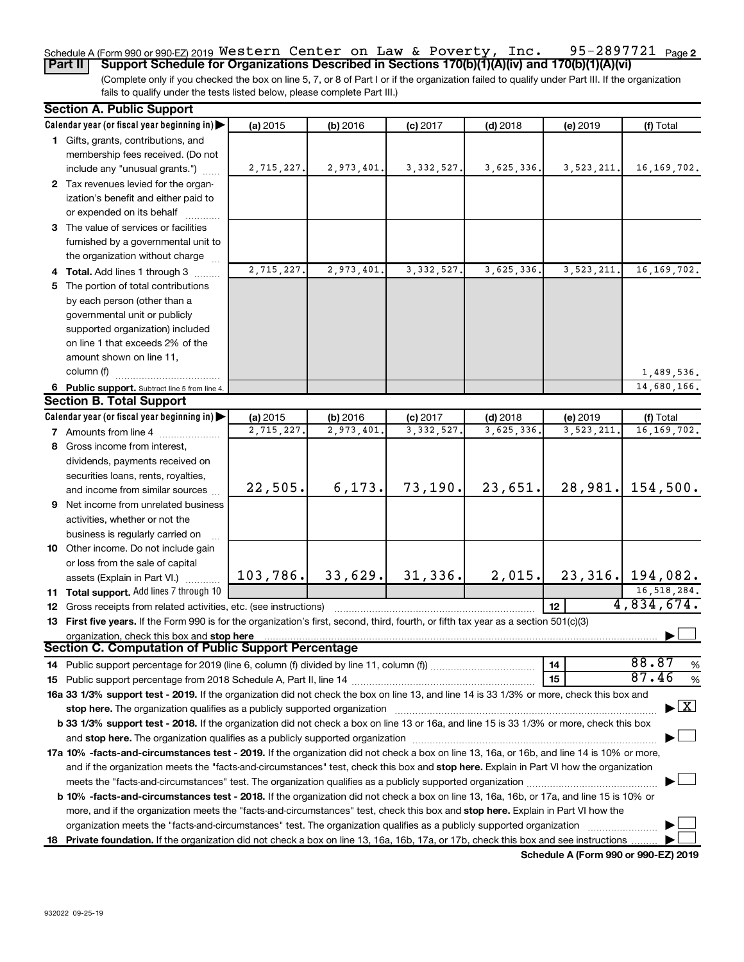#### 95-2897721 Page 2 Schedule A (Form 990 or 990-EZ) 2019 <code>Western Center on Law</code> & <code>Poverty</code> , <code>Inc. 95–2897721 Page</code> **Part II Support Schedule for Organizations Described in Sections 170(b)(1)(A)(iv) and 170(b)(1)(A)(vi)** Western Center on Law & Poverty, Inc. 95-2897721

(Complete only if you checked the box on line 5, 7, or 8 of Part I or if the organization failed to qualify under Part III. If the organization fails to qualify under the tests listed below, please complete Part III.)

| <b>Section A. Public Support</b>                                                                                                           |            |            |              |            |              |                                    |
|--------------------------------------------------------------------------------------------------------------------------------------------|------------|------------|--------------|------------|--------------|------------------------------------|
| Calendar year (or fiscal year beginning in)                                                                                                | (a) 2015   | (b) 2016   | $(c)$ 2017   | $(d)$ 2018 | (e) 2019     | (f) Total                          |
| 1 Gifts, grants, contributions, and                                                                                                        |            |            |              |            |              |                                    |
| membership fees received. (Do not                                                                                                          |            |            |              |            |              |                                    |
| include any "unusual grants.")                                                                                                             | 2,715,227. | 2,973,401. | 3, 332, 527. | 3,625,336. | 3, 523, 211. | 16, 169, 702.                      |
| 2 Tax revenues levied for the organ-                                                                                                       |            |            |              |            |              |                                    |
| ization's benefit and either paid to                                                                                                       |            |            |              |            |              |                                    |
| or expended on its behalf                                                                                                                  |            |            |              |            |              |                                    |
| 3 The value of services or facilities                                                                                                      |            |            |              |            |              |                                    |
| furnished by a governmental unit to                                                                                                        |            |            |              |            |              |                                    |
| the organization without charge                                                                                                            |            |            |              |            |              |                                    |
| 4 Total. Add lines 1 through 3                                                                                                             | 2,715,227. | 2,973,401  | 3, 332, 527. | 3,625,336. | 3,523,211.   | 16, 169, 702.                      |
| 5 The portion of total contributions                                                                                                       |            |            |              |            |              |                                    |
| by each person (other than a                                                                                                               |            |            |              |            |              |                                    |
| governmental unit or publicly                                                                                                              |            |            |              |            |              |                                    |
| supported organization) included                                                                                                           |            |            |              |            |              |                                    |
| on line 1 that exceeds 2% of the                                                                                                           |            |            |              |            |              |                                    |
| amount shown on line 11,                                                                                                                   |            |            |              |            |              |                                    |
| column (f)                                                                                                                                 |            |            |              |            |              | 1,489,536.                         |
| 6 Public support. Subtract line 5 from line 4.                                                                                             |            |            |              |            |              | 14,680,166.                        |
| <b>Section B. Total Support</b>                                                                                                            |            |            |              |            |              |                                    |
| Calendar year (or fiscal year beginning in)                                                                                                | (a) 2015   | (b) 2016   | $(c)$ 2017   | $(d)$ 2018 | (e) 2019     | (f) Total                          |
| <b>7</b> Amounts from line 4                                                                                                               | 2,715,227. | 2,973,401  | 3, 332, 527  | 3,625,336. | 3,523,211    | 16, 169, 702.                      |
| 8 Gross income from interest,                                                                                                              |            |            |              |            |              |                                    |
| dividends, payments received on                                                                                                            |            |            |              |            |              |                                    |
| securities loans, rents, royalties,                                                                                                        |            |            |              |            |              |                                    |
| and income from similar sources                                                                                                            | 22,505.    | 6, 173.    | 73, 190.     | 23,651.    |              | $28,981.$ 154,500.                 |
| 9 Net income from unrelated business                                                                                                       |            |            |              |            |              |                                    |
| activities, whether or not the                                                                                                             |            |            |              |            |              |                                    |
| business is regularly carried on                                                                                                           |            |            |              |            |              |                                    |
| 10 Other income. Do not include gain                                                                                                       |            |            |              |            |              |                                    |
| or loss from the sale of capital                                                                                                           |            |            |              |            |              |                                    |
| assets (Explain in Part VI.)                                                                                                               | 103,786.   | 33,629.    | 31,336.      | 2,015.     |              | $23,316.$ 194,082.                 |
| 11 Total support. Add lines 7 through 10                                                                                                   |            |            |              |            |              | 16,518,284.                        |
| <b>12</b> Gross receipts from related activities, etc. (see instructions)                                                                  |            |            |              |            | 12           | 4,834,674.                         |
| 13 First five years. If the Form 990 is for the organization's first, second, third, fourth, or fifth tax year as a section 501(c)(3)      |            |            |              |            |              |                                    |
| organization, check this box and stop here                                                                                                 |            |            |              |            |              |                                    |
| <b>Section C. Computation of Public Support Percentage</b>                                                                                 |            |            |              |            |              |                                    |
|                                                                                                                                            |            |            |              |            | 14           | 88.87<br>%                         |
|                                                                                                                                            |            |            |              |            | 15           | 87.46<br>%                         |
| 16a 33 1/3% support test - 2019. If the organization did not check the box on line 13, and line 14 is 33 1/3% or more, check this box and  |            |            |              |            |              |                                    |
| stop here. The organization qualifies as a publicly supported organization                                                                 |            |            |              |            |              | $\blacktriangleright$ $\mathbf{X}$ |
| b 33 1/3% support test - 2018. If the organization did not check a box on line 13 or 16a, and line 15 is 33 1/3% or more, check this box   |            |            |              |            |              |                                    |
|                                                                                                                                            |            |            |              |            |              |                                    |
| 17a 10% -facts-and-circumstances test - 2019. If the organization did not check a box on line 13, 16a, or 16b, and line 14 is 10% or more, |            |            |              |            |              |                                    |
| and if the organization meets the "facts-and-circumstances" test, check this box and stop here. Explain in Part VI how the organization    |            |            |              |            |              |                                    |
|                                                                                                                                            |            |            |              |            |              |                                    |
| b 10% -facts-and-circumstances test - 2018. If the organization did not check a box on line 13, 16a, 16b, or 17a, and line 15 is 10% or    |            |            |              |            |              |                                    |
| more, and if the organization meets the "facts-and-circumstances" test, check this box and stop here. Explain in Part VI how the           |            |            |              |            |              |                                    |
| organization meets the "facts-and-circumstances" test. The organization qualifies as a publicly supported organization                     |            |            |              |            |              |                                    |
| 18 Private foundation. If the organization did not check a box on line 13, 16a, 16b, 17a, or 17b, check this box and see instructions      |            |            |              |            |              |                                    |

**Schedule A (Form 990 or 990-EZ) 2019**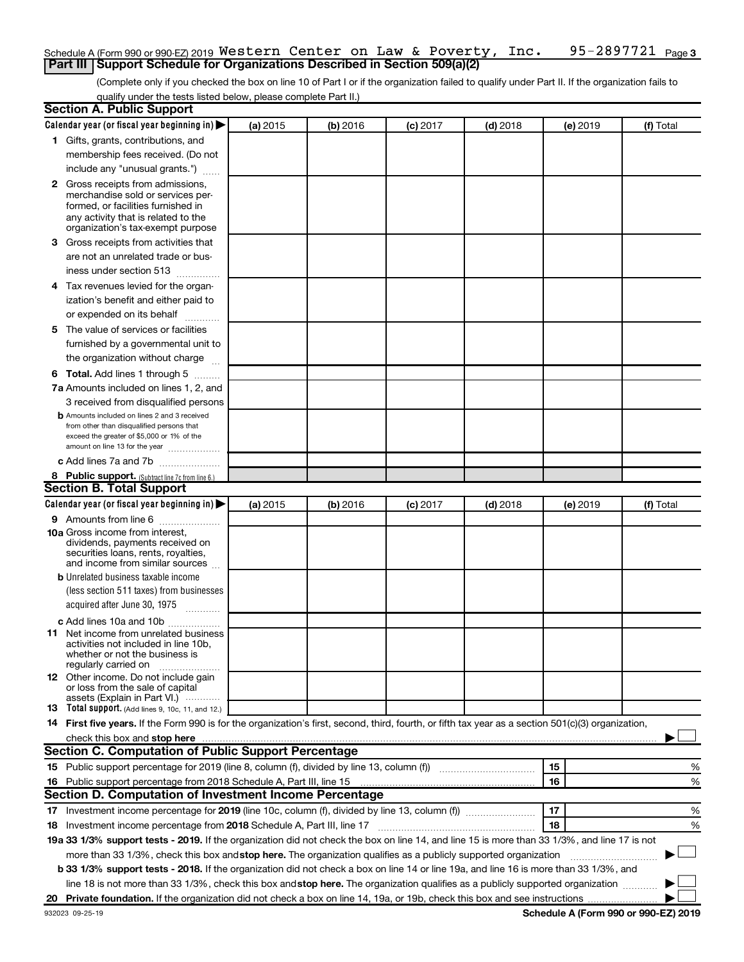### 95-2897721 Page 3 Schedule A (Form 990 or 990-EZ) 2019  $\,$  <code>Western Center</code> on Law & <code>Poverty</code> , <code>Inc. 95-2897721</code> <code>Page</code> **Part III | Support Schedule for Organizations Described in Section 509(a)(2)**

(Complete only if you checked the box on line 10 of Part I or if the organization failed to qualify under Part II. If the organization fails to qualify under the tests listed below, please complete Part II.)

| <b>Section A. Public Support</b>                                                                                                                                                                                                                                                                                                     |          |          |          |            |          |           |
|--------------------------------------------------------------------------------------------------------------------------------------------------------------------------------------------------------------------------------------------------------------------------------------------------------------------------------------|----------|----------|----------|------------|----------|-----------|
| Calendar year (or fiscal year beginning in)                                                                                                                                                                                                                                                                                          | (a) 2015 | (b) 2016 | (c) 2017 | $(d)$ 2018 | (e) 2019 | (f) Total |
| 1 Gifts, grants, contributions, and                                                                                                                                                                                                                                                                                                  |          |          |          |            |          |           |
| membership fees received. (Do not                                                                                                                                                                                                                                                                                                    |          |          |          |            |          |           |
| include any "unusual grants.")                                                                                                                                                                                                                                                                                                       |          |          |          |            |          |           |
| <b>2</b> Gross receipts from admissions,                                                                                                                                                                                                                                                                                             |          |          |          |            |          |           |
| merchandise sold or services per-                                                                                                                                                                                                                                                                                                    |          |          |          |            |          |           |
| formed, or facilities furnished in<br>any activity that is related to the                                                                                                                                                                                                                                                            |          |          |          |            |          |           |
| organization's tax-exempt purpose                                                                                                                                                                                                                                                                                                    |          |          |          |            |          |           |
| 3 Gross receipts from activities that                                                                                                                                                                                                                                                                                                |          |          |          |            |          |           |
| are not an unrelated trade or bus-                                                                                                                                                                                                                                                                                                   |          |          |          |            |          |           |
| iness under section 513                                                                                                                                                                                                                                                                                                              |          |          |          |            |          |           |
| 4 Tax revenues levied for the organ-                                                                                                                                                                                                                                                                                                 |          |          |          |            |          |           |
| ization's benefit and either paid to                                                                                                                                                                                                                                                                                                 |          |          |          |            |          |           |
| or expended on its behalf<br>.                                                                                                                                                                                                                                                                                                       |          |          |          |            |          |           |
| 5 The value of services or facilities                                                                                                                                                                                                                                                                                                |          |          |          |            |          |           |
| furnished by a governmental unit to                                                                                                                                                                                                                                                                                                  |          |          |          |            |          |           |
| the organization without charge                                                                                                                                                                                                                                                                                                      |          |          |          |            |          |           |
| <b>6 Total.</b> Add lines 1 through 5                                                                                                                                                                                                                                                                                                |          |          |          |            |          |           |
| 7a Amounts included on lines 1, 2, and                                                                                                                                                                                                                                                                                               |          |          |          |            |          |           |
| 3 received from disqualified persons                                                                                                                                                                                                                                                                                                 |          |          |          |            |          |           |
| <b>b</b> Amounts included on lines 2 and 3 received                                                                                                                                                                                                                                                                                  |          |          |          |            |          |           |
| from other than disqualified persons that                                                                                                                                                                                                                                                                                            |          |          |          |            |          |           |
| exceed the greater of \$5,000 or 1% of the<br>amount on line 13 for the year                                                                                                                                                                                                                                                         |          |          |          |            |          |           |
| c Add lines 7a and 7b                                                                                                                                                                                                                                                                                                                |          |          |          |            |          |           |
| 8 Public support. (Subtract line 7c from line 6.)                                                                                                                                                                                                                                                                                    |          |          |          |            |          |           |
| <b>Section B. Total Support</b>                                                                                                                                                                                                                                                                                                      |          |          |          |            |          |           |
| Calendar year (or fiscal year beginning in)                                                                                                                                                                                                                                                                                          | (a) 2015 | (b) 2016 | (c) 2017 | $(d)$ 2018 | (e) 2019 | (f) Total |
| <b>9</b> Amounts from line 6                                                                                                                                                                                                                                                                                                         |          |          |          |            |          |           |
| <b>10a</b> Gross income from interest,                                                                                                                                                                                                                                                                                               |          |          |          |            |          |           |
| dividends, payments received on                                                                                                                                                                                                                                                                                                      |          |          |          |            |          |           |
| securities loans, rents, royalties,<br>and income from similar sources                                                                                                                                                                                                                                                               |          |          |          |            |          |           |
| <b>b</b> Unrelated business taxable income                                                                                                                                                                                                                                                                                           |          |          |          |            |          |           |
| (less section 511 taxes) from businesses                                                                                                                                                                                                                                                                                             |          |          |          |            |          |           |
| acquired after June 30, 1975                                                                                                                                                                                                                                                                                                         |          |          |          |            |          |           |
|                                                                                                                                                                                                                                                                                                                                      |          |          |          |            |          |           |
| c Add lines 10a and 10b<br><b>11</b> Net income from unrelated business                                                                                                                                                                                                                                                              |          |          |          |            |          |           |
| activities not included in line 10b.                                                                                                                                                                                                                                                                                                 |          |          |          |            |          |           |
| whether or not the business is                                                                                                                                                                                                                                                                                                       |          |          |          |            |          |           |
| regularly carried on<br>12 Other income. Do not include gain                                                                                                                                                                                                                                                                         |          |          |          |            |          |           |
| or loss from the sale of capital                                                                                                                                                                                                                                                                                                     |          |          |          |            |          |           |
| assets (Explain in Part VI.)                                                                                                                                                                                                                                                                                                         |          |          |          |            |          |           |
| <b>13</b> Total support. (Add lines 9, 10c, 11, and 12.)                                                                                                                                                                                                                                                                             |          |          |          |            |          |           |
| 14 First five years. If the Form 990 is for the organization's first, second, third, fourth, or fifth tax year as a section 501(c)(3) organization,                                                                                                                                                                                  |          |          |          |            |          |           |
| check this box and stop here <b>construction and construction</b> and stop here <b>constructed</b> and stop here <b>constructed</b> and stop here <b>constructed</b> and <b>construction</b> and <b>construction</b> and <b>construction</b> and <b>construction</b> a<br><b>Section C. Computation of Public Support Percentage</b> |          |          |          |            |          |           |
|                                                                                                                                                                                                                                                                                                                                      |          |          |          |            |          |           |
| 15 Public support percentage for 2019 (line 8, column (f), divided by line 13, column (f) <i>manumeronominium</i>                                                                                                                                                                                                                    |          |          |          |            | 15       | %         |
| 16 Public support percentage from 2018 Schedule A, Part III, line 15                                                                                                                                                                                                                                                                 |          |          |          |            | 16       | %         |
| Section D. Computation of Investment Income Percentage                                                                                                                                                                                                                                                                               |          |          |          |            |          |           |
| 17 Investment income percentage for 2019 (line 10c, column (f), divided by line 13, column (f))                                                                                                                                                                                                                                      |          |          |          |            | 17       | %         |
| 18 Investment income percentage from 2018 Schedule A, Part III, line 17                                                                                                                                                                                                                                                              |          |          |          |            | 18       | %         |
| 19a 33 1/3% support tests - 2019. If the organization did not check the box on line 14, and line 15 is more than 33 1/3%, and line 17 is not                                                                                                                                                                                         |          |          |          |            |          |           |
| more than 33 1/3%, check this box and stop here. The organization qualifies as a publicly supported organization                                                                                                                                                                                                                     |          |          |          |            |          |           |
| b 33 1/3% support tests - 2018. If the organization did not check a box on line 14 or line 19a, and line 16 is more than 33 1/3%, and                                                                                                                                                                                                |          |          |          |            |          |           |
| line 18 is not more than 33 1/3%, check this box and stop here. The organization qualifies as a publicly supported organization                                                                                                                                                                                                      |          |          |          |            |          |           |
|                                                                                                                                                                                                                                                                                                                                      |          |          |          |            |          |           |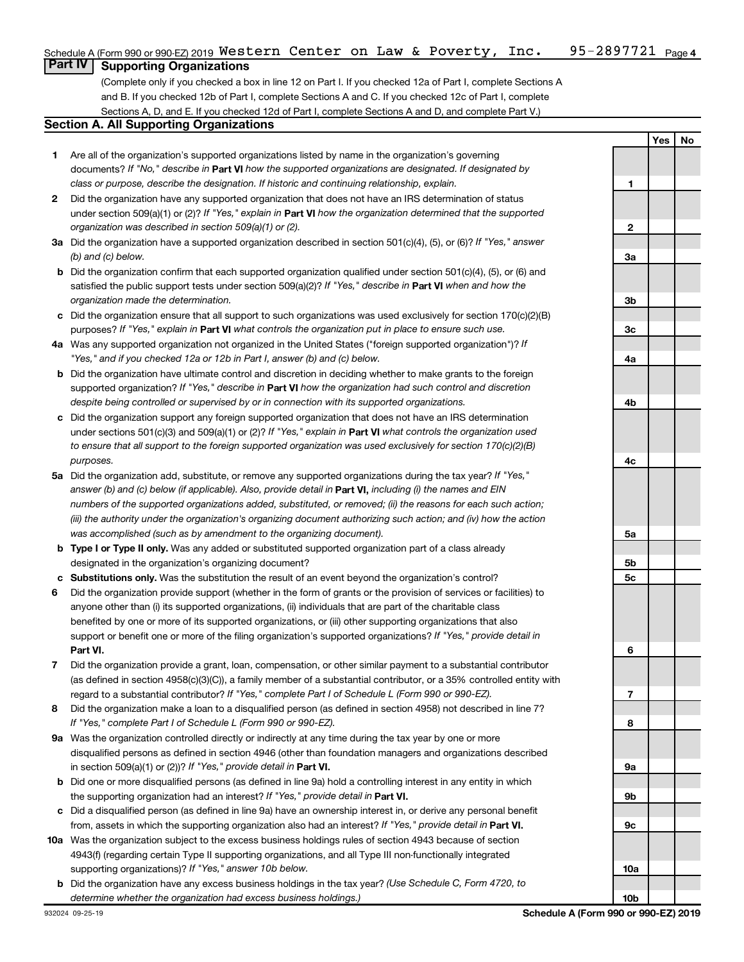### 95-2897721 <sub>Page 4</sub> Schedule A (Form 990 or 990-EZ) 2019  $\,$  <code>Western Center</code> on Law & <code>Poverty</code> , <code>Inc. 95-2897721</code> <code>Page</code> **Part IV Supporting Organizations**

(Complete only if you checked a box in line 12 on Part I. If you checked 12a of Part I, complete Sections A and B. If you checked 12b of Part I, complete Sections A and C. If you checked 12c of Part I, complete Sections A, D, and E. If you checked 12d of Part I, complete Sections A and D, and complete Part V.)

## **Section A. All Supporting Organizations**

- **1** Are all of the organization's supported organizations listed by name in the organization's governing documents? If "No," describe in Part VI how the supported organizations are designated. If designated by *class or purpose, describe the designation. If historic and continuing relationship, explain.*
- **2** Did the organization have any supported organization that does not have an IRS determination of status under section 509(a)(1) or (2)? If "Yes," explain in Part **VI** how the organization determined that the supported *organization was described in section 509(a)(1) or (2).*
- **3a** Did the organization have a supported organization described in section 501(c)(4), (5), or (6)? If "Yes," answer *(b) and (c) below.*
- **b** Did the organization confirm that each supported organization qualified under section 501(c)(4), (5), or (6) and satisfied the public support tests under section 509(a)(2)? If "Yes," describe in Part VI when and how the *organization made the determination.*
- **c** Did the organization ensure that all support to such organizations was used exclusively for section 170(c)(2)(B) purposes? If "Yes," explain in Part VI what controls the organization put in place to ensure such use.
- **4 a** *If* Was any supported organization not organized in the United States ("foreign supported organization")? *"Yes," and if you checked 12a or 12b in Part I, answer (b) and (c) below.*
- **b** Did the organization have ultimate control and discretion in deciding whether to make grants to the foreign supported organization? If "Yes," describe in Part VI how the organization had such control and discretion *despite being controlled or supervised by or in connection with its supported organizations.*
- **c** Did the organization support any foreign supported organization that does not have an IRS determination under sections 501(c)(3) and 509(a)(1) or (2)? If "Yes," explain in Part VI what controls the organization used *to ensure that all support to the foreign supported organization was used exclusively for section 170(c)(2)(B) purposes.*
- **5a** Did the organization add, substitute, or remove any supported organizations during the tax year? If "Yes," answer (b) and (c) below (if applicable). Also, provide detail in **Part VI,** including (i) the names and EIN *numbers of the supported organizations added, substituted, or removed; (ii) the reasons for each such action; (iii) the authority under the organization's organizing document authorizing such action; and (iv) how the action was accomplished (such as by amendment to the organizing document).*
- **b** Type I or Type II only. Was any added or substituted supported organization part of a class already designated in the organization's organizing document?
- **c Substitutions only.**  Was the substitution the result of an event beyond the organization's control?
- **6** Did the organization provide support (whether in the form of grants or the provision of services or facilities) to **Part VI.** support or benefit one or more of the filing organization's supported organizations? If "Yes," provide detail in anyone other than (i) its supported organizations, (ii) individuals that are part of the charitable class benefited by one or more of its supported organizations, or (iii) other supporting organizations that also
- **7** Did the organization provide a grant, loan, compensation, or other similar payment to a substantial contributor regard to a substantial contributor? If "Yes," complete Part I of Schedule L (Form 990 or 990-EZ). (as defined in section 4958(c)(3)(C)), a family member of a substantial contributor, or a 35% controlled entity with
- **8** Did the organization make a loan to a disqualified person (as defined in section 4958) not described in line 7? *If "Yes," complete Part I of Schedule L (Form 990 or 990-EZ).*
- **9 a** Was the organization controlled directly or indirectly at any time during the tax year by one or more in section 509(a)(1) or (2))? If "Yes," provide detail in **Part VI.** disqualified persons as defined in section 4946 (other than foundation managers and organizations described
- **b** Did one or more disqualified persons (as defined in line 9a) hold a controlling interest in any entity in which the supporting organization had an interest? If "Yes," provide detail in Part VI.
- **c** Did a disqualified person (as defined in line 9a) have an ownership interest in, or derive any personal benefit from, assets in which the supporting organization also had an interest? If "Yes," provide detail in Part VI.
- **10 a** Was the organization subject to the excess business holdings rules of section 4943 because of section supporting organizations)? If "Yes," answer 10b below. 4943(f) (regarding certain Type II supporting organizations, and all Type III non-functionally integrated
- **b** Did the organization have any excess business holdings in the tax year? (Use Schedule C, Form 4720, to *determine whether the organization had excess business holdings.)*

**Yes No 1 2 3a 3b 3c 4a 4b 4c 5a 5b 5c 6 7 8 9a 9b 9c 10a**

**10b**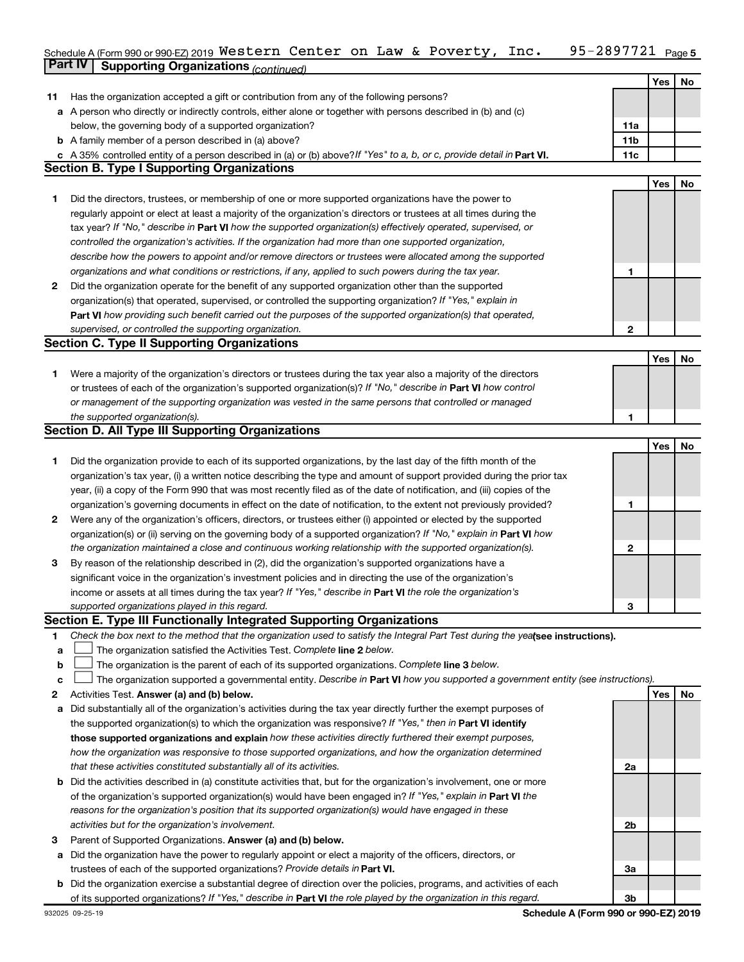### 95-2897721 Page 5 Schedule A (Form 990 or 990-EZ) 2019 <code>Western Center on Law</code> & <code>Poverty</code> , <code>Inc. 95–2897721 Page</code> **Part IV Supporting Organizations** *(continued)* Western Center on Law & Poverty, Inc. 95-2897721

|    |                                                                                                                                 |     | Yes | No |
|----|---------------------------------------------------------------------------------------------------------------------------------|-----|-----|----|
| 11 | Has the organization accepted a gift or contribution from any of the following persons?                                         |     |     |    |
| а  | A person who directly or indirectly controls, either alone or together with persons described in (b) and (c)                    |     |     |    |
|    | below, the governing body of a supported organization?                                                                          | 11a |     |    |
|    | <b>b</b> A family member of a person described in (a) above?                                                                    | 11b |     |    |
|    | c A 35% controlled entity of a person described in (a) or (b) above? If "Yes" to a, b, or c, provide detail in Part VI.         | 11c |     |    |
|    | <b>Section B. Type I Supporting Organizations</b>                                                                               |     |     |    |
|    |                                                                                                                                 |     | Yes | No |
| 1  | Did the directors, trustees, or membership of one or more supported organizations have the power to                             |     |     |    |
|    | regularly appoint or elect at least a majority of the organization's directors or trustees at all times during the              |     |     |    |
|    | tax year? If "No," describe in Part VI how the supported organization(s) effectively operated, supervised, or                   |     |     |    |
|    | controlled the organization's activities. If the organization had more than one supported organization,                         |     |     |    |
|    | describe how the powers to appoint and/or remove directors or trustees were allocated among the supported                       |     |     |    |
|    | organizations and what conditions or restrictions, if any, applied to such powers during the tax year.                          | 1   |     |    |
| 2  | Did the organization operate for the benefit of any supported organization other than the supported                             |     |     |    |
|    | organization(s) that operated, supervised, or controlled the supporting organization? If "Yes," explain in                      |     |     |    |
|    | Part VI how providing such benefit carried out the purposes of the supported organization(s) that operated,                     |     |     |    |
|    | supervised, or controlled the supporting organization.                                                                          | 2   |     |    |
|    | <b>Section C. Type II Supporting Organizations</b>                                                                              |     |     |    |
|    |                                                                                                                                 |     | Yes | No |
| 1  | Were a majority of the organization's directors or trustees during the tax year also a majority of the directors                |     |     |    |
|    | or trustees of each of the organization's supported organization(s)? If "No," describe in Part VI how control                   |     |     |    |
|    | or management of the supporting organization was vested in the same persons that controlled or managed                          |     |     |    |
|    | the supported organization(s).                                                                                                  | 1   |     |    |
|    | <b>Section D. All Type III Supporting Organizations</b>                                                                         |     |     |    |
|    |                                                                                                                                 |     | Yes | No |
| 1  | Did the organization provide to each of its supported organizations, by the last day of the fifth month of the                  |     |     |    |
|    | organization's tax year, (i) a written notice describing the type and amount of support provided during the prior tax           |     |     |    |
|    | year, (ii) a copy of the Form 990 that was most recently filed as of the date of notification, and (iii) copies of the          |     |     |    |
|    | organization's governing documents in effect on the date of notification, to the extent not previously provided?                | 1   |     |    |
| 2  | Were any of the organization's officers, directors, or trustees either (i) appointed or elected by the supported                |     |     |    |
|    | organization(s) or (ii) serving on the governing body of a supported organization? If "No," explain in Part VI how              |     |     |    |
|    | the organization maintained a close and continuous working relationship with the supported organization(s).                     | 2   |     |    |
| 3  | By reason of the relationship described in (2), did the organization's supported organizations have a                           |     |     |    |
|    | significant voice in the organization's investment policies and in directing the use of the organization's                      |     |     |    |
|    | income or assets at all times during the tax year? If "Yes," describe in Part VI the role the organization's                    |     |     |    |
|    | supported organizations played in this regard.                                                                                  | 3   |     |    |
|    | Section E. Type III Functionally Integrated Supporting Organizations                                                            |     |     |    |
| 1  | Check the box next to the method that the organization used to satisfy the Integral Part Test during the yealsee instructions). |     |     |    |
| a  | The organization satisfied the Activities Test. Complete line 2 below.                                                          |     |     |    |
| b  | The organization is the parent of each of its supported organizations. Complete line 3 below.                                   |     |     |    |
| с  | The organization supported a governmental entity. Describe in Part VI how you supported a government entity (see instructions). |     |     |    |
| 2  | Activities Test. Answer (a) and (b) below.                                                                                      |     | Yes | No |
| а  | Did substantially all of the organization's activities during the tax year directly further the exempt purposes of              |     |     |    |
|    | the supported organization(s) to which the organization was responsive? If "Yes," then in Part VI identify                      |     |     |    |
|    | those supported organizations and explain how these activities directly furthered their exempt purposes,                        |     |     |    |
|    | how the organization was responsive to those supported organizations, and how the organization determined                       |     |     |    |
|    | that these activities constituted substantially all of its activities.                                                          | 2a  |     |    |
| b  | Did the activities described in (a) constitute activities that, but for the organization's involvement, one or more             |     |     |    |
|    | of the organization's supported organization(s) would have been engaged in? If "Yes," explain in Part VI the                    |     |     |    |
|    | reasons for the organization's position that its supported organization(s) would have engaged in these                          |     |     |    |
|    | activities but for the organization's involvement.                                                                              | 2b  |     |    |
| з  | Parent of Supported Organizations. Answer (a) and (b) below.                                                                    |     |     |    |
| а  | Did the organization have the power to regularly appoint or elect a majority of the officers, directors, or                     |     |     |    |
|    | trustees of each of the supported organizations? Provide details in Part VI.                                                    | За  |     |    |
|    | <b>b</b> Did the organization exercise a substantial degree of direction over the policies, programs, and activities of each    |     |     |    |
|    | of its supported organizations? If "Yes," describe in Part VI the role played by the organization in this regard.               | 3b  |     |    |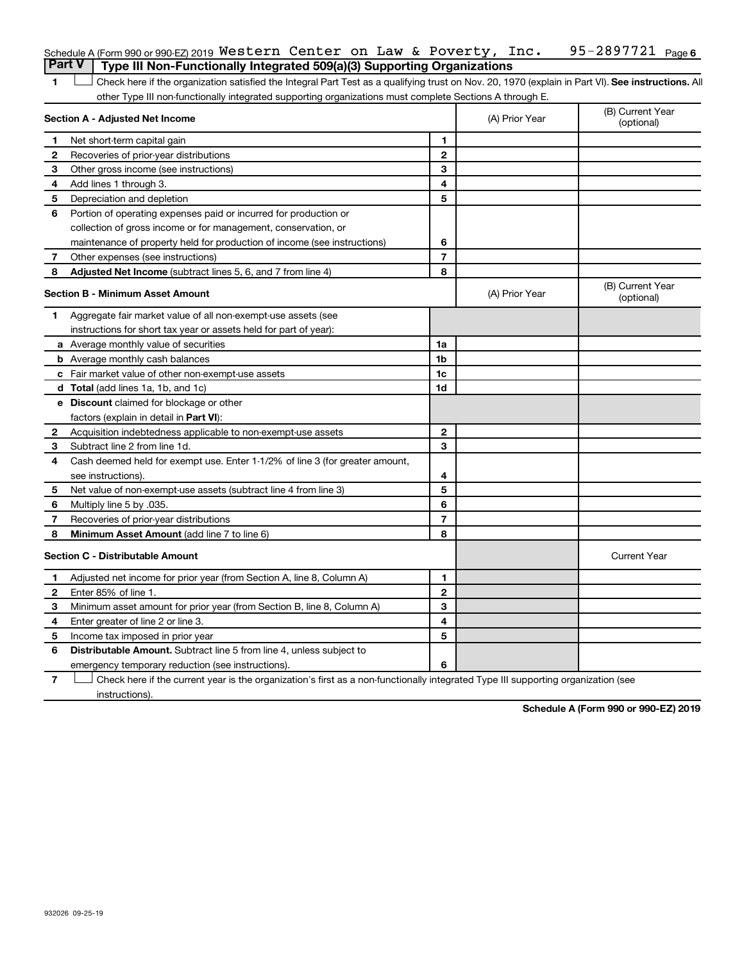|               | Schedule A (Form 990 or 990-EZ) 2019 Western Center on Law & Poverty, Inc.                                                                         |                |                | 95-2897721 Page 6              |
|---------------|----------------------------------------------------------------------------------------------------------------------------------------------------|----------------|----------------|--------------------------------|
| <b>Part V</b> | Type III Non-Functionally Integrated 509(a)(3) Supporting Organizations                                                                            |                |                |                                |
| 1             | Check here if the organization satisfied the Integral Part Test as a qualifying trust on Nov. 20, 1970 (explain in Part VI). See instructions. All |                |                |                                |
|               | other Type III non-functionally integrated supporting organizations must complete Sections A through E.                                            |                |                |                                |
|               | Section A - Adjusted Net Income                                                                                                                    |                | (A) Prior Year | (B) Current Year<br>(optional) |
| 1.            | Net short-term capital gain                                                                                                                        | 1              |                |                                |
| 2             | Recoveries of prior-year distributions                                                                                                             | $\mathbf{2}$   |                |                                |
| З             | Other gross income (see instructions)                                                                                                              | 3              |                |                                |
| 4             | Add lines 1 through 3.                                                                                                                             | 4              |                |                                |
| 5             | Depreciation and depletion                                                                                                                         | 5              |                |                                |
| 6             | Portion of operating expenses paid or incurred for production or                                                                                   |                |                |                                |
|               | collection of gross income or for management, conservation, or                                                                                     |                |                |                                |
|               | maintenance of property held for production of income (see instructions)                                                                           | 6              |                |                                |
| 7             | Other expenses (see instructions)                                                                                                                  | $\overline{7}$ |                |                                |
| 8             | Adjusted Net Income (subtract lines 5, 6, and 7 from line 4)                                                                                       | 8              |                |                                |
|               | <b>Section B - Minimum Asset Amount</b>                                                                                                            |                | (A) Prior Year | (B) Current Year<br>(optional) |
| 1.            | Aggregate fair market value of all non-exempt-use assets (see                                                                                      |                |                |                                |
|               | instructions for short tax year or assets held for part of year):                                                                                  |                |                |                                |
|               | <b>a</b> Average monthly value of securities                                                                                                       | 1a             |                |                                |
|               | <b>b</b> Average monthly cash balances                                                                                                             | 1 <sub>b</sub> |                |                                |
|               | c Fair market value of other non-exempt-use assets                                                                                                 | 1c             |                |                                |
|               | d Total (add lines 1a, 1b, and 1c)                                                                                                                 | 1d             |                |                                |
|               | e Discount claimed for blockage or other                                                                                                           |                |                |                                |
|               | factors (explain in detail in Part VI):                                                                                                            |                |                |                                |
| 2             | Acquisition indebtedness applicable to non-exempt-use assets                                                                                       | $\mathbf{2}$   |                |                                |
| 3             | Subtract line 2 from line 1d.                                                                                                                      | 3              |                |                                |
| 4             | Cash deemed held for exempt use. Enter 1-1/2% of line 3 (for greater amount,                                                                       |                |                |                                |
|               | see instructions).                                                                                                                                 | 4              |                |                                |
| 5             | Net value of non-exempt-use assets (subtract line 4 from line 3)                                                                                   | 5              |                |                                |
| 6             | Multiply line 5 by .035.                                                                                                                           | 6              |                |                                |
| 7             | Recoveries of prior-year distributions                                                                                                             | $\overline{7}$ |                |                                |
| 8             | Minimum Asset Amount (add line 7 to line 6)                                                                                                        | 8              |                |                                |
|               | <b>Section C - Distributable Amount</b>                                                                                                            |                |                | <b>Current Year</b>            |
| $\mathbf 1$   | Adjusted net income for prior year (from Section A, line 8, Column A)                                                                              | 1              |                |                                |
| $\mathbf{2}$  | Enter 85% of line 1.                                                                                                                               | $\mathbf{2}$   |                |                                |
| З             | Minimum asset amount for prior year (from Section B, line 8, Column A)                                                                             | 3              |                |                                |
| 4             | Enter greater of line 2 or line 3.                                                                                                                 | 4              |                |                                |
| 5             | Income tax imposed in prior year                                                                                                                   | 5              |                |                                |
| 6             | <b>Distributable Amount.</b> Subtract line 5 from line 4, unless subject to                                                                        |                |                |                                |
|               | emergency temporary reduction (see instructions).                                                                                                  | 6              |                |                                |
|               |                                                                                                                                                    |                |                |                                |

**7** Let Check here if the current year is the organization's first as a non-functionally integrated Type III supporting organization (see instructions).

**Schedule A (Form 990 or 990-EZ) 2019**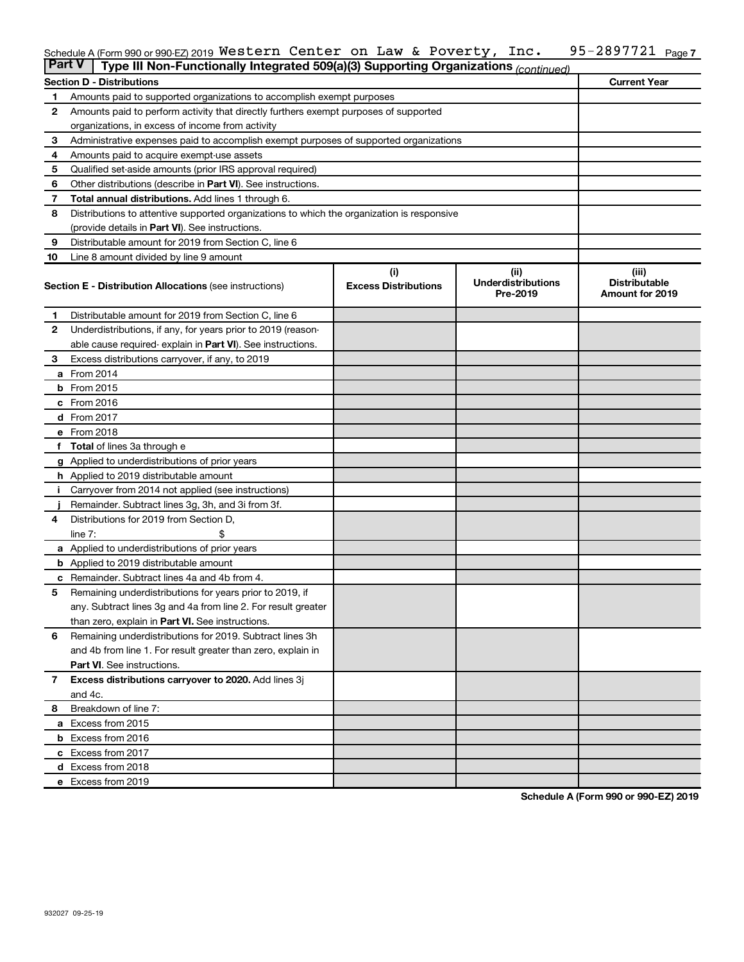#### 95-2897721 Page 7 Schedule A (Form 990 or 990-EZ) 2019 <code>Western Center on Law</code> & <code>Poverty</code> , <code>Inc. 95–2897721 Page</code> Western Center on Law & Poverty, Inc. 95-2897721

| <b>Part V</b> | Type III Non-Functionally Integrated 509(a)(3) Supporting Organizations (continued)        |                             |                                       |                                                |  |  |  |  |  |  |
|---------------|--------------------------------------------------------------------------------------------|-----------------------------|---------------------------------------|------------------------------------------------|--|--|--|--|--|--|
|               | <b>Section D - Distributions</b>                                                           |                             |                                       | <b>Current Year</b>                            |  |  |  |  |  |  |
| 1             | Amounts paid to supported organizations to accomplish exempt purposes                      |                             |                                       |                                                |  |  |  |  |  |  |
| 2             | Amounts paid to perform activity that directly furthers exempt purposes of supported       |                             |                                       |                                                |  |  |  |  |  |  |
|               | organizations, in excess of income from activity                                           |                             |                                       |                                                |  |  |  |  |  |  |
| 3             | Administrative expenses paid to accomplish exempt purposes of supported organizations      |                             |                                       |                                                |  |  |  |  |  |  |
| 4             | Amounts paid to acquire exempt-use assets                                                  |                             |                                       |                                                |  |  |  |  |  |  |
| 5             | Qualified set-aside amounts (prior IRS approval required)                                  |                             |                                       |                                                |  |  |  |  |  |  |
| 6             | Other distributions (describe in <b>Part VI</b> ). See instructions.                       |                             |                                       |                                                |  |  |  |  |  |  |
| 7             | <b>Total annual distributions.</b> Add lines 1 through 6.                                  |                             |                                       |                                                |  |  |  |  |  |  |
| 8             | Distributions to attentive supported organizations to which the organization is responsive |                             |                                       |                                                |  |  |  |  |  |  |
|               | (provide details in Part VI). See instructions.                                            |                             |                                       |                                                |  |  |  |  |  |  |
| 9             | Distributable amount for 2019 from Section C, line 6                                       |                             |                                       |                                                |  |  |  |  |  |  |
| 10            | Line 8 amount divided by line 9 amount                                                     |                             |                                       |                                                |  |  |  |  |  |  |
|               |                                                                                            | (i)                         | (ii)                                  | (iii)                                          |  |  |  |  |  |  |
|               | <b>Section E - Distribution Allocations (see instructions)</b>                             | <b>Excess Distributions</b> | <b>Underdistributions</b><br>Pre-2019 | <b>Distributable</b><br><b>Amount for 2019</b> |  |  |  |  |  |  |
| 1.            | Distributable amount for 2019 from Section C, line 6                                       |                             |                                       |                                                |  |  |  |  |  |  |
| 2             | Underdistributions, if any, for years prior to 2019 (reason-                               |                             |                                       |                                                |  |  |  |  |  |  |
|               | able cause required-explain in Part VI). See instructions.                                 |                             |                                       |                                                |  |  |  |  |  |  |
| 3             | Excess distributions carryover, if any, to 2019                                            |                             |                                       |                                                |  |  |  |  |  |  |
| a             | From 2014                                                                                  |                             |                                       |                                                |  |  |  |  |  |  |
| b             | From 2015                                                                                  |                             |                                       |                                                |  |  |  |  |  |  |
| с             | From 2016                                                                                  |                             |                                       |                                                |  |  |  |  |  |  |
|               | <b>d</b> From 2017                                                                         |                             |                                       |                                                |  |  |  |  |  |  |
|               | e From 2018                                                                                |                             |                                       |                                                |  |  |  |  |  |  |
| f             | <b>Total</b> of lines 3a through e                                                         |                             |                                       |                                                |  |  |  |  |  |  |
|               | <b>g</b> Applied to underdistributions of prior years                                      |                             |                                       |                                                |  |  |  |  |  |  |
|               | <b>h</b> Applied to 2019 distributable amount                                              |                             |                                       |                                                |  |  |  |  |  |  |
|               | Carryover from 2014 not applied (see instructions)                                         |                             |                                       |                                                |  |  |  |  |  |  |
|               | Remainder. Subtract lines 3g, 3h, and 3i from 3f.                                          |                             |                                       |                                                |  |  |  |  |  |  |
| 4             | Distributions for 2019 from Section D,                                                     |                             |                                       |                                                |  |  |  |  |  |  |
|               | line $7:$                                                                                  |                             |                                       |                                                |  |  |  |  |  |  |
|               | a Applied to underdistributions of prior years                                             |                             |                                       |                                                |  |  |  |  |  |  |
|               | <b>b</b> Applied to 2019 distributable amount                                              |                             |                                       |                                                |  |  |  |  |  |  |
| с             | Remainder. Subtract lines 4a and 4b from 4.                                                |                             |                                       |                                                |  |  |  |  |  |  |
| 5             | Remaining underdistributions for years prior to 2019, if                                   |                             |                                       |                                                |  |  |  |  |  |  |
|               | any. Subtract lines 3g and 4a from line 2. For result greater                              |                             |                                       |                                                |  |  |  |  |  |  |
|               | than zero, explain in Part VI. See instructions.                                           |                             |                                       |                                                |  |  |  |  |  |  |
| 6             | Remaining underdistributions for 2019. Subtract lines 3h                                   |                             |                                       |                                                |  |  |  |  |  |  |
|               | and 4b from line 1. For result greater than zero, explain in                               |                             |                                       |                                                |  |  |  |  |  |  |
|               | <b>Part VI.</b> See instructions.                                                          |                             |                                       |                                                |  |  |  |  |  |  |
| $\mathbf{7}$  | Excess distributions carryover to 2020. Add lines 3j                                       |                             |                                       |                                                |  |  |  |  |  |  |
|               | and 4c.                                                                                    |                             |                                       |                                                |  |  |  |  |  |  |
| 8             | Breakdown of line 7:                                                                       |                             |                                       |                                                |  |  |  |  |  |  |
|               | a Excess from 2015                                                                         |                             |                                       |                                                |  |  |  |  |  |  |
|               | <b>b</b> Excess from 2016                                                                  |                             |                                       |                                                |  |  |  |  |  |  |
|               | c Excess from 2017                                                                         |                             |                                       |                                                |  |  |  |  |  |  |
|               | d Excess from 2018                                                                         |                             |                                       |                                                |  |  |  |  |  |  |
|               | e Excess from 2019                                                                         |                             |                                       |                                                |  |  |  |  |  |  |

**Schedule A (Form 990 or 990-EZ) 2019**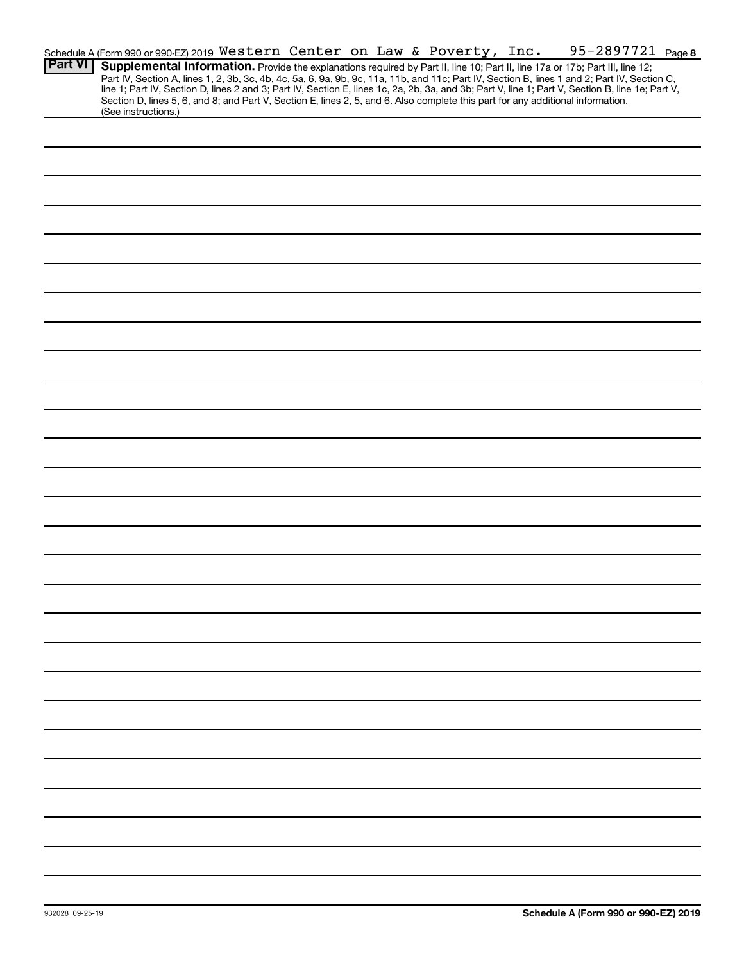|                | Schedule A (Form 990 or 990-EZ) 2019 Western Center on Law & Poverty, Inc.                                                                             |  |  |  | 95-2897721 Page 8                                                                                                                                                                                                                                                                                |  |
|----------------|--------------------------------------------------------------------------------------------------------------------------------------------------------|--|--|--|--------------------------------------------------------------------------------------------------------------------------------------------------------------------------------------------------------------------------------------------------------------------------------------------------|--|
| <b>Part VI</b> | Supplemental Information. Provide the explanations required by Part II, line 10; Part II, line 17a or 17b; Part III, line 12;                          |  |  |  | Part IV, Section A, lines 1, 2, 3b, 3c, 4b, 4c, 5a, 6, 9a, 9b, 9c, 11a, 11b, and 11c; Part IV, Section B, lines 1 and 2; Part IV, Section C,<br>line 1; Part IV, Section D, lines 2 and 3; Part IV, Section E, lines 1c, 2a, 2b, 3a, and 3b; Part V, line 1; Part V, Section B, line 1e; Part V, |  |
|                | Section D, lines 5, 6, and 8; and Part V, Section E, lines 2, 5, and 6. Also complete this part for any additional information.<br>(See instructions.) |  |  |  |                                                                                                                                                                                                                                                                                                  |  |
|                |                                                                                                                                                        |  |  |  |                                                                                                                                                                                                                                                                                                  |  |
|                |                                                                                                                                                        |  |  |  |                                                                                                                                                                                                                                                                                                  |  |
|                |                                                                                                                                                        |  |  |  |                                                                                                                                                                                                                                                                                                  |  |
|                |                                                                                                                                                        |  |  |  |                                                                                                                                                                                                                                                                                                  |  |
|                |                                                                                                                                                        |  |  |  |                                                                                                                                                                                                                                                                                                  |  |
|                |                                                                                                                                                        |  |  |  |                                                                                                                                                                                                                                                                                                  |  |
|                |                                                                                                                                                        |  |  |  |                                                                                                                                                                                                                                                                                                  |  |
|                |                                                                                                                                                        |  |  |  |                                                                                                                                                                                                                                                                                                  |  |
|                |                                                                                                                                                        |  |  |  |                                                                                                                                                                                                                                                                                                  |  |
|                |                                                                                                                                                        |  |  |  |                                                                                                                                                                                                                                                                                                  |  |
|                |                                                                                                                                                        |  |  |  |                                                                                                                                                                                                                                                                                                  |  |
|                |                                                                                                                                                        |  |  |  |                                                                                                                                                                                                                                                                                                  |  |
|                |                                                                                                                                                        |  |  |  |                                                                                                                                                                                                                                                                                                  |  |
|                |                                                                                                                                                        |  |  |  |                                                                                                                                                                                                                                                                                                  |  |
|                |                                                                                                                                                        |  |  |  |                                                                                                                                                                                                                                                                                                  |  |
|                |                                                                                                                                                        |  |  |  |                                                                                                                                                                                                                                                                                                  |  |
|                |                                                                                                                                                        |  |  |  |                                                                                                                                                                                                                                                                                                  |  |
|                |                                                                                                                                                        |  |  |  |                                                                                                                                                                                                                                                                                                  |  |
|                |                                                                                                                                                        |  |  |  |                                                                                                                                                                                                                                                                                                  |  |
|                |                                                                                                                                                        |  |  |  |                                                                                                                                                                                                                                                                                                  |  |
|                |                                                                                                                                                        |  |  |  |                                                                                                                                                                                                                                                                                                  |  |
|                |                                                                                                                                                        |  |  |  |                                                                                                                                                                                                                                                                                                  |  |
|                |                                                                                                                                                        |  |  |  |                                                                                                                                                                                                                                                                                                  |  |
|                |                                                                                                                                                        |  |  |  |                                                                                                                                                                                                                                                                                                  |  |
|                |                                                                                                                                                        |  |  |  |                                                                                                                                                                                                                                                                                                  |  |
|                |                                                                                                                                                        |  |  |  |                                                                                                                                                                                                                                                                                                  |  |
|                |                                                                                                                                                        |  |  |  |                                                                                                                                                                                                                                                                                                  |  |
|                |                                                                                                                                                        |  |  |  |                                                                                                                                                                                                                                                                                                  |  |
|                |                                                                                                                                                        |  |  |  |                                                                                                                                                                                                                                                                                                  |  |
|                |                                                                                                                                                        |  |  |  |                                                                                                                                                                                                                                                                                                  |  |
|                |                                                                                                                                                        |  |  |  |                                                                                                                                                                                                                                                                                                  |  |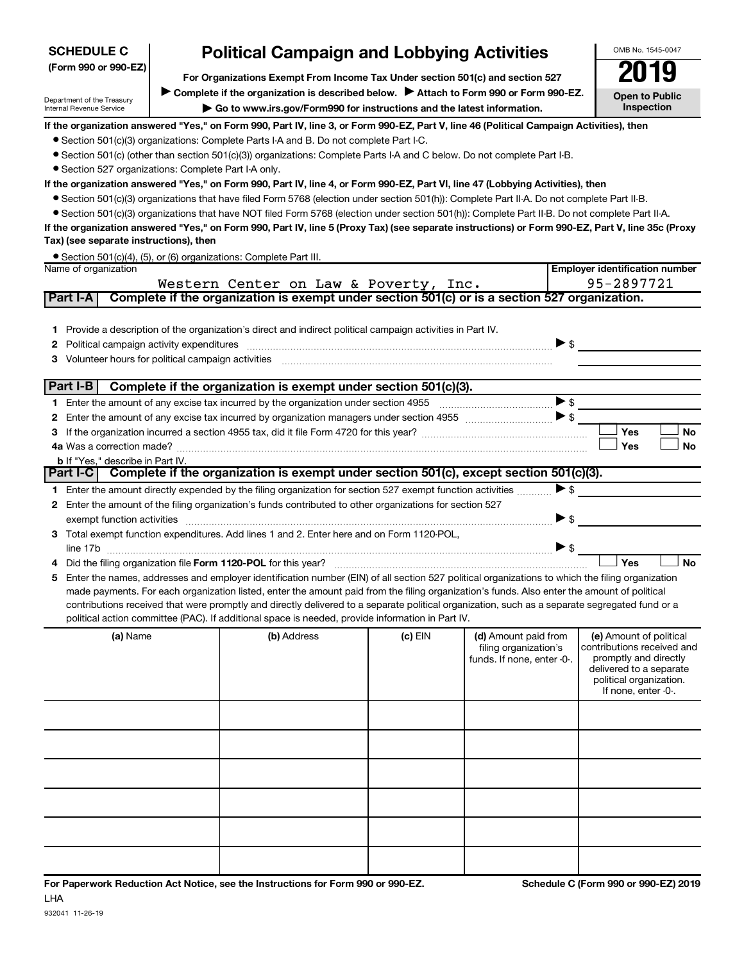| <b>SCHEDULE C</b>                                      | <b>Political Campaign and Lobbying Activities</b>                                                                                       |                                                                                                                                                  |         |                                                     |                                                     |  |  |  |  |  |  |
|--------------------------------------------------------|-----------------------------------------------------------------------------------------------------------------------------------------|--------------------------------------------------------------------------------------------------------------------------------------------------|---------|-----------------------------------------------------|-----------------------------------------------------|--|--|--|--|--|--|
| (Form 990 or 990-EZ)                                   | 2019                                                                                                                                    |                                                                                                                                                  |         |                                                     |                                                     |  |  |  |  |  |  |
|                                                        | Complete if the organization is described below.<br>Attach to Form 990 or Form 990-EZ.                                                  |                                                                                                                                                  |         |                                                     |                                                     |  |  |  |  |  |  |
| Department of the Treasury<br>Internal Revenue Service | <b>Open to Public</b><br>Inspection                                                                                                     |                                                                                                                                                  |         |                                                     |                                                     |  |  |  |  |  |  |
|                                                        | If the organization answered "Yes," on Form 990, Part IV, line 3, or Form 990-EZ, Part V, line 46 (Political Campaign Activities), then |                                                                                                                                                  |         |                                                     |                                                     |  |  |  |  |  |  |
|                                                        |                                                                                                                                         | • Section 501(c)(3) organizations: Complete Parts I-A and B. Do not complete Part I-C.                                                           |         |                                                     |                                                     |  |  |  |  |  |  |
|                                                        |                                                                                                                                         | • Section 501(c) (other than section 501(c)(3)) organizations: Complete Parts I-A and C below. Do not complete Part I-B.                         |         |                                                     |                                                     |  |  |  |  |  |  |
| • Section 527 organizations: Complete Part I-A only.   |                                                                                                                                         |                                                                                                                                                  |         |                                                     |                                                     |  |  |  |  |  |  |
|                                                        |                                                                                                                                         | If the organization answered "Yes," on Form 990, Part IV, line 4, or Form 990-EZ, Part VI, line 47 (Lobbying Activities), then                   |         |                                                     |                                                     |  |  |  |  |  |  |
|                                                        |                                                                                                                                         | ● Section 501(c)(3) organizations that have filed Form 5768 (election under section 501(h)): Complete Part II-A. Do not complete Part II-B.      |         |                                                     |                                                     |  |  |  |  |  |  |
|                                                        |                                                                                                                                         | • Section 501(c)(3) organizations that have NOT filed Form 5768 (election under section 501(h)): Complete Part II-B. Do not complete Part II-A.  |         |                                                     |                                                     |  |  |  |  |  |  |
| Tax) (see separate instructions), then                 |                                                                                                                                         | If the organization answered "Yes," on Form 990, Part IV, line 5 (Proxy Tax) (see separate instructions) or Form 990-EZ, Part V, line 35c (Proxy |         |                                                     |                                                     |  |  |  |  |  |  |
|                                                        |                                                                                                                                         | • Section 501(c)(4), (5), or (6) organizations: Complete Part III.                                                                               |         |                                                     |                                                     |  |  |  |  |  |  |
| Name of organization                                   |                                                                                                                                         |                                                                                                                                                  |         |                                                     | <b>Employer identification number</b>               |  |  |  |  |  |  |
|                                                        |                                                                                                                                         | Western Center on Law & Poverty, Inc.                                                                                                            |         |                                                     | 95-2897721                                          |  |  |  |  |  |  |
| Part I-A                                               |                                                                                                                                         | Complete if the organization is exempt under section 501(c) or is a section 527 organization.                                                    |         |                                                     |                                                     |  |  |  |  |  |  |
|                                                        |                                                                                                                                         |                                                                                                                                                  |         |                                                     |                                                     |  |  |  |  |  |  |
| 1.                                                     |                                                                                                                                         | Provide a description of the organization's direct and indirect political campaign activities in Part IV.                                        |         |                                                     |                                                     |  |  |  |  |  |  |
| 2                                                      |                                                                                                                                         | Political campaign activity expenditures [11] matter contracts and contracts are political campaign activity expenditures                        |         | $\triangleright$ \$                                 |                                                     |  |  |  |  |  |  |
| 3.                                                     |                                                                                                                                         |                                                                                                                                                  |         |                                                     |                                                     |  |  |  |  |  |  |
|                                                        |                                                                                                                                         |                                                                                                                                                  |         |                                                     |                                                     |  |  |  |  |  |  |
|                                                        |                                                                                                                                         | Part I-B $\vert$ Complete if the organization is exempt under section 501(c)(3).                                                                 |         | $\blacktriangleright$ \$                            |                                                     |  |  |  |  |  |  |
|                                                        |                                                                                                                                         |                                                                                                                                                  |         |                                                     |                                                     |  |  |  |  |  |  |
| 2<br>3.                                                |                                                                                                                                         |                                                                                                                                                  |         |                                                     | Yes<br><b>No</b>                                    |  |  |  |  |  |  |
|                                                        |                                                                                                                                         |                                                                                                                                                  |         |                                                     | Yes<br><b>No</b>                                    |  |  |  |  |  |  |
| <b>b</b> If "Yes," describe in Part IV.                |                                                                                                                                         |                                                                                                                                                  |         |                                                     |                                                     |  |  |  |  |  |  |
|                                                        |                                                                                                                                         | Part I-C Complete if the organization is exempt under section 501(c), except section 501(c)(3).                                                  |         |                                                     |                                                     |  |  |  |  |  |  |
|                                                        |                                                                                                                                         | 1 Enter the amount directly expended by the filing organization for section 527 exempt function activities                                       |         | $\blacktriangleright$ \$                            |                                                     |  |  |  |  |  |  |
|                                                        |                                                                                                                                         | 2 Enter the amount of the filing organization's funds contributed to other organizations for section 527                                         |         |                                                     |                                                     |  |  |  |  |  |  |
| exempt function activities                             |                                                                                                                                         |                                                                                                                                                  |         | $\blacktriangleright$ \$                            |                                                     |  |  |  |  |  |  |
| 3                                                      |                                                                                                                                         | Total exempt function expenditures. Add lines 1 and 2. Enter here and on Form 1120-POL,                                                          |         |                                                     |                                                     |  |  |  |  |  |  |
|                                                        |                                                                                                                                         |                                                                                                                                                  |         | $\triangleright$ \$                                 |                                                     |  |  |  |  |  |  |
|                                                        |                                                                                                                                         |                                                                                                                                                  |         |                                                     | Yes<br><b>No</b>                                    |  |  |  |  |  |  |
| 5                                                      |                                                                                                                                         | Enter the names, addresses and employer identification number (EIN) of all section 527 political organizations to which the filing organization  |         |                                                     |                                                     |  |  |  |  |  |  |
|                                                        |                                                                                                                                         | made payments. For each organization listed, enter the amount paid from the filing organization's funds. Also enter the amount of political      |         |                                                     |                                                     |  |  |  |  |  |  |
|                                                        |                                                                                                                                         | contributions received that were promptly and directly delivered to a separate political organization, such as a separate segregated fund or a   |         |                                                     |                                                     |  |  |  |  |  |  |
|                                                        |                                                                                                                                         | political action committee (PAC). If additional space is needed, provide information in Part IV.                                                 |         |                                                     |                                                     |  |  |  |  |  |  |
| (a) Name                                               |                                                                                                                                         | (b) Address                                                                                                                                      | (c) EIN | (d) Amount paid from                                | (e) Amount of political                             |  |  |  |  |  |  |
|                                                        |                                                                                                                                         |                                                                                                                                                  |         | filing organization's<br>funds. If none, enter -0-. | contributions received and<br>promptly and directly |  |  |  |  |  |  |
|                                                        |                                                                                                                                         |                                                                                                                                                  |         |                                                     | delivered to a separate                             |  |  |  |  |  |  |
|                                                        |                                                                                                                                         |                                                                                                                                                  |         |                                                     | political organization.<br>If none, enter -0-.      |  |  |  |  |  |  |
|                                                        |                                                                                                                                         |                                                                                                                                                  |         |                                                     |                                                     |  |  |  |  |  |  |
|                                                        |                                                                                                                                         |                                                                                                                                                  |         |                                                     |                                                     |  |  |  |  |  |  |
|                                                        |                                                                                                                                         |                                                                                                                                                  |         |                                                     |                                                     |  |  |  |  |  |  |
|                                                        |                                                                                                                                         |                                                                                                                                                  |         |                                                     |                                                     |  |  |  |  |  |  |
|                                                        |                                                                                                                                         |                                                                                                                                                  |         |                                                     |                                                     |  |  |  |  |  |  |
|                                                        |                                                                                                                                         |                                                                                                                                                  |         |                                                     |                                                     |  |  |  |  |  |  |
|                                                        |                                                                                                                                         |                                                                                                                                                  |         |                                                     |                                                     |  |  |  |  |  |  |
|                                                        |                                                                                                                                         |                                                                                                                                                  |         |                                                     |                                                     |  |  |  |  |  |  |
|                                                        |                                                                                                                                         |                                                                                                                                                  |         |                                                     |                                                     |  |  |  |  |  |  |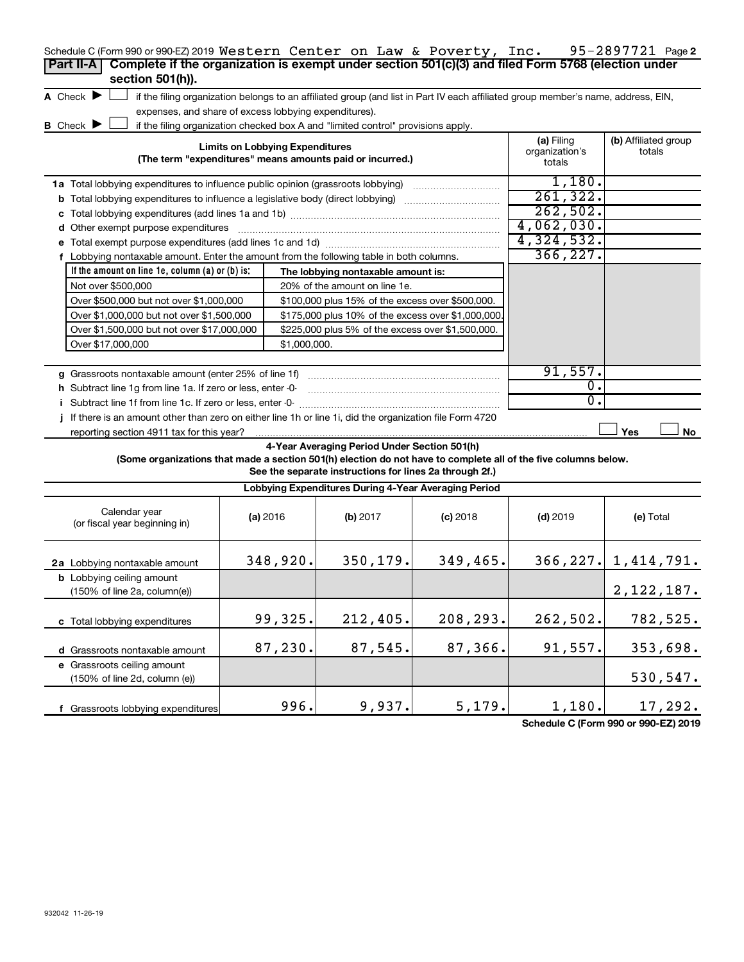| Schedule C (Form 990 or 990-EZ) 2019 Western Center on Law & Poverty, Inc.<br>Complete if the organization is exempt under section 501(c)(3) and filed Form 5768 (election under<br>Part II-A<br>section 501(h)). |                                        |                                                                                  |                                                                                                                                   |            | 95-2897721 Page 2        |
|-------------------------------------------------------------------------------------------------------------------------------------------------------------------------------------------------------------------|----------------------------------------|----------------------------------------------------------------------------------|-----------------------------------------------------------------------------------------------------------------------------------|------------|--------------------------|
| A Check $\blacktriangleright$                                                                                                                                                                                     |                                        |                                                                                  | if the filing organization belongs to an affiliated group (and list in Part IV each affiliated group member's name, address, EIN, |            |                          |
| expenses, and share of excess lobbying expenditures).                                                                                                                                                             |                                        |                                                                                  |                                                                                                                                   |            |                          |
| <b>B</b> Check $\blacktriangleright$                                                                                                                                                                              |                                        | if the filing organization checked box A and "limited control" provisions apply. |                                                                                                                                   |            |                          |
| <b>Limits on Lobbying Expenditures</b><br>(The term "expenditures" means amounts paid or incurred.)                                                                                                               | (a) Filing<br>organization's<br>totals | (b) Affiliated group<br>totals                                                   |                                                                                                                                   |            |                          |
| 1a Total lobbying expenditures to influence public opinion (grassroots lobbying)                                                                                                                                  |                                        |                                                                                  |                                                                                                                                   | 1,180.     |                          |
| <b>b</b> Total lobbying expenditures to influence a legislative body (direct lobbying) <i>manumumumum</i>                                                                                                         |                                        |                                                                                  |                                                                                                                                   | 261, 322.  |                          |
|                                                                                                                                                                                                                   |                                        |                                                                                  |                                                                                                                                   | 262,502.   |                          |
| d Other exempt purpose expenditures                                                                                                                                                                               |                                        |                                                                                  |                                                                                                                                   | 4,062,030. |                          |
|                                                                                                                                                                                                                   |                                        |                                                                                  |                                                                                                                                   | 4,324,532. |                          |
| f Lobbying nontaxable amount. Enter the amount from the following table in both columns.                                                                                                                          |                                        |                                                                                  |                                                                                                                                   | 366, 227.  |                          |
| If the amount on line 1e, column $(a)$ or $(b)$ is:                                                                                                                                                               |                                        | The lobbying nontaxable amount is:                                               |                                                                                                                                   |            |                          |
| Not over \$500,000                                                                                                                                                                                                |                                        | 20% of the amount on line 1e.                                                    |                                                                                                                                   |            |                          |
| Over \$500,000 but not over \$1,000,000                                                                                                                                                                           |                                        | \$100,000 plus 15% of the excess over \$500,000.                                 |                                                                                                                                   |            |                          |
| Over \$1,000,000 but not over \$1,500,000                                                                                                                                                                         |                                        | \$175,000 plus 10% of the excess over \$1,000,000                                |                                                                                                                                   |            |                          |
| Over \$1,500,000 but not over \$17,000,000                                                                                                                                                                        |                                        | \$225,000 plus 5% of the excess over \$1,500,000.                                |                                                                                                                                   |            |                          |
| Over \$17,000,000                                                                                                                                                                                                 | \$1,000,000.                           |                                                                                  |                                                                                                                                   |            |                          |
|                                                                                                                                                                                                                   |                                        |                                                                                  |                                                                                                                                   |            |                          |
| g Grassroots nontaxable amount (enter 25% of line 1f)                                                                                                                                                             |                                        |                                                                                  |                                                                                                                                   | 91,557.    |                          |
| h Subtract line 1q from line 1a. If zero or less, enter -0-                                                                                                                                                       |                                        |                                                                                  |                                                                                                                                   | 0.         |                          |
|                                                                                                                                                                                                                   |                                        |                                                                                  |                                                                                                                                   | 0.         |                          |
| If there is an amount other than zero on either line 1h or line 1i, did the organization file Form 4720                                                                                                           |                                        |                                                                                  |                                                                                                                                   |            |                          |
| reporting section 4911 tax for this year?                                                                                                                                                                         |                                        |                                                                                  |                                                                                                                                   |            | Yes<br>No                |
| (Some organizations that made a section 501(h) election do not have to complete all of the five columns below.                                                                                                    |                                        | 4-Year Averaging Period Under Section 501(h)                                     |                                                                                                                                   |            |                          |
|                                                                                                                                                                                                                   |                                        | See the separate instructions for lines 2a through 2f.)                          |                                                                                                                                   |            |                          |
|                                                                                                                                                                                                                   |                                        | Lobbying Expenditures During 4-Year Averaging Period                             |                                                                                                                                   |            |                          |
| Calendar year<br>(or fiscal year beginning in)                                                                                                                                                                    | (a) 2016                               | (b) 2017                                                                         | $(c)$ 2018                                                                                                                        | $(d)$ 2019 | (e) Total                |
| 2a Lobbying nontaxable amount                                                                                                                                                                                     | 348,920.                               | 350,179.                                                                         | 349,465.                                                                                                                          |            | $366, 227.$ 1, 414, 791. |
| <b>b</b> Lobbying ceiling amount<br>(150% of line 2a, column(e))                                                                                                                                                  |                                        |                                                                                  |                                                                                                                                   |            | 2, 122, 187.             |
| c Total lobbying expenditures                                                                                                                                                                                     | 99,325.                                | 212,405.                                                                         | 208,293.                                                                                                                          | 262,502.   | 782,525.                 |
| d Grassroots nontaxable amount                                                                                                                                                                                    | 87,230.                                | 87,545.                                                                          | 87,366.                                                                                                                           | 91,557.    | 353,698.                 |
| e Grassroots ceiling amount                                                                                                                                                                                       |                                        |                                                                                  |                                                                                                                                   |            |                          |
| (150% of line 2d, column (e))                                                                                                                                                                                     |                                        |                                                                                  |                                                                                                                                   |            | 530,547.                 |
| f Grassroots lobbying expenditures                                                                                                                                                                                | 996.                                   | 9,937.                                                                           | 5,179.                                                                                                                            | 1,180.     | 17,292.                  |

**Schedule C (Form 990 or 990-EZ) 2019**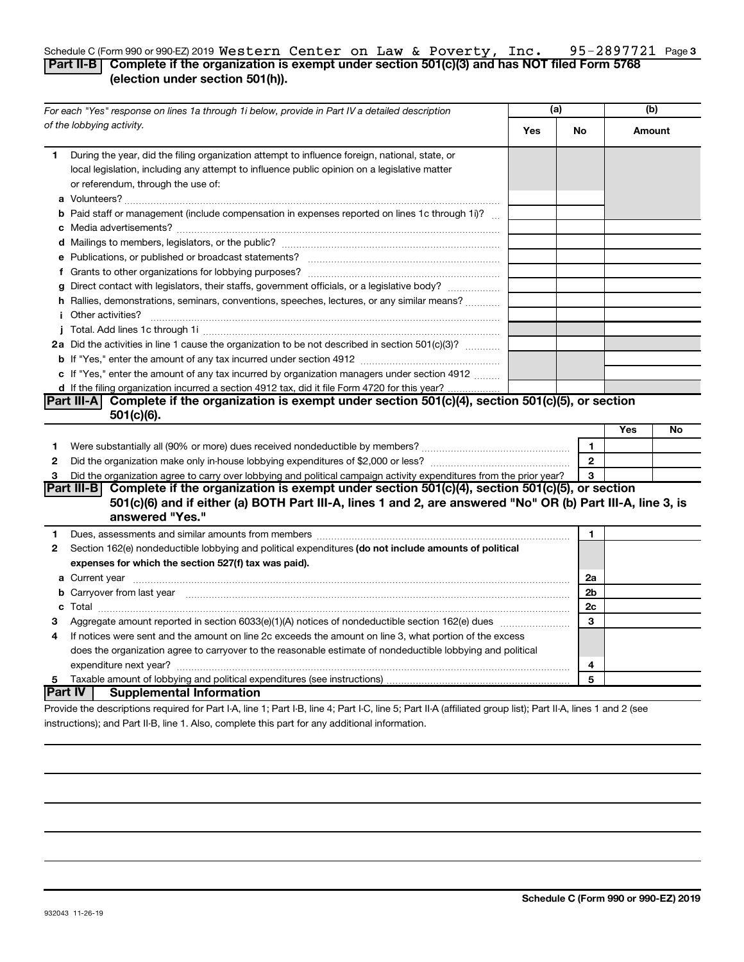#### 95-2897721 Page3 Schedule C (Form 990 or 990-EZ) 2019  $\texttt{Western Center on Law}$  &  $\texttt{Powerty, Inc.}$  95-2897721 Page **Part II-B Complete if the organization is exempt under section 501(c)(3) and has NOT filed Form 5768 (election under section 501(h)).** Western Center on Law & Poverty, Inc. 95-2897721

|   | For each "Yes" response on lines 1a through 1i below, provide in Part IV a detailed description                                                                                                                                                  |            | (a)            |     | (b)    |  |
|---|--------------------------------------------------------------------------------------------------------------------------------------------------------------------------------------------------------------------------------------------------|------------|----------------|-----|--------|--|
|   | of the lobbying activity.                                                                                                                                                                                                                        | <b>Yes</b> | No             |     | Amount |  |
| 1 | During the year, did the filing organization attempt to influence foreign, national, state, or<br>local legislation, including any attempt to influence public opinion on a legislative matter<br>or referendum, through the use of:             |            |                |     |        |  |
|   | <b>b</b> Paid staff or management (include compensation in expenses reported on lines 1c through 1i)?                                                                                                                                            |            |                |     |        |  |
|   |                                                                                                                                                                                                                                                  |            |                |     |        |  |
|   |                                                                                                                                                                                                                                                  |            |                |     |        |  |
|   |                                                                                                                                                                                                                                                  |            |                |     |        |  |
|   | g Direct contact with legislators, their staffs, government officials, or a legislative body?                                                                                                                                                    |            |                |     |        |  |
|   | h Rallies, demonstrations, seminars, conventions, speeches, lectures, or any similar means?                                                                                                                                                      |            |                |     |        |  |
|   | <i>i</i> Other activities?                                                                                                                                                                                                                       |            |                |     |        |  |
|   |                                                                                                                                                                                                                                                  |            |                |     |        |  |
|   | 2a Did the activities in line 1 cause the organization to be not described in section 501(c)(3)?                                                                                                                                                 |            |                |     |        |  |
|   |                                                                                                                                                                                                                                                  |            |                |     |        |  |
|   | c If "Yes," enter the amount of any tax incurred by organization managers under section 4912                                                                                                                                                     |            |                |     |        |  |
|   | d If the filing organization incurred a section 4912 tax, did it file Form 4720 for this year?                                                                                                                                                   |            |                |     |        |  |
|   | Part III-A Complete if the organization is exempt under section $501(c)(4)$ , section $501(c)(5)$ , or section                                                                                                                                   |            |                |     |        |  |
|   | 501(c)(6).                                                                                                                                                                                                                                       |            |                |     |        |  |
|   |                                                                                                                                                                                                                                                  |            |                | Yes | No     |  |
| 1 |                                                                                                                                                                                                                                                  |            | $\blacksquare$ |     |        |  |
| 2 |                                                                                                                                                                                                                                                  |            | $\overline{2}$ |     |        |  |
| З | Did the organization agree to carry over lobbying and political campaign activity expenditures from the prior year?                                                                                                                              |            | 3              |     |        |  |
|   | Part III-B Complete if the organization is exempt under section $501(c)(4)$ , section $501(c)(5)$ , or section<br>501(c)(6) and if either (a) BOTH Part III-A, lines 1 and 2, are answered "No" OR (b) Part III-A, line 3, is<br>answered "Yes." |            |                |     |        |  |
| 1 |                                                                                                                                                                                                                                                  |            | 1              |     |        |  |
| 2 | Section 162(e) nondeductible lobbying and political expenditures (do not include amounts of political                                                                                                                                            |            |                |     |        |  |
|   | expenses for which the section 527(f) tax was paid).                                                                                                                                                                                             |            |                |     |        |  |
|   |                                                                                                                                                                                                                                                  |            | 2a             |     |        |  |
|   | b Carryover from last year manufactured and continuum contract to contact the contract of the contract of the contract of the contract of the contract of the contract of the contract of the contract of the contract of the                    |            | 2 <sub>b</sub> |     |        |  |
|   |                                                                                                                                                                                                                                                  |            | 2c             |     |        |  |
| З |                                                                                                                                                                                                                                                  |            | 3              |     |        |  |
| 4 | If notices were sent and the amount on line 2c exceeds the amount on line 3, what portion of the excess                                                                                                                                          |            |                |     |        |  |
|   | does the organization agree to carryover to the reasonable estimate of nondeductible lobbying and political                                                                                                                                      |            |                |     |        |  |
|   |                                                                                                                                                                                                                                                  |            | 4              |     |        |  |
| 5 |                                                                                                                                                                                                                                                  |            | 5              |     |        |  |
|   | lPart IV ⊺<br><b>Supplemental Information</b>                                                                                                                                                                                                    |            |                |     |        |  |
|   | Provide the descriptions required for Part I-A line 1: Part I-B line 4: Part I-C line 5: Part II-A (affiliated group list): Part II-A lines 1 and 2 (see                                                                                         |            |                |     |        |  |

quired for Part I-A, line 1; Part I-B, line 4; Part I-C, line 5; Part II-A (affiliated group list); instructions); and Part II-B, line 1. Also, complete this part for any additional information.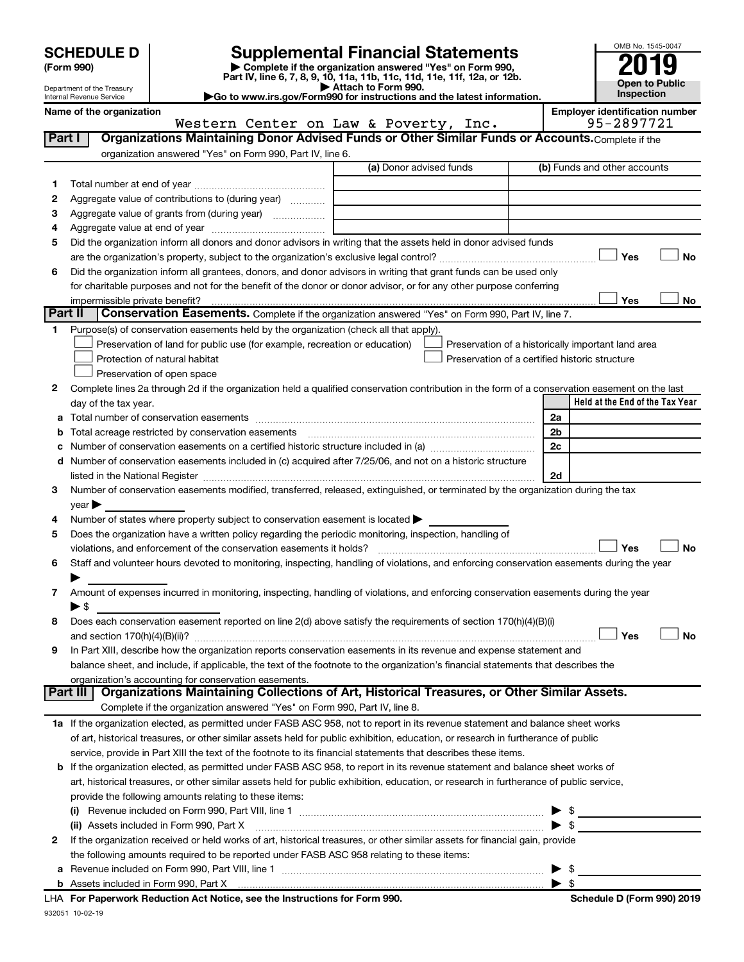| <b>SCHEDULE D</b> |  |  |
|-------------------|--|--|
|                   |  |  |

# **SCHEDULE D Supplemental Financial Statements**<br> **Form 990 2019**<br> **Part IV** line 6.7.8.9.10, 11a, 11b, 11d, 11d, 11d, 11d, 11d, 12a, 0r, 12b

**(Form 990) | Complete if the organization answered "Yes" on Form 990, Part IV, line 6, 7, 8, 9, 10, 11a, 11b, 11c, 11d, 11e, 11f, 12a, or 12b.**

**| Attach to Form 990. |Go to www.irs.gov/Form990 for instructions and the latest information.**



Department of the Treasury Internal Revenue Service

Name of the organization<br> **Name of the organization**<br> **Employer identification number**<br> **Employer identification number** 

|              | Western Center on Law & Poverty, Inc.                                                                                                                                                                                                               |                         | 95-2897721                                         |
|--------------|-----------------------------------------------------------------------------------------------------------------------------------------------------------------------------------------------------------------------------------------------------|-------------------------|----------------------------------------------------|
| Part I       | Organizations Maintaining Donor Advised Funds or Other Similar Funds or Accounts. Complete if the                                                                                                                                                   |                         |                                                    |
|              | organization answered "Yes" on Form 990, Part IV, line 6.                                                                                                                                                                                           |                         |                                                    |
|              |                                                                                                                                                                                                                                                     | (a) Donor advised funds | (b) Funds and other accounts                       |
| 1.           |                                                                                                                                                                                                                                                     |                         |                                                    |
| 2            | Aggregate value of contributions to (during year)                                                                                                                                                                                                   |                         |                                                    |
| з            | Aggregate value of grants from (during year)                                                                                                                                                                                                        |                         |                                                    |
| 4            |                                                                                                                                                                                                                                                     |                         |                                                    |
| 5            | Did the organization inform all donors and donor advisors in writing that the assets held in donor advised funds                                                                                                                                    |                         |                                                    |
|              |                                                                                                                                                                                                                                                     |                         | Yes<br>No                                          |
| 6            | Did the organization inform all grantees, donors, and donor advisors in writing that grant funds can be used only                                                                                                                                   |                         |                                                    |
|              | for charitable purposes and not for the benefit of the donor or donor advisor, or for any other purpose conferring                                                                                                                                  |                         |                                                    |
|              |                                                                                                                                                                                                                                                     |                         | Yes<br>No                                          |
| Part II      | Conservation Easements. Complete if the organization answered "Yes" on Form 990, Part IV, line 7.                                                                                                                                                   |                         |                                                    |
| 1            | Purpose(s) of conservation easements held by the organization (check all that apply).                                                                                                                                                               |                         |                                                    |
|              | Preservation of land for public use (for example, recreation or education)                                                                                                                                                                          |                         | Preservation of a historically important land area |
|              | Protection of natural habitat                                                                                                                                                                                                                       |                         | Preservation of a certified historic structure     |
|              | Preservation of open space                                                                                                                                                                                                                          |                         |                                                    |
| 2            | Complete lines 2a through 2d if the organization held a qualified conservation contribution in the form of a conservation easement on the last                                                                                                      |                         |                                                    |
|              | day of the tax year.                                                                                                                                                                                                                                |                         | Held at the End of the Tax Year                    |
| а            |                                                                                                                                                                                                                                                     |                         | 2a                                                 |
|              |                                                                                                                                                                                                                                                     |                         | 2 <sub>b</sub>                                     |
|              |                                                                                                                                                                                                                                                     |                         | 2 <sub>c</sub>                                     |
|              | Number of conservation easements included in (c) acquired after 7/25/06, and not on a historic structure                                                                                                                                            |                         |                                                    |
| d            |                                                                                                                                                                                                                                                     |                         |                                                    |
|              | listed in the National Register [1111] [12] The Manual Manual Manual Manual Manual Manual Manual Manual Manual                                                                                                                                      |                         | 2d                                                 |
| 3            | Number of conservation easements modified, transferred, released, extinguished, or terminated by the organization during the tax                                                                                                                    |                         |                                                    |
|              | $year \blacktriangleright$                                                                                                                                                                                                                          |                         |                                                    |
| 4            | Number of states where property subject to conservation easement is located >                                                                                                                                                                       |                         |                                                    |
| 5            | Does the organization have a written policy regarding the periodic monitoring, inspection, handling of                                                                                                                                              |                         | Yes                                                |
|              | violations, and enforcement of the conservation easements it holds?                                                                                                                                                                                 |                         | <b>No</b>                                          |
| 6            | Staff and volunteer hours devoted to monitoring, inspecting, handling of violations, and enforcing conservation easements during the year                                                                                                           |                         |                                                    |
|              |                                                                                                                                                                                                                                                     |                         |                                                    |
| 7            | Amount of expenses incurred in monitoring, inspecting, handling of violations, and enforcing conservation easements during the year                                                                                                                 |                         |                                                    |
|              | $\blacktriangleright$ \$                                                                                                                                                                                                                            |                         |                                                    |
| 8            | Does each conservation easement reported on line 2(d) above satisfy the requirements of section 170(h)(4)(B)(i)                                                                                                                                     |                         |                                                    |
|              |                                                                                                                                                                                                                                                     |                         | Yes<br>No                                          |
| 9            | In Part XIII, describe how the organization reports conservation easements in its revenue and expense statement and                                                                                                                                 |                         |                                                    |
|              | balance sheet, and include, if applicable, the text of the footnote to the organization's financial statements that describes the                                                                                                                   |                         |                                                    |
| Part III     | organization's accounting for conservation easements.<br>Organizations Maintaining Collections of Art, Historical Treasures, or Other Similar Assets.                                                                                               |                         |                                                    |
|              | Complete if the organization answered "Yes" on Form 990, Part IV, line 8.                                                                                                                                                                           |                         |                                                    |
|              | 1a If the organization elected, as permitted under FASB ASC 958, not to report in its revenue statement and balance sheet works                                                                                                                     |                         |                                                    |
|              |                                                                                                                                                                                                                                                     |                         |                                                    |
|              | of art, historical treasures, or other similar assets held for public exhibition, education, or research in furtherance of public<br>service, provide in Part XIII the text of the footnote to its financial statements that describes these items. |                         |                                                    |
|              |                                                                                                                                                                                                                                                     |                         |                                                    |
| b            | If the organization elected, as permitted under FASB ASC 958, to report in its revenue statement and balance sheet works of                                                                                                                         |                         |                                                    |
|              | art, historical treasures, or other similar assets held for public exhibition, education, or research in furtherance of public service,                                                                                                             |                         |                                                    |
|              | provide the following amounts relating to these items:                                                                                                                                                                                              |                         |                                                    |
|              |                                                                                                                                                                                                                                                     |                         | \$                                                 |
|              | (ii) Assets included in Form 990, Part X                                                                                                                                                                                                            |                         | $\bullet$ \$                                       |
| $\mathbf{2}$ | If the organization received or held works of art, historical treasures, or other similar assets for financial gain, provide                                                                                                                        |                         |                                                    |
|              | the following amounts required to be reported under FASB ASC 958 relating to these items:                                                                                                                                                           |                         |                                                    |
| а            |                                                                                                                                                                                                                                                     |                         | \$                                                 |
|              |                                                                                                                                                                                                                                                     |                         |                                                    |
|              | LHA For Paperwork Reduction Act Notice, see the Instructions for Form 990.                                                                                                                                                                          |                         | Schedule D (Form 990) 2019                         |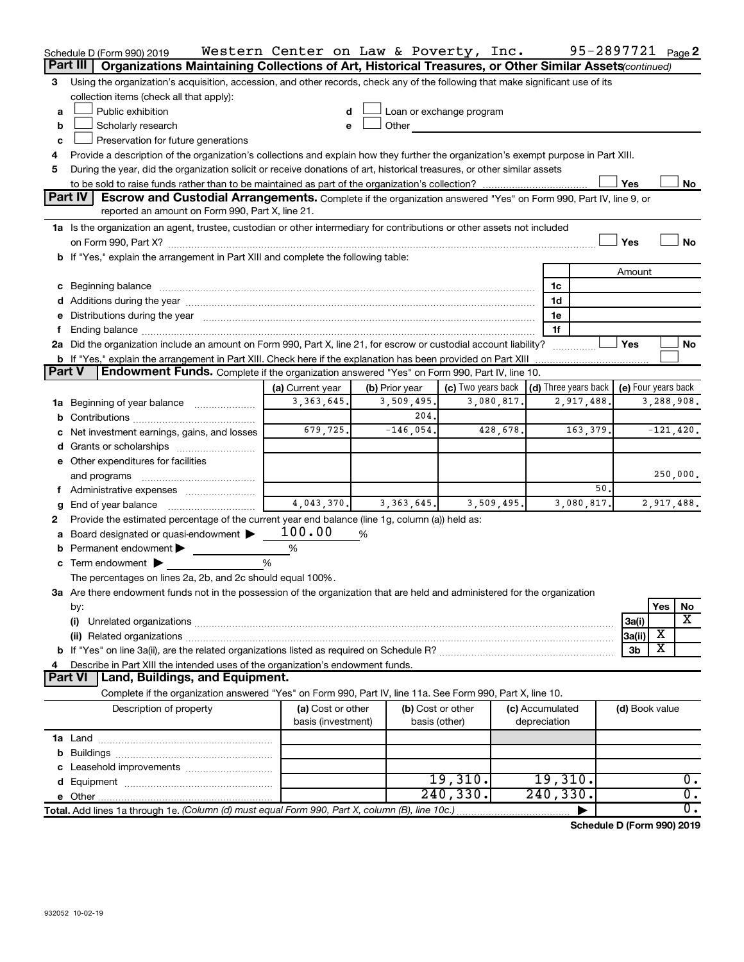|               | Schedule D (Form 990) 2019                                                                                                                                                                                                     | Western Center on Law & Poverty, Inc. |   |                   |                          |            |                                      |            | 95-2897721 <sub>Page</sub> 2 |             |                  |
|---------------|--------------------------------------------------------------------------------------------------------------------------------------------------------------------------------------------------------------------------------|---------------------------------------|---|-------------------|--------------------------|------------|--------------------------------------|------------|------------------------------|-------------|------------------|
|               | Part III<br>Organizations Maintaining Collections of Art, Historical Treasures, or Other Similar Assets (continued)                                                                                                            |                                       |   |                   |                          |            |                                      |            |                              |             |                  |
| 3             | Using the organization's acquisition, accession, and other records, check any of the following that make significant use of its                                                                                                |                                       |   |                   |                          |            |                                      |            |                              |             |                  |
|               | collection items (check all that apply):                                                                                                                                                                                       |                                       |   |                   |                          |            |                                      |            |                              |             |                  |
| a             | Public exhibition                                                                                                                                                                                                              |                                       |   |                   | Loan or exchange program |            |                                      |            |                              |             |                  |
| b             | Scholarly research                                                                                                                                                                                                             | e                                     |   | Other             |                          |            |                                      |            |                              |             |                  |
| c             | Preservation for future generations                                                                                                                                                                                            |                                       |   |                   |                          |            |                                      |            |                              |             |                  |
| 4             | Provide a description of the organization's collections and explain how they further the organization's exempt purpose in Part XIII.                                                                                           |                                       |   |                   |                          |            |                                      |            |                              |             |                  |
| 5             | During the year, did the organization solicit or receive donations of art, historical treasures, or other similar assets                                                                                                       |                                       |   |                   |                          |            |                                      |            |                              |             |                  |
|               |                                                                                                                                                                                                                                |                                       |   |                   |                          |            |                                      |            | Yes                          |             | No               |
|               | <b>Part IV</b><br>Escrow and Custodial Arrangements. Complete if the organization answered "Yes" on Form 990, Part IV, line 9, or                                                                                              |                                       |   |                   |                          |            |                                      |            |                              |             |                  |
|               | reported an amount on Form 990, Part X, line 21.                                                                                                                                                                               |                                       |   |                   |                          |            |                                      |            |                              |             |                  |
|               | 1a Is the organization an agent, trustee, custodian or other intermediary for contributions or other assets not included                                                                                                       |                                       |   |                   |                          |            |                                      |            |                              |             |                  |
|               |                                                                                                                                                                                                                                |                                       |   |                   |                          |            |                                      |            | Yes                          |             | No               |
|               | b If "Yes," explain the arrangement in Part XIII and complete the following table:                                                                                                                                             |                                       |   |                   |                          |            |                                      |            |                              |             |                  |
|               |                                                                                                                                                                                                                                |                                       |   |                   |                          |            |                                      |            | Amount                       |             |                  |
|               | c Beginning balance measurements and the contract of the contract of the contract of the contract of the contract of the contract of the contract of the contract of the contract of the contract of the contract of the contr |                                       |   |                   |                          |            | 1c                                   |            |                              |             |                  |
|               |                                                                                                                                                                                                                                |                                       |   |                   |                          |            | 1d                                   |            |                              |             |                  |
|               | e Distributions during the year manufactured and continuum control of the control of the control of the state of the control of the control of the control of the control of the control of the control of the control of the  |                                       |   |                   |                          |            | 1e                                   |            |                              |             |                  |
|               |                                                                                                                                                                                                                                |                                       |   |                   |                          |            | 1f                                   |            |                              |             |                  |
|               | 2a Did the organization include an amount on Form 990, Part X, line 21, for escrow or custodial account liability?                                                                                                             |                                       |   |                   |                          |            |                                      |            | Yes                          |             | No               |
|               | <b>b</b> If "Yes," explain the arrangement in Part XIII. Check here if the explanation has been provided on Part XIII                                                                                                          |                                       |   |                   |                          |            |                                      |            |                              |             |                  |
| <b>Part V</b> | Endowment Funds. Complete if the organization answered "Yes" on Form 990, Part IV, line 10.                                                                                                                                    |                                       |   |                   |                          |            |                                      |            |                              |             |                  |
|               |                                                                                                                                                                                                                                | (a) Current year                      |   | (b) Prior year    | (c) Two years back       |            | $\vert$ (d) Three years back $\vert$ |            | (e) Four years back          |             |                  |
|               | 1a Beginning of year balance                                                                                                                                                                                                   | 3, 363, 645.                          |   | 3,509,495.        |                          | 3,080,817. |                                      | 2,917,488. |                              | 3,288,908.  |                  |
|               |                                                                                                                                                                                                                                |                                       |   | 204.              |                          |            |                                      |            |                              |             |                  |
|               | Net investment earnings, gains, and losses                                                                                                                                                                                     | 679,725.                              |   | $-146,054.$       |                          | 428,678.   |                                      | 163,379.   |                              | $-121,420.$ |                  |
|               |                                                                                                                                                                                                                                |                                       |   |                   |                          |            |                                      |            |                              |             |                  |
|               | e Other expenditures for facilities                                                                                                                                                                                            |                                       |   |                   |                          |            |                                      |            |                              |             |                  |
|               | and programs                                                                                                                                                                                                                   |                                       |   |                   |                          |            |                                      |            |                              | 250,000.    |                  |
|               |                                                                                                                                                                                                                                | 4,043,370.                            |   |                   |                          |            |                                      | 50         |                              |             |                  |
|               | End of year balance                                                                                                                                                                                                            |                                       |   | 3, 363, 645.      |                          | 3,509,495. |                                      | 3,080,817. |                              | 2,917,488.  |                  |
| 2             | Provide the estimated percentage of the current year end balance (line 1g, column (a)) held as:                                                                                                                                | 100.00                                |   |                   |                          |            |                                      |            |                              |             |                  |
|               | Board designated or quasi-endowment                                                                                                                                                                                            | %                                     | % |                   |                          |            |                                      |            |                              |             |                  |
| b             | Permanent endowment                                                                                                                                                                                                            | %                                     |   |                   |                          |            |                                      |            |                              |             |                  |
|               | $\mathbf c$ Term endowment $\blacktriangleright$<br>The percentages on lines 2a, 2b, and 2c should equal 100%.                                                                                                                 |                                       |   |                   |                          |            |                                      |            |                              |             |                  |
|               |                                                                                                                                                                                                                                |                                       |   |                   |                          |            |                                      |            |                              |             |                  |
|               | 3a Are there endowment funds not in the possession of the organization that are held and administered for the organization                                                                                                     |                                       |   |                   |                          |            |                                      |            |                              | Yes         | No               |
|               | by:<br>(i)                                                                                                                                                                                                                     |                                       |   |                   |                          |            |                                      |            | 3a(i)                        |             | х                |
|               |                                                                                                                                                                                                                                |                                       |   |                   |                          |            |                                      |            | 3a(ii)                       | х           |                  |
|               |                                                                                                                                                                                                                                |                                       |   |                   |                          |            |                                      |            | 3b                           | X           |                  |
|               | Describe in Part XIII the intended uses of the organization's endowment funds.                                                                                                                                                 |                                       |   |                   |                          |            |                                      |            |                              |             |                  |
|               | Land, Buildings, and Equipment.<br>Part VI                                                                                                                                                                                     |                                       |   |                   |                          |            |                                      |            |                              |             |                  |
|               | Complete if the organization answered "Yes" on Form 990, Part IV, line 11a. See Form 990, Part X, line 10.                                                                                                                     |                                       |   |                   |                          |            |                                      |            |                              |             |                  |
|               | Description of property                                                                                                                                                                                                        | (a) Cost or other                     |   | (b) Cost or other |                          |            | (c) Accumulated                      |            | (d) Book value               |             |                  |
|               |                                                                                                                                                                                                                                | basis (investment)                    |   | basis (other)     |                          |            | depreciation                         |            |                              |             |                  |
|               |                                                                                                                                                                                                                                |                                       |   |                   |                          |            |                                      |            |                              |             |                  |
|               |                                                                                                                                                                                                                                |                                       |   |                   |                          |            |                                      |            |                              |             |                  |
|               |                                                                                                                                                                                                                                |                                       |   |                   |                          |            |                                      |            |                              |             |                  |
|               |                                                                                                                                                                                                                                |                                       |   |                   | 19,310.                  |            | 19,310.                              |            |                              |             | 0.               |
|               |                                                                                                                                                                                                                                |                                       |   |                   | 240, 330.                |            | 240, 330.                            |            |                              |             | $\overline{0}$ . |
|               | Total. Add lines 1a through 1e. (Column (d) must equal Form 990, Part X, column (B), line 10c.)                                                                                                                                |                                       |   |                   |                          |            |                                      |            |                              |             | 0.               |
|               |                                                                                                                                                                                                                                |                                       |   |                   |                          |            |                                      |            |                              |             |                  |

**Schedule D (Form 990) 2019**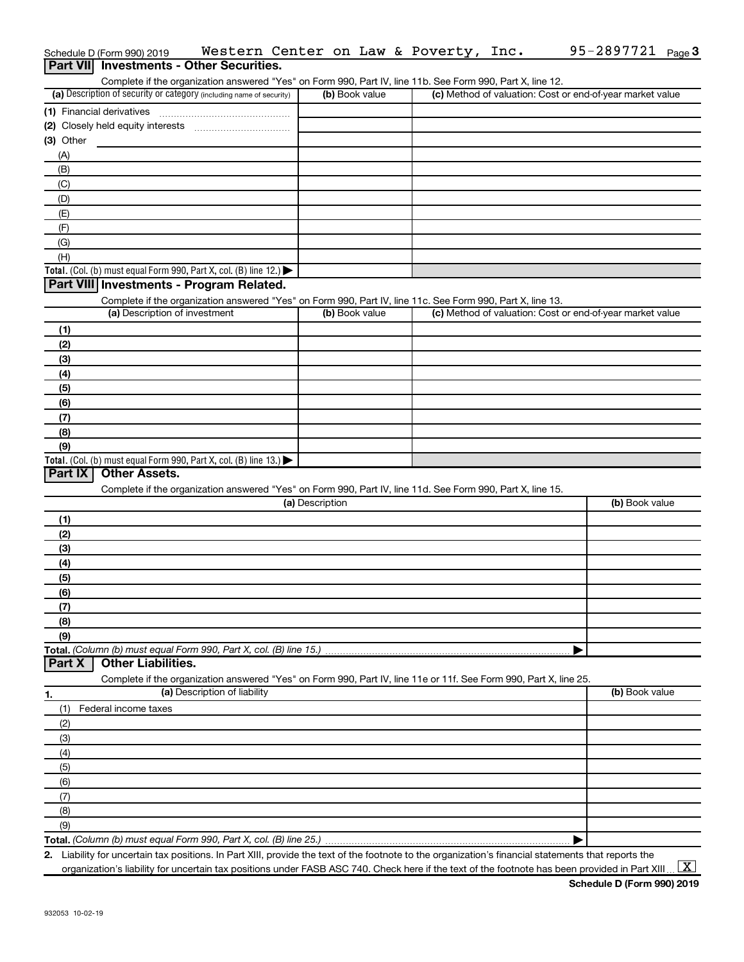|                 | Schedule D (Form 990) 2019                                                                                        |                              |                 |                | Western Center on Law & Poverty, Inc. | 95-2897721<br>Page 3                                                                                                                                 |
|-----------------|-------------------------------------------------------------------------------------------------------------------|------------------------------|-----------------|----------------|---------------------------------------|------------------------------------------------------------------------------------------------------------------------------------------------------|
| <b>Part VII</b> | <b>Investments - Other Securities.</b>                                                                            |                              |                 |                |                                       |                                                                                                                                                      |
|                 | Complete if the organization answered "Yes" on Form 990, Part IV, line 11b. See Form 990, Part X, line 12.        |                              |                 |                |                                       |                                                                                                                                                      |
|                 | (a) Description of security or category (including name of security)                                              |                              |                 | (b) Book value |                                       | (c) Method of valuation: Cost or end-of-year market value                                                                                            |
|                 | (1) Financial derivatives                                                                                         |                              |                 |                |                                       |                                                                                                                                                      |
|                 |                                                                                                                   |                              |                 |                |                                       |                                                                                                                                                      |
| (3) Other       |                                                                                                                   |                              |                 |                |                                       |                                                                                                                                                      |
| (A)             |                                                                                                                   |                              |                 |                |                                       |                                                                                                                                                      |
| (B)             |                                                                                                                   |                              |                 |                |                                       |                                                                                                                                                      |
| (C)             |                                                                                                                   |                              |                 |                |                                       |                                                                                                                                                      |
| (D)             |                                                                                                                   |                              |                 |                |                                       |                                                                                                                                                      |
| (E)             |                                                                                                                   |                              |                 |                |                                       |                                                                                                                                                      |
| (F)             |                                                                                                                   |                              |                 |                |                                       |                                                                                                                                                      |
| (G)             |                                                                                                                   |                              |                 |                |                                       |                                                                                                                                                      |
| (H)             |                                                                                                                   |                              |                 |                |                                       |                                                                                                                                                      |
|                 | Total. (Col. (b) must equal Form 990, Part X, col. (B) line 12.)                                                  |                              |                 |                |                                       |                                                                                                                                                      |
|                 | Part VIII Investments - Program Related.                                                                          |                              |                 |                |                                       |                                                                                                                                                      |
|                 | Complete if the organization answered "Yes" on Form 990, Part IV, line 11c. See Form 990, Part X, line 13.        |                              |                 |                |                                       |                                                                                                                                                      |
|                 | (a) Description of investment                                                                                     |                              |                 | (b) Book value |                                       | (c) Method of valuation: Cost or end-of-year market value                                                                                            |
| (1)             |                                                                                                                   |                              |                 |                |                                       |                                                                                                                                                      |
| (2)             |                                                                                                                   |                              |                 |                |                                       |                                                                                                                                                      |
| (3)             |                                                                                                                   |                              |                 |                |                                       |                                                                                                                                                      |
| (4)             |                                                                                                                   |                              |                 |                |                                       |                                                                                                                                                      |
| (5)             |                                                                                                                   |                              |                 |                |                                       |                                                                                                                                                      |
| (6)             |                                                                                                                   |                              |                 |                |                                       |                                                                                                                                                      |
| (7)             |                                                                                                                   |                              |                 |                |                                       |                                                                                                                                                      |
| (8)             |                                                                                                                   |                              |                 |                |                                       |                                                                                                                                                      |
| (9)             |                                                                                                                   |                              |                 |                |                                       |                                                                                                                                                      |
|                 | Total. (Col. (b) must equal Form 990, Part X, col. (B) line 13.)                                                  |                              |                 |                |                                       |                                                                                                                                                      |
| Part IX         | <b>Other Assets.</b>                                                                                              |                              |                 |                |                                       |                                                                                                                                                      |
|                 | Complete if the organization answered "Yes" on Form 990, Part IV, line 11d. See Form 990, Part X, line 15.        |                              |                 |                |                                       |                                                                                                                                                      |
|                 |                                                                                                                   |                              | (a) Description |                |                                       | (b) Book value                                                                                                                                       |
| (1)             |                                                                                                                   |                              |                 |                |                                       |                                                                                                                                                      |
| (2)             |                                                                                                                   |                              |                 |                |                                       |                                                                                                                                                      |
| (3)             |                                                                                                                   |                              |                 |                |                                       |                                                                                                                                                      |
| (4)             |                                                                                                                   |                              |                 |                |                                       |                                                                                                                                                      |
| (5)             |                                                                                                                   |                              |                 |                |                                       |                                                                                                                                                      |
| (6)             |                                                                                                                   |                              |                 |                |                                       |                                                                                                                                                      |
| (7)             |                                                                                                                   |                              |                 |                |                                       |                                                                                                                                                      |
| (8)             |                                                                                                                   |                              |                 |                |                                       |                                                                                                                                                      |
| (9)             |                                                                                                                   |                              |                 |                |                                       |                                                                                                                                                      |
|                 | Total. (Column (b) must equal Form 990, Part X, col. (B) line 15.)                                                |                              |                 |                |                                       |                                                                                                                                                      |
| Part X          | <b>Other Liabilities.</b>                                                                                         |                              |                 |                |                                       |                                                                                                                                                      |
|                 | Complete if the organization answered "Yes" on Form 990, Part IV, line 11e or 11f. See Form 990, Part X, line 25. |                              |                 |                |                                       |                                                                                                                                                      |
| 1.              |                                                                                                                   | (a) Description of liability |                 |                |                                       | (b) Book value                                                                                                                                       |
| (1)             | Federal income taxes                                                                                              |                              |                 |                |                                       |                                                                                                                                                      |
| (2)             |                                                                                                                   |                              |                 |                |                                       |                                                                                                                                                      |
| (3)             |                                                                                                                   |                              |                 |                |                                       |                                                                                                                                                      |
| (4)             |                                                                                                                   |                              |                 |                |                                       |                                                                                                                                                      |
| (5)             |                                                                                                                   |                              |                 |                |                                       |                                                                                                                                                      |
| (6)             |                                                                                                                   |                              |                 |                |                                       |                                                                                                                                                      |
| (7)             |                                                                                                                   |                              |                 |                |                                       |                                                                                                                                                      |
| (8)             |                                                                                                                   |                              |                 |                |                                       |                                                                                                                                                      |
| (9)             |                                                                                                                   |                              |                 |                |                                       |                                                                                                                                                      |
|                 |                                                                                                                   |                              |                 |                |                                       |                                                                                                                                                      |
|                 |                                                                                                                   |                              |                 |                |                                       | 2. Liability for uncertain tax positions. In Part XIII, provide the text of the footnote to the organization's financial statements that reports the |

organization's liability for uncertain tax positions under FASB ASC 740. Check here if the text of the footnote has been provided in Part XIII ...  $\fbox{\bf X}$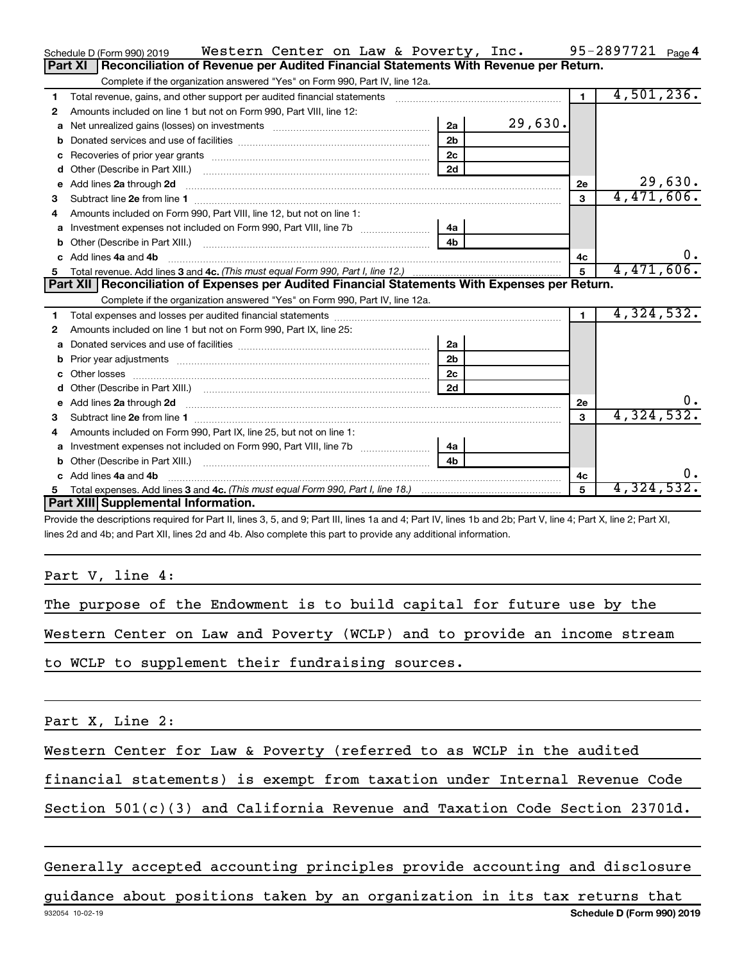|    | Western Center on Law & Poverty, Inc.<br>Schedule D (Form 990) 2019                                                                                                                                                                 |                |         |                | 95-2897721 Page 4 |
|----|-------------------------------------------------------------------------------------------------------------------------------------------------------------------------------------------------------------------------------------|----------------|---------|----------------|-------------------|
|    | Reconciliation of Revenue per Audited Financial Statements With Revenue per Return.<br>Part XI                                                                                                                                      |                |         |                |                   |
|    | Complete if the organization answered "Yes" on Form 990, Part IV, line 12a.                                                                                                                                                         |                |         |                |                   |
| 1  | Total revenue, gains, and other support per audited financial statements [111] [11] Total revenue, gains, and other support per audited financial statements                                                                        |                |         | 1              | 4,501,236.        |
| 2  | Amounts included on line 1 but not on Form 990, Part VIII, line 12:                                                                                                                                                                 |                |         |                |                   |
| a  | Net unrealized gains (losses) on investments [111] [12] matter and the unrealized gains (losses) on investments                                                                                                                     | 2a             | 29,630. |                |                   |
|    |                                                                                                                                                                                                                                     | 2 <sub>b</sub> |         |                |                   |
| c  |                                                                                                                                                                                                                                     | 2 <sub>c</sub> |         |                |                   |
|    |                                                                                                                                                                                                                                     | 2d             |         |                |                   |
| е  | Add lines 2a through 2d <b>must be a constructed as a constructed in the S2a</b> through 2d                                                                                                                                         |                |         | 2е             | 29,630.           |
| 3  |                                                                                                                                                                                                                                     |                |         | $\mathbf{3}$   | 4,471,606.        |
| 4  | Amounts included on Form 990, Part VIII, line 12, but not on line 1:                                                                                                                                                                |                |         |                |                   |
|    |                                                                                                                                                                                                                                     | 4a             |         |                |                   |
| b  |                                                                                                                                                                                                                                     | 4 <sub>h</sub> |         |                |                   |
| c. | Add lines 4a and 4b                                                                                                                                                                                                                 |                |         | 4c             | 0.                |
|    |                                                                                                                                                                                                                                     |                |         | 5              | 4,471,606.        |
|    |                                                                                                                                                                                                                                     |                |         |                |                   |
|    | Part XII   Reconciliation of Expenses per Audited Financial Statements With Expenses per Return.                                                                                                                                    |                |         |                |                   |
|    | Complete if the organization answered "Yes" on Form 990, Part IV, line 12a.                                                                                                                                                         |                |         |                |                   |
| 1  |                                                                                                                                                                                                                                     |                |         | $\blacksquare$ | 4,324,532.        |
| 2  | Amounts included on line 1 but not on Form 990, Part IX, line 25:                                                                                                                                                                   |                |         |                |                   |
| a  |                                                                                                                                                                                                                                     | 2a             |         |                |                   |
| b  |                                                                                                                                                                                                                                     | 2 <sub>b</sub> |         |                |                   |
| c  |                                                                                                                                                                                                                                     | 2c             |         |                |                   |
| d  |                                                                                                                                                                                                                                     | 2d             |         |                |                   |
|    | Add lines 2a through 2d <b>[10]</b> University material contracts and the set of the set of the set of the set of the set of the set of the set of the set of the set of the set of the set of the set of the set of the set of the |                |         | 2е             | 0.                |
| 3  |                                                                                                                                                                                                                                     |                |         | 3              | 4,324,532.        |
| 4  | Amounts included on Form 990, Part IX, line 25, but not on line 1:                                                                                                                                                                  |                |         |                |                   |
| a  | Investment expenses not included on Form 990, Part VIII, line 7b [                                                                                                                                                                  | 4a             |         |                |                   |
|    |                                                                                                                                                                                                                                     | 4 <sub>b</sub> |         |                |                   |
| c. | Add lines 4a and 4b                                                                                                                                                                                                                 |                |         | 4с             | 0.                |
|    | Part XIII Supplemental Information.                                                                                                                                                                                                 |                |         | 5              | 4,324,532.        |

Provide the descriptions required for Part II, lines 3, 5, and 9; Part III, lines 1a and 4; Part IV, lines 1b and 2b; Part V, line 4; Part X, line 2; Part XI, lines 2d and 4b; and Part XII, lines 2d and 4b. Also complete this part to provide any additional information.

Part V, line 4:

The purpose of the Endowment is to build capital for future use by the

Western Center on Law and Poverty (WCLP) and to provide an income stream

to WCLP to supplement their fundraising sources.

Part X, Line 2:

Western Center for Law & Poverty (referred to as WCLP in the audited

financial statements) is exempt from taxation under Internal Revenue Code

Section  $501(c)(3)$  and California Revenue and Taxation Code Section 23701d.

Generally accepted accounting principles provide accounting and disclosure

932054 10-02-19 **Schedule D (Form 990) 2019** guidance about positions taken by an organization in its tax returns that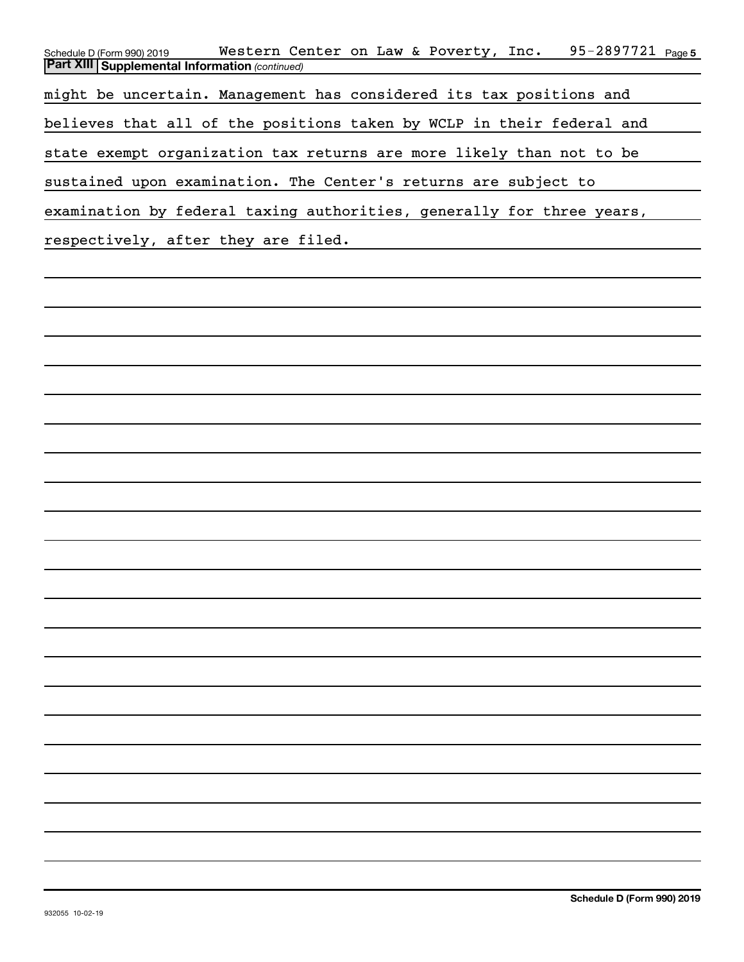| 95-2897721 Page 5<br>Western Center on Law & Poverty, Inc.<br>Schedule D (Form 990) 2019 |
|------------------------------------------------------------------------------------------|
| <b>Part XIII Supplemental Information (continued)</b>                                    |
| might be uncertain. Management has considered its tax positions and                      |
| believes that all of the positions taken by WCLP in their federal and                    |
| state exempt organization tax returns are more likely than not to be                     |
| sustained upon examination. The Center's returns are subject to                          |
| examination by federal taxing authorities, generally for three years,                    |
| respectively, after they are filed.                                                      |
|                                                                                          |
|                                                                                          |
|                                                                                          |
|                                                                                          |
|                                                                                          |
|                                                                                          |
|                                                                                          |
|                                                                                          |
|                                                                                          |
|                                                                                          |
|                                                                                          |
|                                                                                          |
|                                                                                          |
|                                                                                          |
|                                                                                          |
|                                                                                          |
|                                                                                          |
|                                                                                          |
|                                                                                          |
|                                                                                          |
|                                                                                          |
|                                                                                          |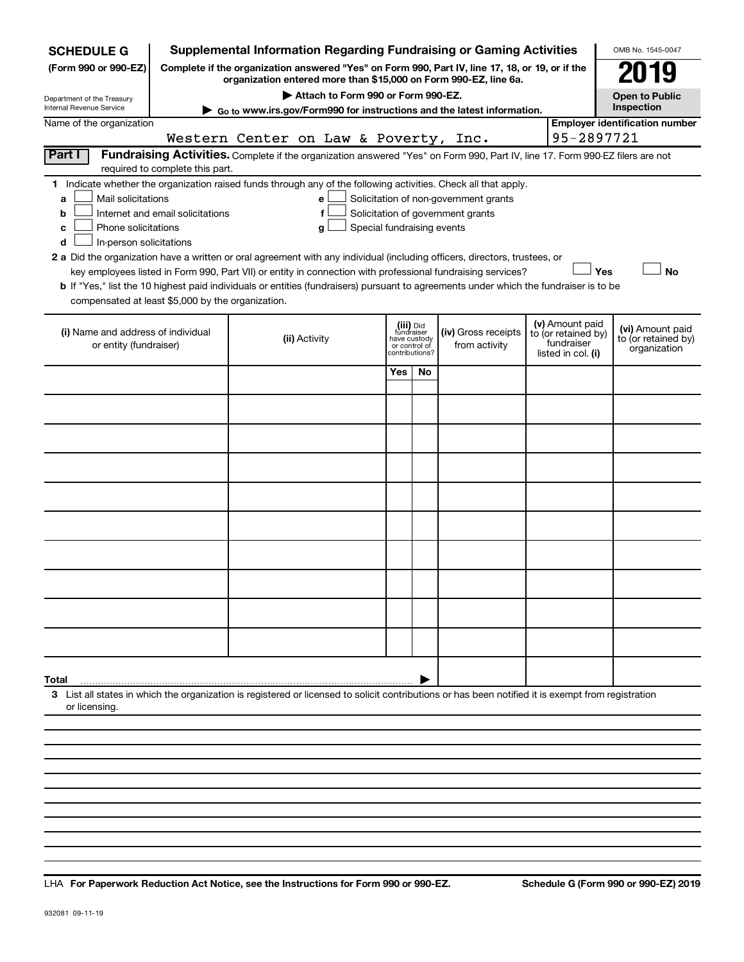| <b>SCHEDULE G</b>                                                                        |                                  | <b>Supplemental Information Regarding Fundraising or Gaming Activities</b>                                                                                                                                                                                                                                                                                                                                                                                                                                                                         |     |                                                                            |                                                                            |                                                                            | OMB No. 1545-0047                                       |
|------------------------------------------------------------------------------------------|----------------------------------|----------------------------------------------------------------------------------------------------------------------------------------------------------------------------------------------------------------------------------------------------------------------------------------------------------------------------------------------------------------------------------------------------------------------------------------------------------------------------------------------------------------------------------------------------|-----|----------------------------------------------------------------------------|----------------------------------------------------------------------------|----------------------------------------------------------------------------|---------------------------------------------------------|
| (Form 990 or 990-EZ)                                                                     |                                  | Complete if the organization answered "Yes" on Form 990, Part IV, line 17, 18, or 19, or if the<br>organization entered more than \$15,000 on Form 990-EZ, line 6a.                                                                                                                                                                                                                                                                                                                                                                                |     |                                                                            |                                                                            |                                                                            | 19                                                      |
| Department of the Treasury                                                               |                                  | Attach to Form 990 or Form 990-EZ.                                                                                                                                                                                                                                                                                                                                                                                                                                                                                                                 |     |                                                                            |                                                                            |                                                                            | <b>Open to Public</b>                                   |
| Internal Revenue Service                                                                 |                                  | Go to www.irs.gov/Form990 for instructions and the latest information.                                                                                                                                                                                                                                                                                                                                                                                                                                                                             |     |                                                                            |                                                                            |                                                                            | Inspection                                              |
| Name of the organization                                                                 |                                  | Western Center on Law & Poverty, Inc.                                                                                                                                                                                                                                                                                                                                                                                                                                                                                                              |     |                                                                            |                                                                            |                                                                            | <b>Employer identification number</b><br>95-2897721     |
| Part I                                                                                   | required to complete this part.  | Fundraising Activities. Complete if the organization answered "Yes" on Form 990, Part IV, line 17. Form 990-EZ filers are not                                                                                                                                                                                                                                                                                                                                                                                                                      |     |                                                                            |                                                                            |                                                                            |                                                         |
| Mail solicitations<br>a<br>b<br>Phone solicitations<br>c<br>In-person solicitations<br>d | Internet and email solicitations | 1 Indicate whether the organization raised funds through any of the following activities. Check all that apply.<br>e<br>f<br>Special fundraising events<br>g<br>2 a Did the organization have a written or oral agreement with any individual (including officers, directors, trustees, or<br>key employees listed in Form 990, Part VII) or entity in connection with professional fundraising services?<br>b If "Yes," list the 10 highest paid individuals or entities (fundraisers) pursuant to agreements under which the fundraiser is to be |     |                                                                            | Solicitation of non-government grants<br>Solicitation of government grants |                                                                            | Yes<br><b>No</b>                                        |
| compensated at least \$5,000 by the organization.                                        |                                  |                                                                                                                                                                                                                                                                                                                                                                                                                                                                                                                                                    |     |                                                                            |                                                                            |                                                                            |                                                         |
| (i) Name and address of individual<br>or entity (fundraiser)                             |                                  | (ii) Activity                                                                                                                                                                                                                                                                                                                                                                                                                                                                                                                                      |     | (iii) Did<br>fundraiser<br>have custody<br>or control of<br>contributions? | (iv) Gross receipts<br>from activity                                       | (v) Amount paid<br>to (or retained by)<br>fundraiser<br>listed in col. (i) | (vi) Amount paid<br>to (or retained by)<br>organization |
|                                                                                          |                                  |                                                                                                                                                                                                                                                                                                                                                                                                                                                                                                                                                    | Yes | No.                                                                        |                                                                            |                                                                            |                                                         |
|                                                                                          |                                  |                                                                                                                                                                                                                                                                                                                                                                                                                                                                                                                                                    |     |                                                                            |                                                                            |                                                                            |                                                         |
|                                                                                          |                                  |                                                                                                                                                                                                                                                                                                                                                                                                                                                                                                                                                    |     |                                                                            |                                                                            |                                                                            |                                                         |
|                                                                                          |                                  |                                                                                                                                                                                                                                                                                                                                                                                                                                                                                                                                                    |     |                                                                            |                                                                            |                                                                            |                                                         |
|                                                                                          |                                  |                                                                                                                                                                                                                                                                                                                                                                                                                                                                                                                                                    |     |                                                                            |                                                                            |                                                                            |                                                         |
|                                                                                          |                                  |                                                                                                                                                                                                                                                                                                                                                                                                                                                                                                                                                    |     |                                                                            |                                                                            |                                                                            |                                                         |
|                                                                                          |                                  |                                                                                                                                                                                                                                                                                                                                                                                                                                                                                                                                                    |     |                                                                            |                                                                            |                                                                            |                                                         |
|                                                                                          |                                  |                                                                                                                                                                                                                                                                                                                                                                                                                                                                                                                                                    |     |                                                                            |                                                                            |                                                                            |                                                         |
|                                                                                          |                                  |                                                                                                                                                                                                                                                                                                                                                                                                                                                                                                                                                    |     |                                                                            |                                                                            |                                                                            |                                                         |
|                                                                                          |                                  |                                                                                                                                                                                                                                                                                                                                                                                                                                                                                                                                                    |     |                                                                            |                                                                            |                                                                            |                                                         |
| Total                                                                                    |                                  |                                                                                                                                                                                                                                                                                                                                                                                                                                                                                                                                                    |     |                                                                            |                                                                            |                                                                            |                                                         |
| or licensing.                                                                            |                                  | 3 List all states in which the organization is registered or licensed to solicit contributions or has been notified it is exempt from registration                                                                                                                                                                                                                                                                                                                                                                                                 |     |                                                                            |                                                                            |                                                                            |                                                         |
|                                                                                          |                                  |                                                                                                                                                                                                                                                                                                                                                                                                                                                                                                                                                    |     |                                                                            |                                                                            |                                                                            |                                                         |
|                                                                                          |                                  |                                                                                                                                                                                                                                                                                                                                                                                                                                                                                                                                                    |     |                                                                            |                                                                            |                                                                            |                                                         |
|                                                                                          |                                  |                                                                                                                                                                                                                                                                                                                                                                                                                                                                                                                                                    |     |                                                                            |                                                                            |                                                                            |                                                         |

**For Paperwork Reduction Act Notice, see the Instructions for Form 990 or 990-EZ. Schedule G (Form 990 or 990-EZ) 2019** LHA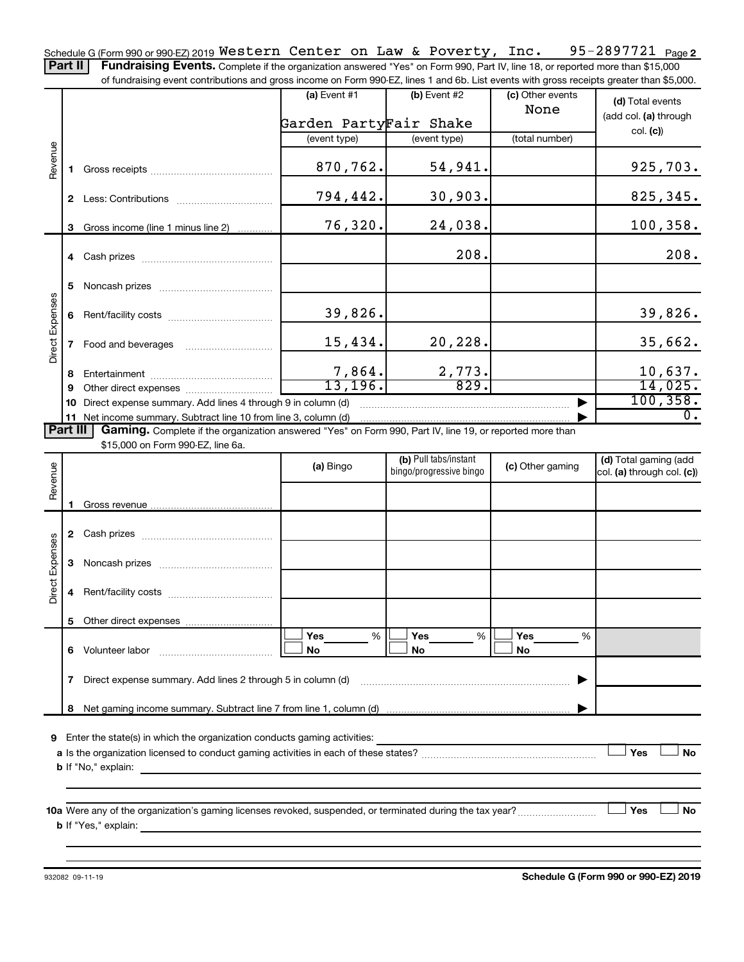95-2897721 Page 2 Schedule G (Form 990 or 990-EZ) 2019  $\texttt{Western Center on Law & \texttt{Powerty, Inc.} \quad 95-2897721 \quad \texttt{Page}$ Part II | Fundraising Events. Complete if the organization answered "Yes" on Form 990, Part IV, line 18, or reported more than \$15,000

of fundraising event contributions and gross income on Form 990-EZ, lines 1 and 6b. List events with gross receipts greater than \$5,000.

|                        |   | Thingleasing event continuums and gross income on Fulli ssu-LL, intes T and OD. List events with gross receipts greater than \$9,000. |                        |                                                  |                          |                                                     |
|------------------------|---|---------------------------------------------------------------------------------------------------------------------------------------|------------------------|--------------------------------------------------|--------------------------|-----------------------------------------------------|
|                        |   |                                                                                                                                       | (a) Event $#1$         | (b) Event $#2$                                   | (c) Other events<br>None | (d) Total events<br>(add col. (a) through           |
|                        |   |                                                                                                                                       | Garden PartyFair Shake |                                                  |                          | col. (c)                                            |
|                        |   |                                                                                                                                       | (event type)           | (event type)                                     | (total number)           |                                                     |
| Revenue                |   |                                                                                                                                       | 870,762.               | 54,941.                                          |                          | 925,703.                                            |
|                        |   |                                                                                                                                       | 794,442.               | 30,903.                                          |                          | 825, 345.                                           |
|                        |   | 3 Gross income (line 1 minus line 2)                                                                                                  | 76,320.                | 24,038.                                          |                          | 100, 358.                                           |
|                        |   |                                                                                                                                       |                        | 208.                                             |                          | 208.                                                |
|                        |   |                                                                                                                                       |                        |                                                  |                          |                                                     |
|                        |   |                                                                                                                                       | 39,826.                |                                                  |                          | 39,826.                                             |
| <b>Direct Expenses</b> |   | 7 Food and beverages                                                                                                                  | 15,434.                | 20, 228.                                         |                          | 35,662.                                             |
|                        | 8 |                                                                                                                                       |                        |                                                  |                          |                                                     |
|                        | 9 |                                                                                                                                       | $\frac{7,864}{13,196}$ | $\frac{2,773.}{829.}$                            |                          | $\frac{10,637}{14,025}$                             |
|                        |   | 10 Direct expense summary. Add lines 4 through 9 in column (d)                                                                        |                        |                                                  |                          | 100, 358.                                           |
|                        |   | 11 Net income summary. Subtract line 10 from line 3, column (d)                                                                       |                        |                                                  |                          | $\overline{0}$ .                                    |
| Part III               |   | Gaming. Complete if the organization answered "Yes" on Form 990, Part IV, line 19, or reported more than                              |                        |                                                  |                          |                                                     |
|                        |   | \$15,000 on Form 990-EZ, line 6a.                                                                                                     |                        |                                                  |                          |                                                     |
| Revenue                |   |                                                                                                                                       | (a) Bingo              | (b) Pull tabs/instant<br>bingo/progressive bingo | (c) Other gaming         | (d) Total gaming (add<br>col. (a) through col. (c)) |
|                        |   |                                                                                                                                       |                        |                                                  |                          |                                                     |
|                        |   |                                                                                                                                       |                        |                                                  |                          |                                                     |
|                        |   |                                                                                                                                       |                        |                                                  |                          |                                                     |
| <b>Direct Expenses</b> |   |                                                                                                                                       |                        |                                                  |                          |                                                     |
|                        |   |                                                                                                                                       |                        |                                                  |                          |                                                     |
|                        |   |                                                                                                                                       |                        |                                                  |                          |                                                     |
|                        |   |                                                                                                                                       | Yes<br>%               | Yes<br>%                                         | Yes<br>%                 |                                                     |
|                        | 6 | Volunteer labor                                                                                                                       | No                     | No                                               | No                       |                                                     |
|                        | 7 | Direct expense summary. Add lines 2 through 5 in column (d)                                                                           |                        |                                                  |                          |                                                     |
|                        | 8 |                                                                                                                                       |                        |                                                  |                          |                                                     |
|                        |   |                                                                                                                                       |                        |                                                  |                          |                                                     |
| 9                      |   | Enter the state(s) in which the organization conducts gaming activities:                                                              |                        |                                                  |                          |                                                     |
|                        |   |                                                                                                                                       |                        |                                                  |                          | Yes<br>No                                           |
|                        |   | <b>b</b> If "No," explain:                                                                                                            |                        |                                                  |                          |                                                     |
|                        |   |                                                                                                                                       |                        |                                                  |                          |                                                     |
|                        |   |                                                                                                                                       |                        |                                                  |                          | Yes<br>No                                           |
|                        |   | <b>b</b> If "Yes," explain:                                                                                                           |                        |                                                  |                          |                                                     |

932082 09-11-19

**Schedule G (Form 990 or 990-EZ) 2019**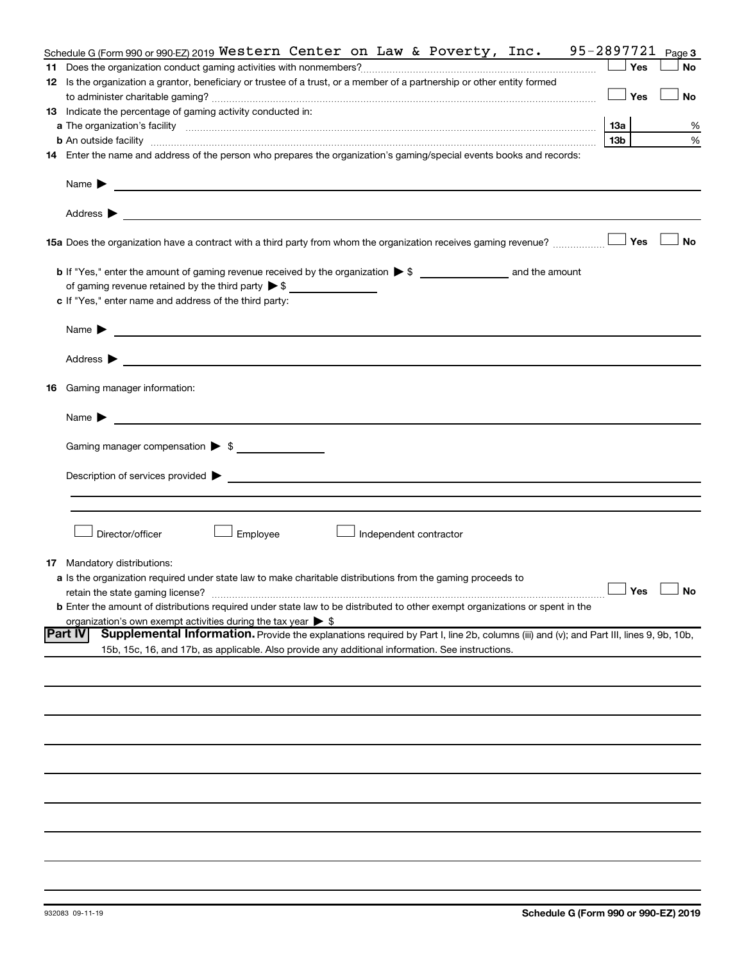|    | Schedule G (Form 990 or 990 EZ) 2019 Western Center on Law & Poverty, Inc. 95-2897721                                                                                                                                          |                     | Page 3    |
|----|--------------------------------------------------------------------------------------------------------------------------------------------------------------------------------------------------------------------------------|---------------------|-----------|
| 11 |                                                                                                                                                                                                                                | Yes                 | <b>No</b> |
|    | 12 Is the organization a grantor, beneficiary or trustee of a trust, or a member of a partnership or other entity formed                                                                                                       |                     |           |
|    |                                                                                                                                                                                                                                | Yes                 | <b>No</b> |
|    | 13 Indicate the percentage of gaming activity conducted in:                                                                                                                                                                    |                     |           |
|    |                                                                                                                                                                                                                                | 13a                 | %         |
|    | <b>b</b> An outside facility <i>www.communicality www.communicality.communicality www.communicality www.communicality.communicality www.communicality.com</i>                                                                  | 13 <sub>b</sub>     | %         |
|    | 14 Enter the name and address of the person who prepares the organization's gaming/special events books and records:                                                                                                           |                     |           |
|    | Name $\blacktriangleright$<br><u> 1989 - Johann Barbara, martin amerikan basal dan berasal dan berasal dalam basal dan berasal dan berasal dan</u>                                                                             |                     |           |
|    |                                                                                                                                                                                                                                |                     |           |
|    | 15 Yes The organization have a contract with a third party from whom the organization receives gaming revenue?                                                                                                                 |                     | <b>No</b> |
|    |                                                                                                                                                                                                                                |                     |           |
|    | of gaming revenue retained by the third party $\triangleright$ \$                                                                                                                                                              |                     |           |
|    | c If "Yes," enter name and address of the third party:                                                                                                                                                                         |                     |           |
|    |                                                                                                                                                                                                                                |                     |           |
|    | <u> 1980 - Johann Barbara, martin amerikan basal dan berasal dan berasal dalam basal dan berasal dan berasal dan</u><br>Name $\blacktriangleright$                                                                             |                     |           |
|    |                                                                                                                                                                                                                                |                     |           |
|    | <b>16</b> Gaming manager information:                                                                                                                                                                                          |                     |           |
|    | <u> 1989 - Johann Harry Harry Harry Harry Harry Harry Harry Harry Harry Harry Harry Harry Harry Harry Harry Harry</u><br>Name $\blacktriangleright$                                                                            |                     |           |
|    |                                                                                                                                                                                                                                |                     |           |
|    | Gaming manager compensation > \$                                                                                                                                                                                               |                     |           |
|    |                                                                                                                                                                                                                                |                     |           |
|    | Description of services provided states and the contract of the contract of the contract of the contract of the contract of the contract of the contract of the contract of the contract of the contract of the contract of th |                     |           |
|    |                                                                                                                                                                                                                                |                     |           |
|    |                                                                                                                                                                                                                                |                     |           |
|    | Director/officer<br>Employee<br>Independent contractor                                                                                                                                                                         |                     |           |
|    | <b>17</b> Mandatory distributions:                                                                                                                                                                                             |                     |           |
|    | <b>a</b> Is the organization required under state law to make charitable distributions from the gaming proceeds to                                                                                                             |                     |           |
|    | retain the state gaming license?                                                                                                                                                                                               | $\Box$ Yes $\ \bot$ | $\Box$ No |
|    | <b>b</b> Enter the amount of distributions required under state law to be distributed to other exempt organizations or spent in the                                                                                            |                     |           |
|    | organization's own exempt activities during the tax year $\triangleright$ \$                                                                                                                                                   |                     |           |
|    | Part IV<br>Supplemental Information. Provide the explanations required by Part I, line 2b, columns (iii) and (v); and Part III, lines 9, 9b, 10b,                                                                              |                     |           |
|    | 15b, 15c, 16, and 17b, as applicable. Also provide any additional information. See instructions.                                                                                                                               |                     |           |
|    |                                                                                                                                                                                                                                |                     |           |
|    |                                                                                                                                                                                                                                |                     |           |
|    |                                                                                                                                                                                                                                |                     |           |
|    |                                                                                                                                                                                                                                |                     |           |
|    |                                                                                                                                                                                                                                |                     |           |
|    |                                                                                                                                                                                                                                |                     |           |
|    |                                                                                                                                                                                                                                |                     |           |
|    |                                                                                                                                                                                                                                |                     |           |
|    |                                                                                                                                                                                                                                |                     |           |
|    |                                                                                                                                                                                                                                |                     |           |
|    |                                                                                                                                                                                                                                |                     |           |
|    |                                                                                                                                                                                                                                |                     |           |
|    |                                                                                                                                                                                                                                |                     |           |
|    |                                                                                                                                                                                                                                |                     |           |
|    |                                                                                                                                                                                                                                |                     |           |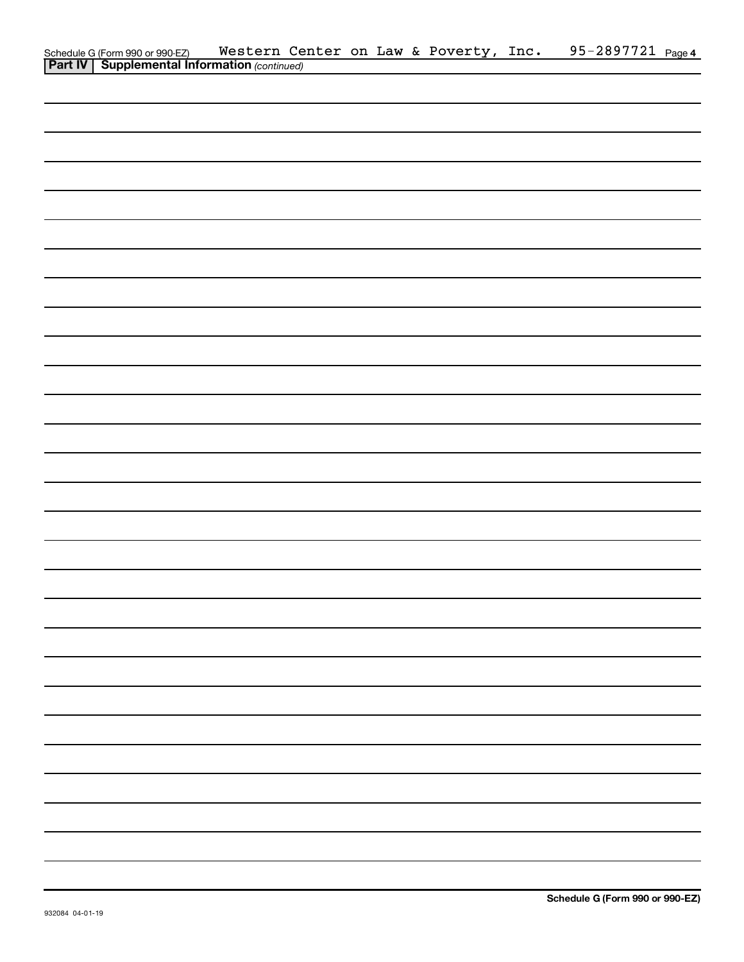| Schedule G (Form 990 or 990-EZ) Western Ce<br><b>Part IV   Supplemental Information</b> (continued) |  |  | Western Center on Law & Poverty, Inc. | 95-2897721 Page 4 |  |
|-----------------------------------------------------------------------------------------------------|--|--|---------------------------------------|-------------------|--|
|                                                                                                     |  |  |                                       |                   |  |
|                                                                                                     |  |  |                                       |                   |  |
|                                                                                                     |  |  |                                       |                   |  |
|                                                                                                     |  |  |                                       |                   |  |
|                                                                                                     |  |  |                                       |                   |  |
|                                                                                                     |  |  |                                       |                   |  |
|                                                                                                     |  |  |                                       |                   |  |
|                                                                                                     |  |  |                                       |                   |  |
|                                                                                                     |  |  |                                       |                   |  |
|                                                                                                     |  |  |                                       |                   |  |
|                                                                                                     |  |  |                                       |                   |  |
|                                                                                                     |  |  |                                       |                   |  |
|                                                                                                     |  |  |                                       |                   |  |
|                                                                                                     |  |  |                                       |                   |  |
|                                                                                                     |  |  |                                       |                   |  |
|                                                                                                     |  |  |                                       |                   |  |
|                                                                                                     |  |  |                                       |                   |  |
|                                                                                                     |  |  |                                       |                   |  |
|                                                                                                     |  |  |                                       |                   |  |
|                                                                                                     |  |  |                                       |                   |  |
|                                                                                                     |  |  |                                       |                   |  |
|                                                                                                     |  |  |                                       |                   |  |
|                                                                                                     |  |  |                                       |                   |  |
|                                                                                                     |  |  |                                       |                   |  |
|                                                                                                     |  |  |                                       |                   |  |
|                                                                                                     |  |  |                                       |                   |  |
|                                                                                                     |  |  |                                       |                   |  |
|                                                                                                     |  |  |                                       |                   |  |
|                                                                                                     |  |  |                                       |                   |  |
|                                                                                                     |  |  |                                       |                   |  |
|                                                                                                     |  |  |                                       |                   |  |
|                                                                                                     |  |  |                                       |                   |  |
|                                                                                                     |  |  |                                       |                   |  |
|                                                                                                     |  |  |                                       |                   |  |
|                                                                                                     |  |  |                                       |                   |  |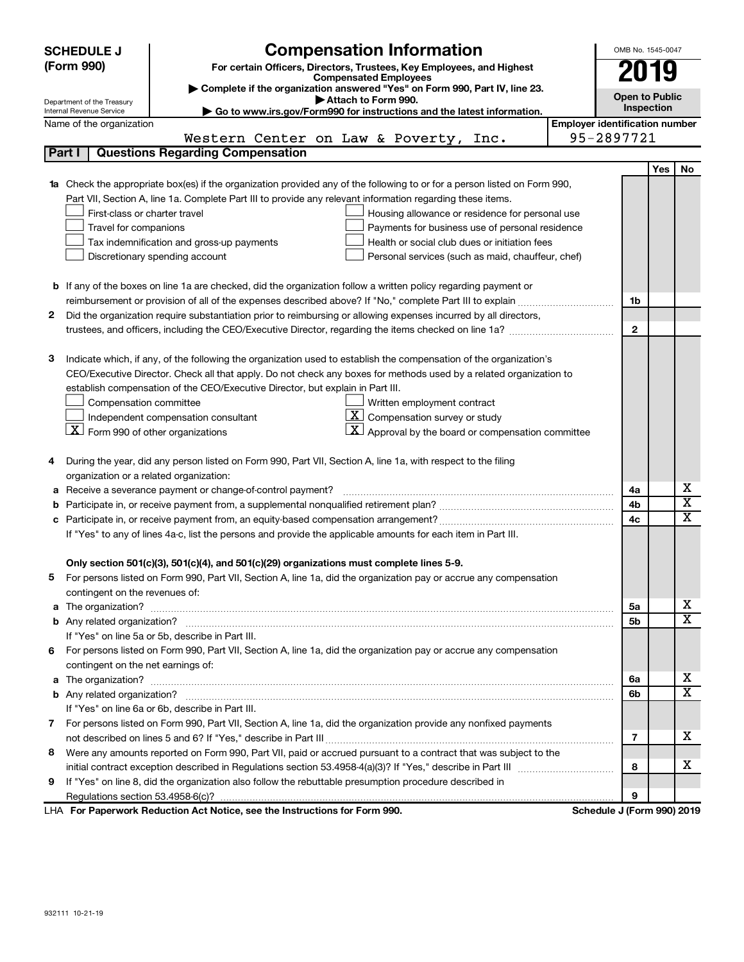| <b>Compensation Information</b><br><b>SCHEDULE J</b>                                                                             | OMB No. 1545-0047                     |                       |  |  |  |  |
|----------------------------------------------------------------------------------------------------------------------------------|---------------------------------------|-----------------------|--|--|--|--|
| (Form 990)<br>For certain Officers, Directors, Trustees, Key Employees, and Highest                                              | 2019                                  |                       |  |  |  |  |
| <b>Compensated Employees</b>                                                                                                     |                                       |                       |  |  |  |  |
| Complete if the organization answered "Yes" on Form 990, Part IV, line 23.<br>Attach to Form 990.<br>Department of the Treasury  |                                       | <b>Open to Public</b> |  |  |  |  |
| Go to www.irs.gov/Form990 for instructions and the latest information.<br>Internal Revenue Service                               |                                       | Inspection            |  |  |  |  |
| Name of the organization                                                                                                         | <b>Employer identification number</b> |                       |  |  |  |  |
| Western Center on Law & Poverty,<br>Inc.                                                                                         | 95-2897721                            |                       |  |  |  |  |
| Part I<br><b>Questions Regarding Compensation</b>                                                                                |                                       |                       |  |  |  |  |
|                                                                                                                                  |                                       | Yes<br>No             |  |  |  |  |
| <b>1a</b> Check the appropriate box(es) if the organization provided any of the following to or for a person listed on Form 990, |                                       |                       |  |  |  |  |
| Part VII, Section A, line 1a. Complete Part III to provide any relevant information regarding these items.                       |                                       |                       |  |  |  |  |
| First-class or charter travel<br>Housing allowance or residence for personal use                                                 |                                       |                       |  |  |  |  |
| Travel for companions<br>Payments for business use of personal residence                                                         |                                       |                       |  |  |  |  |
| Tax indemnification and gross-up payments<br>Health or social club dues or initiation fees                                       |                                       |                       |  |  |  |  |
| Discretionary spending account<br>Personal services (such as maid, chauffeur, chef)                                              |                                       |                       |  |  |  |  |
|                                                                                                                                  |                                       |                       |  |  |  |  |
| <b>b</b> If any of the boxes on line 1a are checked, did the organization follow a written policy regarding payment or           |                                       |                       |  |  |  |  |
|                                                                                                                                  | 1b                                    |                       |  |  |  |  |
| Did the organization require substantiation prior to reimbursing or allowing expenses incurred by all directors,<br>2            |                                       |                       |  |  |  |  |
|                                                                                                                                  | $\mathbf{2}$                          |                       |  |  |  |  |
|                                                                                                                                  |                                       |                       |  |  |  |  |
| Indicate which, if any, of the following the organization used to establish the compensation of the organization's<br>з          |                                       |                       |  |  |  |  |
| CEO/Executive Director. Check all that apply. Do not check any boxes for methods used by a related organization to               |                                       |                       |  |  |  |  |
| establish compensation of the CEO/Executive Director, but explain in Part III.                                                   |                                       |                       |  |  |  |  |
| Compensation committee<br>Written employment contract                                                                            |                                       |                       |  |  |  |  |
| $ \mathbf{X} $ Compensation survey or study<br>Independent compensation consultant                                               |                                       |                       |  |  |  |  |
| $\lfloor x \rfloor$ Form 990 of other organizations<br>$\mathbf{X}$ Approval by the board or compensation committee              |                                       |                       |  |  |  |  |
|                                                                                                                                  |                                       |                       |  |  |  |  |
| During the year, did any person listed on Form 990, Part VII, Section A, line 1a, with respect to the filing<br>4                |                                       |                       |  |  |  |  |
| organization or a related organization:                                                                                          |                                       |                       |  |  |  |  |
| Receive a severance payment or change-of-control payment?<br>а                                                                   | 4a                                    | х<br>X                |  |  |  |  |
| b                                                                                                                                | 4b                                    | x                     |  |  |  |  |
|                                                                                                                                  | 4c                                    |                       |  |  |  |  |
| If "Yes" to any of lines 4a-c, list the persons and provide the applicable amounts for each item in Part III.                    |                                       |                       |  |  |  |  |
|                                                                                                                                  |                                       |                       |  |  |  |  |
| Only section 501(c)(3), 501(c)(4), and 501(c)(29) organizations must complete lines 5-9.                                         |                                       |                       |  |  |  |  |
| For persons listed on Form 990, Part VII, Section A, line 1a, did the organization pay or accrue any compensation                |                                       |                       |  |  |  |  |
| contingent on the revenues of:                                                                                                   |                                       | х                     |  |  |  |  |
| a The organization? <b>Process and Construction Construction</b> and The organization?                                           | 5а<br>5b                              | x                     |  |  |  |  |
| If "Yes" on line 5a or 5b, describe in Part III.                                                                                 |                                       |                       |  |  |  |  |
| 6 For persons listed on Form 990, Part VII, Section A, line 1a, did the organization pay or accrue any compensation              |                                       |                       |  |  |  |  |
| contingent on the net earnings of:                                                                                               |                                       |                       |  |  |  |  |
|                                                                                                                                  | 6a                                    | х                     |  |  |  |  |
|                                                                                                                                  | 6b                                    | X                     |  |  |  |  |
| If "Yes" on line 6a or 6b, describe in Part III.                                                                                 |                                       |                       |  |  |  |  |
| 7 For persons listed on Form 990, Part VII, Section A, line 1a, did the organization provide any nonfixed payments               |                                       |                       |  |  |  |  |
|                                                                                                                                  | 7                                     | x.                    |  |  |  |  |
| Were any amounts reported on Form 990, Part VII, paid or accrued pursuant to a contract that was subject to the<br>8             |                                       |                       |  |  |  |  |
|                                                                                                                                  | 8                                     | х                     |  |  |  |  |
| If "Yes" on line 8, did the organization also follow the rebuttable presumption procedure described in<br>9                      |                                       |                       |  |  |  |  |
|                                                                                                                                  | 9                                     |                       |  |  |  |  |
| LHA For Paperwork Reduction Act Notice, see the Instructions for Form 990.                                                       | Schedule J (Form 990) 2019            |                       |  |  |  |  |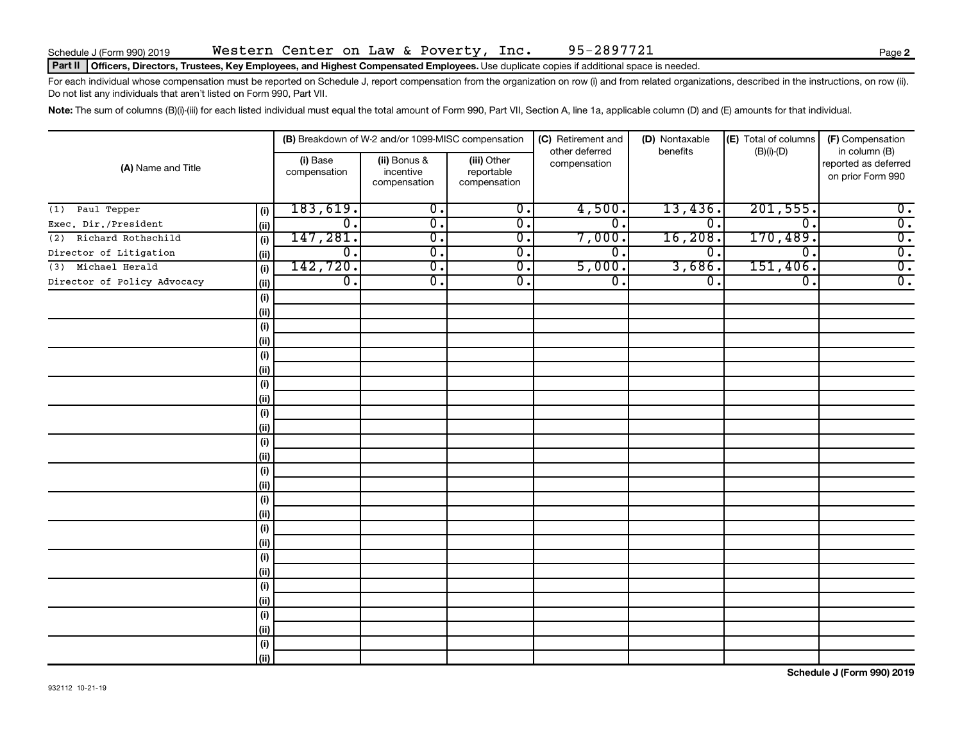## Part II | Officers, Directors, Trustees, Key Employees, and Highest Compensated Employees. Use duplicate copies if additional space is needed.

For each individual whose compensation must be reported on Schedule J, report compensation from the organization on row (i) and from related organizations, described in the instructions, on row (ii). Do not list any individuals that aren't listed on Form 990, Part VII.

Note: The sum of columns (B)(i)-(iii) for each listed individual must equal the total amount of Form 990, Part VII, Section A, line 1a, applicable column (D) and (E) amounts for that individual.

| (A) Name and Title          |                              |                          | (B) Breakdown of W-2 and/or 1099-MISC compensation |                                           | (C) Retirement and             | (D) Nontaxable              | (E) Total of columns | (F) Compensation                                           |
|-----------------------------|------------------------------|--------------------------|----------------------------------------------------|-------------------------------------------|--------------------------------|-----------------------------|----------------------|------------------------------------------------------------|
|                             |                              | (i) Base<br>compensation | (ii) Bonus &<br>incentive<br>compensation          | (iii) Other<br>reportable<br>compensation | other deferred<br>compensation | benefits                    | $(B)(i)-(D)$         | in column (B)<br>reported as deferred<br>on prior Form 990 |
| Paul Tepper<br>(1)          | (i)                          | 183,619.                 | $\overline{0}$ .                                   | $\overline{0}$ .                          | 4,500.                         | 13,436.                     | 201, 555.            | $\overline{\mathbf{0}}$ .                                  |
| Exec. Dir./President        | (ii)                         | $\overline{0}$ .         | $\overline{0}$ .                                   | $\overline{0}$ .                          | σ.                             | $\mathbf 0$                 | $^{\rm o}$ .         | $\overline{0}$ .                                           |
| Richard Rothschild<br>(2)   | (i)                          | 147,281.                 | $\overline{0}$ .                                   | $\overline{0}$ .                          | 7,000.                         | 16,208                      | 170,489.             | $\overline{0}$ .                                           |
| Director of Litigation      | (ii)                         | $\overline{0}$ .         | $\overline{0}$ .                                   | $\overline{0}$ .                          | σ.                             | $\mathbf 0$ .               | 0.                   | $\overline{0}$ .                                           |
| Michael Herald<br>(3)       | (i)                          | 142,720.                 | $\overline{\mathfrak{o}}$ .                        | $\overline{0}$ .                          | 5,000.                         | 3,686.                      | 151,406.             | $\overline{0}$ .                                           |
| Director of Policy Advocacy | (ii)                         | $\overline{0}$ .         | $\overline{\mathfrak{o}}$ .                        | $\overline{0}$ .                          | σ.                             | $\overline{\mathfrak{o}}$ . | $\overline{0}$ .     | $\overline{0}$ .                                           |
|                             | $\qquad \qquad \textbf{(i)}$ |                          |                                                    |                                           |                                |                             |                      |                                                            |
|                             | (ii)                         |                          |                                                    |                                           |                                |                             |                      |                                                            |
|                             | (i)                          |                          |                                                    |                                           |                                |                             |                      |                                                            |
|                             | (ii)                         |                          |                                                    |                                           |                                |                             |                      |                                                            |
|                             | (i)                          |                          |                                                    |                                           |                                |                             |                      |                                                            |
|                             | (ii)                         |                          |                                                    |                                           |                                |                             |                      |                                                            |
|                             | $\qquad \qquad \textbf{(i)}$ |                          |                                                    |                                           |                                |                             |                      |                                                            |
|                             | (ii)                         |                          |                                                    |                                           |                                |                             |                      |                                                            |
|                             | (i)                          |                          |                                                    |                                           |                                |                             |                      |                                                            |
|                             | (ii)                         |                          |                                                    |                                           |                                |                             |                      |                                                            |
|                             | (i)                          |                          |                                                    |                                           |                                |                             |                      |                                                            |
|                             | (ii)                         |                          |                                                    |                                           |                                |                             |                      |                                                            |
|                             | (i)                          |                          |                                                    |                                           |                                |                             |                      |                                                            |
|                             | (ii)                         |                          |                                                    |                                           |                                |                             |                      |                                                            |
|                             | $(\sf{i})$                   |                          |                                                    |                                           |                                |                             |                      |                                                            |
|                             | (ii)                         |                          |                                                    |                                           |                                |                             |                      |                                                            |
|                             | (i)                          |                          |                                                    |                                           |                                |                             |                      |                                                            |
|                             | (ii)                         |                          |                                                    |                                           |                                |                             |                      |                                                            |
|                             | (i)                          |                          |                                                    |                                           |                                |                             |                      |                                                            |
|                             | (ii)                         |                          |                                                    |                                           |                                |                             |                      |                                                            |
|                             | (i)                          |                          |                                                    |                                           |                                |                             |                      |                                                            |
|                             | (ii)                         |                          |                                                    |                                           |                                |                             |                      |                                                            |
|                             | (i)                          |                          |                                                    |                                           |                                |                             |                      |                                                            |
|                             | (ii)                         |                          |                                                    |                                           |                                |                             |                      |                                                            |
|                             | (i)                          |                          |                                                    |                                           |                                |                             |                      |                                                            |
|                             | (ii)                         |                          |                                                    |                                           |                                |                             |                      |                                                            |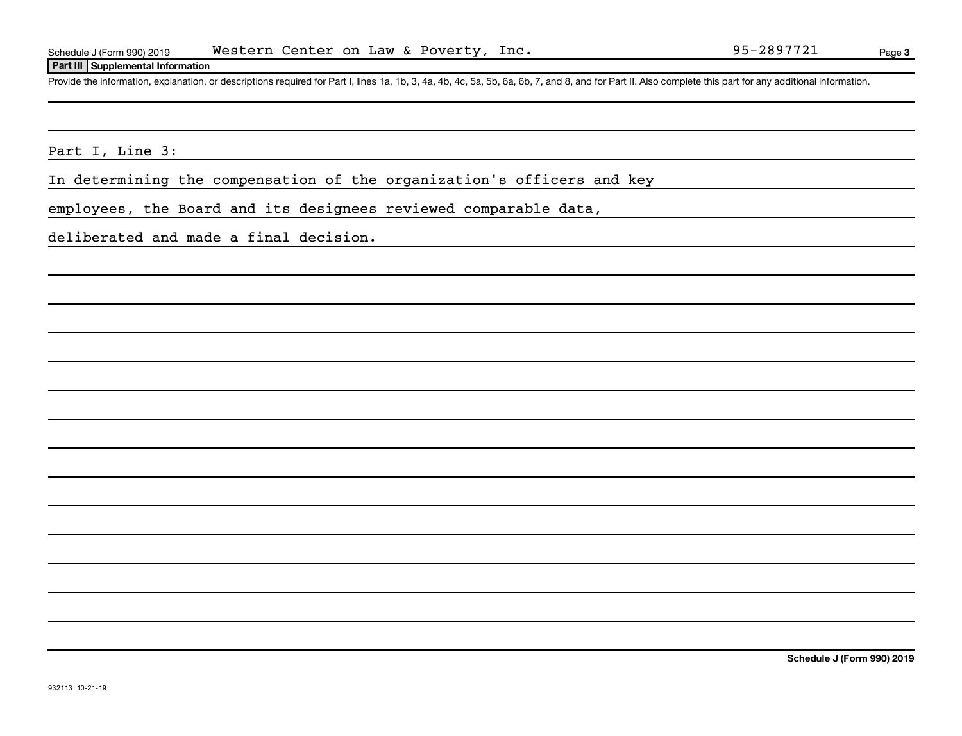## **Part III Supplemental Information**

Provide the information, explanation, or descriptions required for Part I, lines 1a, 1b, 3, 4a, 4b, 4c, 5a, 5b, 6a, 6b, 7, and 8, and for Part II. Also complete this part for any additional information.

Part I, Line 3:

In determining the compensation of the organization's officers and key

employees, the Board and its designees reviewed comparable data,

deliberated and made a final decision.

**Schedule J (Form 990) 2019**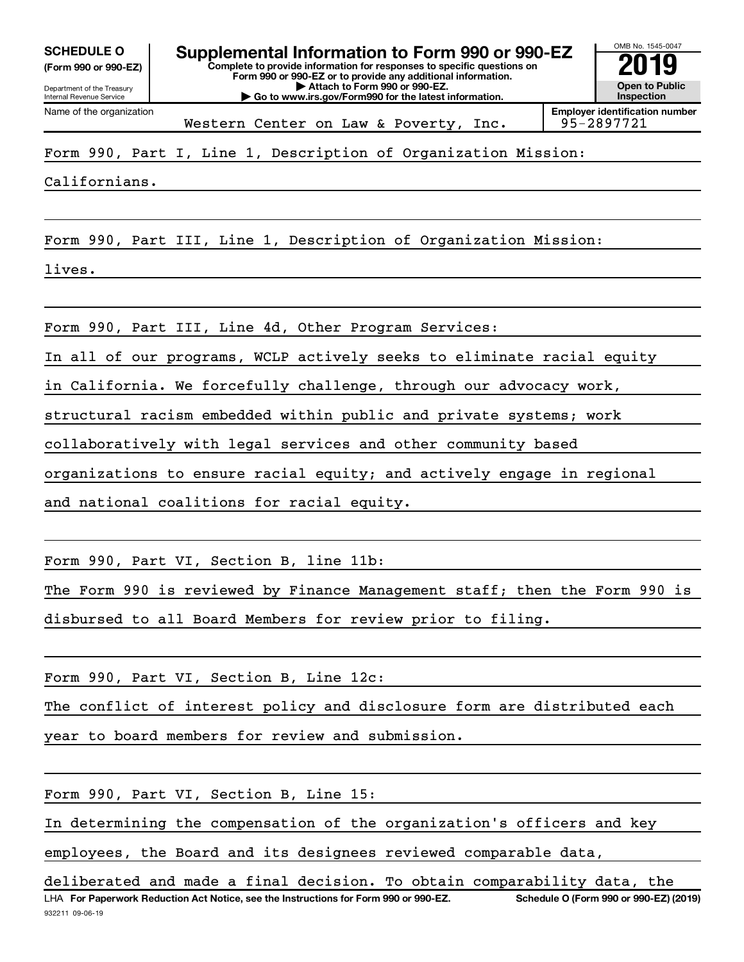**(Form 990 or 990-EZ)**

Department of the Treasury Internal Revenue Service

Name of the organization

**Complete to provide information for responses to specific questions on Form 990 or 990-EZ or to provide any additional information. | Attach to Form 990 or 990-EZ. | Go to www.irs.gov/Form990 for the latest information. SCHEDULE O Supplemental Information to Form 990 or 990-EZ 2019** 



Form 990, Part I, Line 1, Description of Organization Mission:

Californians.

Form 990, Part III, Line 1, Description of Organization Mission:

lives.

Form 990, Part III, Line 4d, Other Program Services:

In all of our programs, WCLP actively seeks to eliminate racial equity

in California. We forcefully challenge, through our advocacy work,

structural racism embedded within public and private systems; work

collaboratively with legal services and other community based

organizations to ensure racial equity; and actively engage in regional

and national coalitions for racial equity.

Form 990, Part VI, Section B, line 11b:

The Form 990 is reviewed by Finance Management staff; then the Form 990 is disbursed to all Board Members for review prior to filing.

Form 990, Part VI, Section B, Line 12c:

The conflict of interest policy and disclosure form are distributed each

year to board members for review and submission.

Form 990, Part VI, Section B, Line 15:

In determining the compensation of the organization's officers and key

employees, the Board and its designees reviewed comparable data,

932211 09-06-19 LHA For Paperwork Reduction Act Notice, see the Instructions for Form 990 or 990-EZ. Schedule O (Form 990 or 990-EZ) (2019) deliberated and made a final decision. To obtain comparability data, the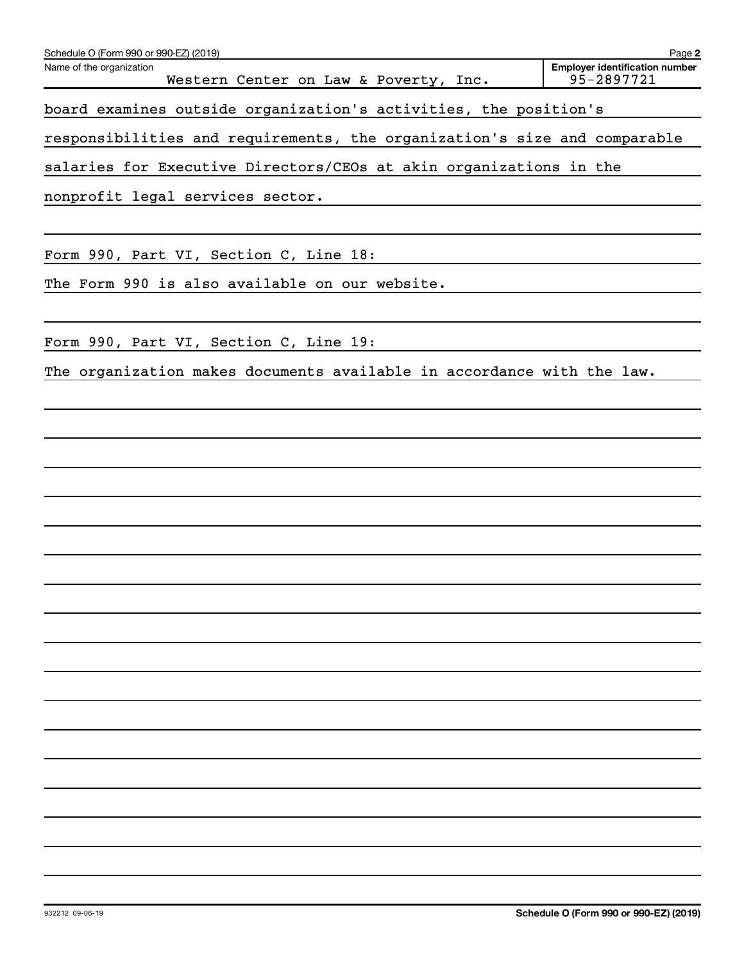| Schedule O (Form 990 or 990-EZ) (2019)                                    | Page 2                                              |
|---------------------------------------------------------------------------|-----------------------------------------------------|
| Name of the organization<br>Western Center on Law & Poverty, Inc.         | <b>Employer identification number</b><br>95-2897721 |
| board examines outside organization's activities, the position's          |                                                     |
| responsibilities and requirements, the organization's size and comparable |                                                     |
| salaries for Executive Directors/CEOs at akin organizations in the        |                                                     |
| nonprofit legal services sector.                                          |                                                     |
|                                                                           |                                                     |
| Form 990, Part VI, Section C, Line 18:                                    |                                                     |
| The Form 990 is also available on our website.                            |                                                     |
|                                                                           |                                                     |
| Form 990, Part VI, Section C, Line 19:                                    |                                                     |
| The organization makes documents available in accordance with the law.    |                                                     |
|                                                                           |                                                     |
|                                                                           |                                                     |
|                                                                           |                                                     |
|                                                                           |                                                     |
|                                                                           |                                                     |
|                                                                           |                                                     |
|                                                                           |                                                     |
|                                                                           |                                                     |
|                                                                           |                                                     |
|                                                                           |                                                     |
|                                                                           |                                                     |
|                                                                           |                                                     |
|                                                                           |                                                     |
|                                                                           |                                                     |
|                                                                           |                                                     |
|                                                                           |                                                     |
|                                                                           |                                                     |
|                                                                           |                                                     |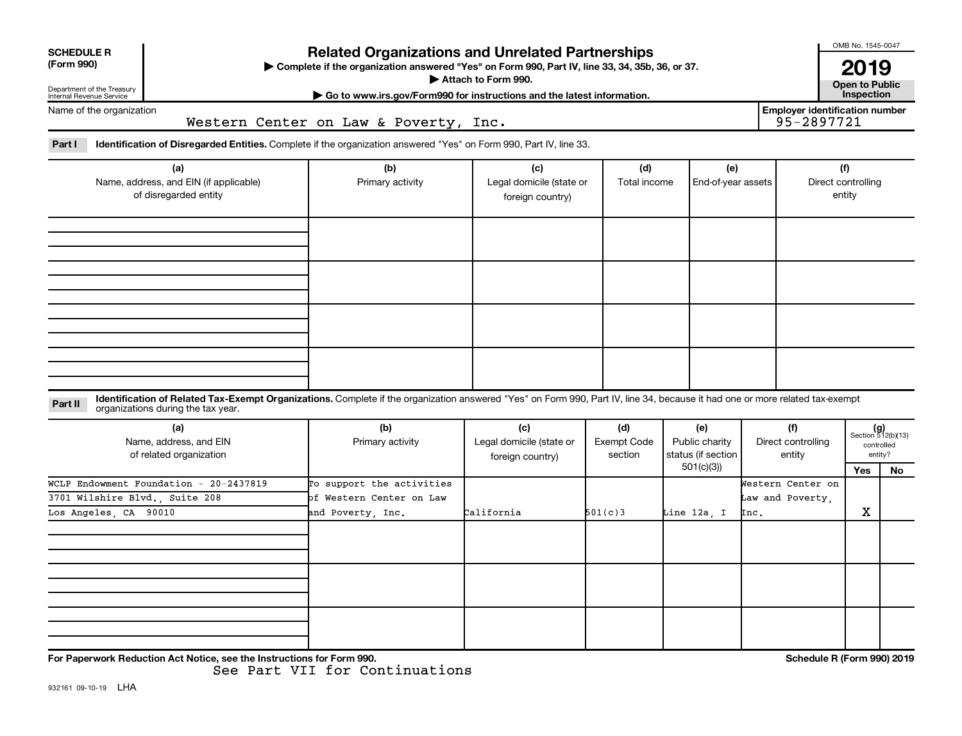| <b>SCHEDULE R</b><br>(Form 990)<br>Department of the Treasury<br>Internal Revenue Service | <b>Related Organizations and Unrelated Partnerships</b><br>> Complete if the organization answered "Yes" on Form 990, Part IV, line 33, 34, 35b, 36, or 37.<br>Attach to Form 990.<br>Go to www.irs.gov/Form990 for instructions and the latest information. |                                                                                                                                                                              |                                                     |                                      |                                                          |                                               |                                                     | OMB No. 1545-0047<br>2019<br><b>Open to Public</b><br>Inspection |                                   |  |
|-------------------------------------------------------------------------------------------|--------------------------------------------------------------------------------------------------------------------------------------------------------------------------------------------------------------------------------------------------------------|------------------------------------------------------------------------------------------------------------------------------------------------------------------------------|-----------------------------------------------------|--------------------------------------|----------------------------------------------------------|-----------------------------------------------|-----------------------------------------------------|------------------------------------------------------------------|-----------------------------------|--|
| Name of the organization<br>Western Center on Law & Poverty, Inc.                         |                                                                                                                                                                                                                                                              |                                                                                                                                                                              |                                                     |                                      |                                                          |                                               | <b>Employer identification number</b><br>95-2897721 |                                                                  |                                   |  |
| Part I                                                                                    |                                                                                                                                                                                                                                                              | Identification of Disregarded Entities. Complete if the organization answered "Yes" on Form 990, Part IV, line 33.                                                           |                                                     |                                      |                                                          |                                               |                                                     |                                                                  |                                   |  |
|                                                                                           | (a)<br>Name, address, and EIN (if applicable)<br>of disregarded entity                                                                                                                                                                                       | (b)<br>(c)<br>(d)<br>(e)<br>Legal domicile (state or<br>Primary activity<br>Total income<br>End-of-year assets<br>foreign country)                                           |                                                     |                                      |                                                          | (f)<br>Direct controlling<br>entity           |                                                     |                                                                  |                                   |  |
|                                                                                           |                                                                                                                                                                                                                                                              |                                                                                                                                                                              |                                                     |                                      |                                                          |                                               |                                                     |                                                                  |                                   |  |
| Part II                                                                                   | organizations during the tax year.                                                                                                                                                                                                                           | Identification of Related Tax-Exempt Organizations. Complete if the organization answered "Yes" on Form 990, Part IV, line 34, because it had one or more related tax-exempt |                                                     |                                      |                                                          |                                               |                                                     |                                                                  |                                   |  |
|                                                                                           | (a)<br>Name, address, and EIN<br>of related organization                                                                                                                                                                                                     | (b)<br>Primary activity                                                                                                                                                      | (c)<br>Legal domicile (state or<br>foreign country) | (d)<br><b>Exempt Code</b><br>section | (e)<br>Public charity<br>status (if section<br>501(c)(3) | (f)<br>Direct controlling<br>entity           |                                                     | controlled<br>entity?<br>Yes                                     | $(g)$<br>Section 512(b)(13)<br>No |  |
| Los Angeles, CA 90010                                                                     | WCLP Endowment Foundation - 20-2437819<br>3701 Wilshire Blvd., Suite 208                                                                                                                                                                                     | To support the activities<br>of Western Center on Law<br>and Poverty, Inc.                                                                                                   | California                                          | 501(c)3                              | Line 12a. I                                              | Western Center on<br>Law and Poverty,<br>Inc. |                                                     | X                                                                |                                   |  |
|                                                                                           |                                                                                                                                                                                                                                                              |                                                                                                                                                                              |                                                     |                                      |                                                          |                                               |                                                     |                                                                  |                                   |  |
|                                                                                           | For Paperwork Reduction Act Notice, see the Instructions for Form 990.                                                                                                                                                                                       |                                                                                                                                                                              |                                                     |                                      |                                                          |                                               | Schedule R (Form 990) 2019                          |                                                                  |                                   |  |

See Part VII for Continuations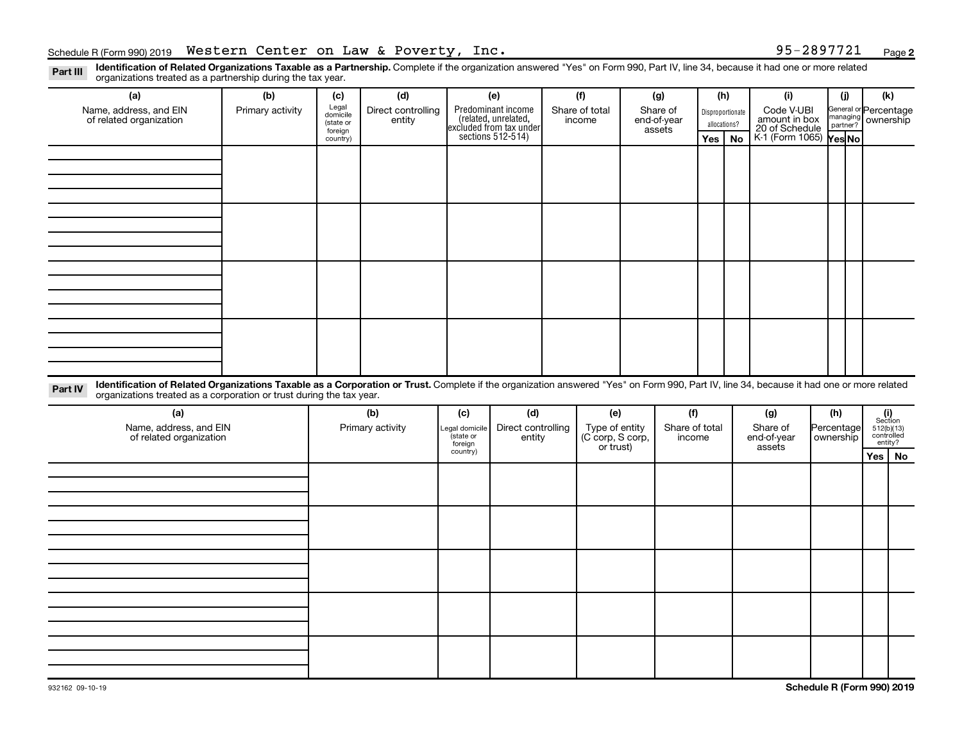**2**

Part III Identification of Related Organizations Taxable as a Partnership. Complete if the organization answered "Yes" on Form 990, Part IV, line 34, because it had one or more related<br>Read to the organizations tracted as organizations treated as a partnership during the tax year.

| organizations trouted as a partneronip dannig the tax year.                                                                                                                                                                                                                 |                  |                      |                              |                                                    |                                                                                            |  |                                              |  |                |             |                                                                                            |                                                         |                         |                    |               |                       |  |  |
|-----------------------------------------------------------------------------------------------------------------------------------------------------------------------------------------------------------------------------------------------------------------------------|------------------|----------------------|------------------------------|----------------------------------------------------|--------------------------------------------------------------------------------------------|--|----------------------------------------------|--|----------------|-------------|--------------------------------------------------------------------------------------------|---------------------------------------------------------|-------------------------|--------------------|---------------|-----------------------|--|--|
| (a)                                                                                                                                                                                                                                                                         | (b)              | (c)                  | (d)                          |                                                    | (e)                                                                                        |  | (f)                                          |  | (g)            |             | (h)                                                                                        | (i)                                                     |                         | (j)                | (k)           |                       |  |  |
| Name, address, and EIN<br>of related organization                                                                                                                                                                                                                           | Primary activity | Legal<br>domicile    | Direct controlling<br>entity |                                                    |                                                                                            |  | Share of total<br>income                     |  | Share of       |             |                                                                                            | Disproportionate                                        |                         |                    |               | General or Percentage |  |  |
|                                                                                                                                                                                                                                                                             |                  | (state or<br>foreign |                              |                                                    | Predominant income<br>(related, unrelated,<br>excluded from tax under<br>sections 512-514) |  | end-of-year<br>assets                        |  |                |             | Code V-UBI<br>amount in box<br>20 of Schedule<br>K-1 (Form 1065)<br>Yes No<br>allocations? |                                                         |                         | managing ownership |               |                       |  |  |
|                                                                                                                                                                                                                                                                             |                  | country)             |                              |                                                    |                                                                                            |  |                                              |  |                | Yes         | No                                                                                         |                                                         |                         |                    |               |                       |  |  |
|                                                                                                                                                                                                                                                                             |                  |                      |                              |                                                    |                                                                                            |  |                                              |  |                |             |                                                                                            |                                                         |                         |                    |               |                       |  |  |
|                                                                                                                                                                                                                                                                             |                  |                      |                              |                                                    |                                                                                            |  |                                              |  |                |             |                                                                                            |                                                         |                         |                    |               |                       |  |  |
|                                                                                                                                                                                                                                                                             |                  |                      |                              |                                                    |                                                                                            |  |                                              |  |                |             |                                                                                            |                                                         |                         |                    |               |                       |  |  |
|                                                                                                                                                                                                                                                                             |                  |                      |                              |                                                    |                                                                                            |  |                                              |  |                |             |                                                                                            |                                                         |                         |                    |               |                       |  |  |
|                                                                                                                                                                                                                                                                             |                  |                      |                              |                                                    |                                                                                            |  |                                              |  |                |             |                                                                                            |                                                         |                         |                    |               |                       |  |  |
|                                                                                                                                                                                                                                                                             |                  |                      |                              |                                                    |                                                                                            |  |                                              |  |                |             |                                                                                            |                                                         |                         |                    |               |                       |  |  |
|                                                                                                                                                                                                                                                                             |                  |                      |                              |                                                    |                                                                                            |  |                                              |  |                |             |                                                                                            |                                                         |                         |                    |               |                       |  |  |
|                                                                                                                                                                                                                                                                             |                  |                      |                              |                                                    |                                                                                            |  |                                              |  |                |             |                                                                                            |                                                         |                         |                    |               |                       |  |  |
|                                                                                                                                                                                                                                                                             |                  |                      |                              |                                                    |                                                                                            |  |                                              |  |                |             |                                                                                            |                                                         |                         |                    |               |                       |  |  |
|                                                                                                                                                                                                                                                                             |                  |                      |                              |                                                    |                                                                                            |  |                                              |  |                |             |                                                                                            |                                                         |                         |                    |               |                       |  |  |
|                                                                                                                                                                                                                                                                             |                  |                      |                              |                                                    |                                                                                            |  |                                              |  |                |             |                                                                                            |                                                         |                         |                    |               |                       |  |  |
|                                                                                                                                                                                                                                                                             |                  |                      |                              |                                                    |                                                                                            |  |                                              |  |                |             |                                                                                            |                                                         |                         |                    |               |                       |  |  |
|                                                                                                                                                                                                                                                                             |                  |                      |                              |                                                    |                                                                                            |  |                                              |  |                |             |                                                                                            |                                                         |                         |                    |               |                       |  |  |
|                                                                                                                                                                                                                                                                             |                  |                      |                              |                                                    |                                                                                            |  |                                              |  |                |             |                                                                                            |                                                         |                         |                    |               |                       |  |  |
|                                                                                                                                                                                                                                                                             |                  |                      |                              |                                                    |                                                                                            |  |                                              |  |                |             |                                                                                            |                                                         |                         |                    |               |                       |  |  |
|                                                                                                                                                                                                                                                                             |                  |                      |                              |                                                    |                                                                                            |  |                                              |  |                |             |                                                                                            |                                                         |                         |                    |               |                       |  |  |
| Identification of Related Organizations Taxable as a Corporation or Trust. Complete if the organization answered "Yes" on Form 990, Part IV, line 34, because it had one or more related<br>Part IV<br>organizations treated as a corporation or trust during the tax year. |                  |                      |                              |                                                    |                                                                                            |  |                                              |  |                |             |                                                                                            |                                                         |                         |                    |               |                       |  |  |
| (a)                                                                                                                                                                                                                                                                         |                  |                      | (b)                          | (c)                                                | (d)                                                                                        |  | (e)                                          |  | (f)            |             |                                                                                            | (g)                                                     |                         | (h)                |               |                       |  |  |
| Name, address, and EIN                                                                                                                                                                                                                                                      |                  | Primary activity     |                              | Legal domicile<br>(state or<br>foreign<br>country) | Direct controlling<br>entity                                                               |  |                                              |  | Share of total |             |                                                                                            | Share of                                                | Percentage<br>ownership |                    |               |                       |  |  |
| of related organization                                                                                                                                                                                                                                                     |                  |                      |                              |                                                    |                                                                                            |  | Type of entity<br>(C corp, S corp,<br>income |  |                | end-of-year |                                                                                            | $(i)$<br>Section<br>512(b)(13)<br>controlled<br>entity? |                         |                    |               |                       |  |  |
|                                                                                                                                                                                                                                                                             |                  |                      |                              |                                                    |                                                                                            |  | or trust)                                    |  |                |             |                                                                                            | assets                                                  |                         |                    | $Yes \mid No$ |                       |  |  |
|                                                                                                                                                                                                                                                                             |                  |                      |                              |                                                    |                                                                                            |  |                                              |  |                |             |                                                                                            |                                                         |                         |                    |               |                       |  |  |
|                                                                                                                                                                                                                                                                             |                  |                      |                              |                                                    |                                                                                            |  |                                              |  |                |             |                                                                                            |                                                         |                         |                    |               |                       |  |  |
|                                                                                                                                                                                                                                                                             |                  |                      |                              |                                                    |                                                                                            |  |                                              |  |                |             |                                                                                            |                                                         |                         |                    |               |                       |  |  |
|                                                                                                                                                                                                                                                                             |                  |                      |                              |                                                    |                                                                                            |  |                                              |  |                |             |                                                                                            |                                                         |                         |                    |               |                       |  |  |
|                                                                                                                                                                                                                                                                             |                  |                      |                              |                                                    |                                                                                            |  |                                              |  |                |             |                                                                                            |                                                         |                         |                    |               |                       |  |  |
|                                                                                                                                                                                                                                                                             |                  |                      |                              |                                                    |                                                                                            |  |                                              |  |                |             |                                                                                            |                                                         |                         |                    |               |                       |  |  |
|                                                                                                                                                                                                                                                                             |                  |                      |                              |                                                    |                                                                                            |  |                                              |  |                |             |                                                                                            |                                                         |                         |                    |               |                       |  |  |
|                                                                                                                                                                                                                                                                             |                  |                      |                              |                                                    |                                                                                            |  |                                              |  |                |             |                                                                                            |                                                         |                         |                    |               |                       |  |  |
|                                                                                                                                                                                                                                                                             |                  |                      |                              |                                                    |                                                                                            |  |                                              |  |                |             |                                                                                            |                                                         |                         |                    |               |                       |  |  |
|                                                                                                                                                                                                                                                                             |                  |                      |                              |                                                    |                                                                                            |  |                                              |  |                |             |                                                                                            |                                                         |                         |                    |               |                       |  |  |
|                                                                                                                                                                                                                                                                             |                  |                      |                              |                                                    |                                                                                            |  |                                              |  |                |             |                                                                                            |                                                         |                         |                    |               |                       |  |  |
|                                                                                                                                                                                                                                                                             |                  |                      |                              |                                                    |                                                                                            |  |                                              |  |                |             |                                                                                            |                                                         |                         |                    |               |                       |  |  |
|                                                                                                                                                                                                                                                                             |                  |                      |                              |                                                    |                                                                                            |  |                                              |  |                |             |                                                                                            |                                                         |                         |                    |               |                       |  |  |
|                                                                                                                                                                                                                                                                             |                  |                      |                              |                                                    |                                                                                            |  |                                              |  |                |             |                                                                                            |                                                         |                         |                    |               |                       |  |  |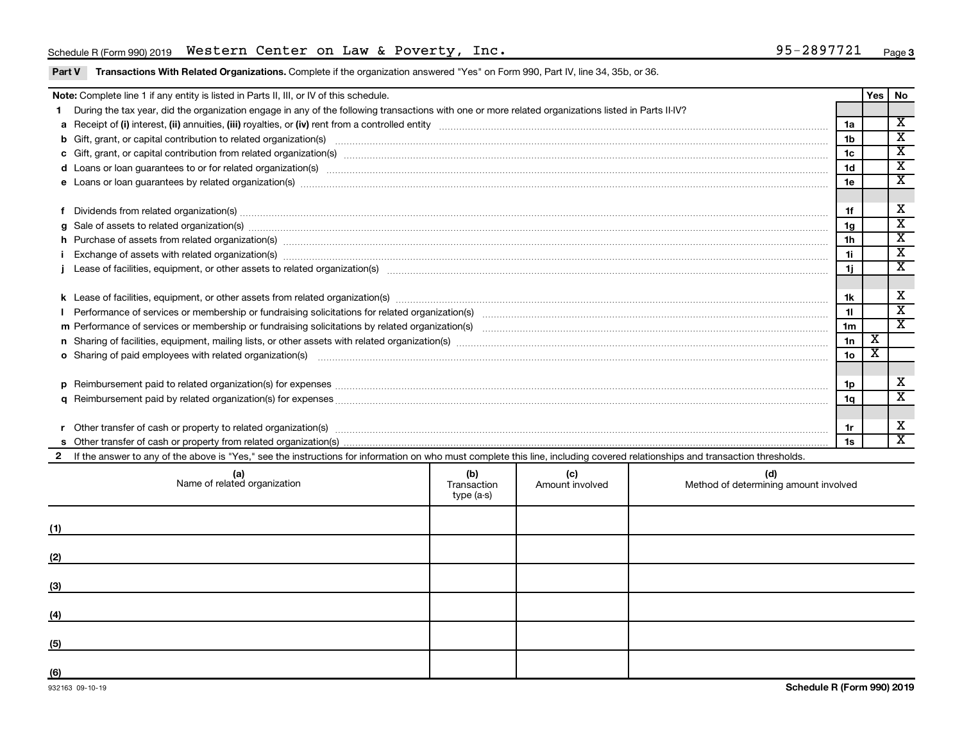## Schedule R (Form 990) 2019 Page Western Center on Law & Poverty, Inc. 95-2897721

Part V Transactions With Related Organizations. Complete if the organization answered "Yes" on Form 990, Part IV, line 34, 35b, or 36.

|     | Note: Complete line 1 if any entity is listed in Parts II, III, or IV of this schedule.                                                                                                                                        |  |  |  |                | <b>Yes</b> | No                                                 |  |  |
|-----|--------------------------------------------------------------------------------------------------------------------------------------------------------------------------------------------------------------------------------|--|--|--|----------------|------------|----------------------------------------------------|--|--|
|     | During the tax year, did the organization engage in any of the following transactions with one or more related organizations listed in Parts II-IV?                                                                            |  |  |  |                |            |                                                    |  |  |
|     |                                                                                                                                                                                                                                |  |  |  |                |            |                                                    |  |  |
|     |                                                                                                                                                                                                                                |  |  |  | 1 <sub>b</sub> |            | $\overline{\mathbf{x}}$                            |  |  |
|     |                                                                                                                                                                                                                                |  |  |  | 1c             |            | $\overline{\mathbf{x}}$                            |  |  |
|     | d Loans or loan guarantees to or for related organization(s) encourance contains and contains a container and container and container and container and container and container and container and container and container and  |  |  |  | 1 <sub>d</sub> |            | $\overline{\texttt{x}}$<br>$\overline{\mathtt{x}}$ |  |  |
|     |                                                                                                                                                                                                                                |  |  |  |                |            |                                                    |  |  |
|     |                                                                                                                                                                                                                                |  |  |  |                |            |                                                    |  |  |
| f   | Dividends from related organization(s) manufacture contraction contract to contract the contract of the contract or contract or contract or contract or contract or contract or contract or contract or contract or contract o |  |  |  | 1f             |            | X                                                  |  |  |
|     | g Sale of assets to related organization(s) www.assettion.com/www.assettion.com/www.assettion.com/www.assettion.com/www.assettion.com/www.assettion.com/www.assettion.com/www.assettion.com/www.assettion.com/www.assettion.co |  |  |  | 1g             |            | $\overline{\texttt{x}}$                            |  |  |
|     |                                                                                                                                                                                                                                |  |  |  | 1 <sub>h</sub> |            | $\overline{\texttt{x}}$                            |  |  |
|     |                                                                                                                                                                                                                                |  |  |  | 1i.            |            | $\overline{\textbf{x}}$<br>$\overline{\textbf{x}}$ |  |  |
|     |                                                                                                                                                                                                                                |  |  |  |                |            |                                                    |  |  |
|     |                                                                                                                                                                                                                                |  |  |  |                |            | X                                                  |  |  |
|     |                                                                                                                                                                                                                                |  |  |  |                |            |                                                    |  |  |
|     |                                                                                                                                                                                                                                |  |  |  |                |            |                                                    |  |  |
|     |                                                                                                                                                                                                                                |  |  |  |                |            |                                                    |  |  |
|     |                                                                                                                                                                                                                                |  |  |  |                |            |                                                    |  |  |
|     | o Sharing of paid employees with related organization(s) manufaction(s) and all contracts are seen as a set of the state organization(s) and all contracts are seen as a set of the state organization(s) and all contracts ar |  |  |  |                |            |                                                    |  |  |
|     |                                                                                                                                                                                                                                |  |  |  |                |            |                                                    |  |  |
|     |                                                                                                                                                                                                                                |  |  |  | 1p             |            | х                                                  |  |  |
|     |                                                                                                                                                                                                                                |  |  |  | 1a             |            | $\overline{\mathbf{x}}$                            |  |  |
|     |                                                                                                                                                                                                                                |  |  |  |                |            |                                                    |  |  |
|     |                                                                                                                                                                                                                                |  |  |  | 1r             |            | X                                                  |  |  |
|     |                                                                                                                                                                                                                                |  |  |  | 1s             |            | $\overline{\texttt{x}}$                            |  |  |
|     | If the answer to any of the above is "Yes," see the instructions for information on who must complete this line, including covered relationships and transaction thresholds.                                                   |  |  |  |                |            |                                                    |  |  |
|     | (b)<br>(c)<br>(d)<br>(a)<br>Name of related organization<br>Transaction<br>Amount involved<br>Method of determining amount involved<br>type (a-s)                                                                              |  |  |  |                |            |                                                    |  |  |
| (1) |                                                                                                                                                                                                                                |  |  |  |                |            |                                                    |  |  |
|     |                                                                                                                                                                                                                                |  |  |  |                |            |                                                    |  |  |

**(2)**

**(3)**

**(4)**

**(5)**

**(6)**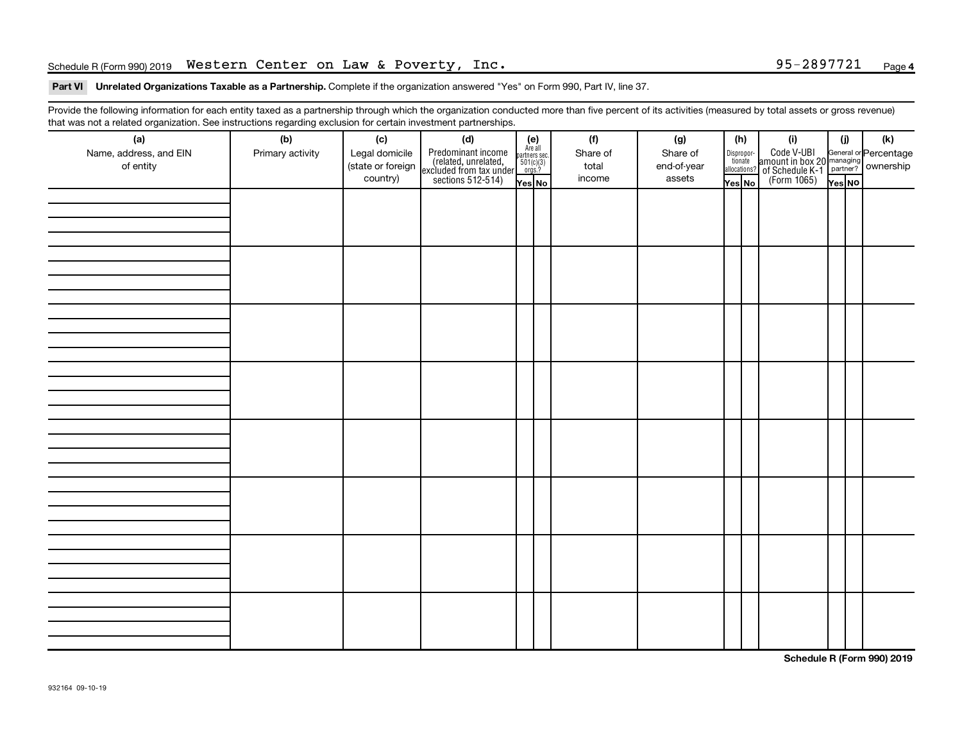## Schedule R (Form 990) 2019 Page Western Center on Law & Poverty, Inc. 95-2897721

## Part VI Unrelated Organizations Taxable as a Partnership. Complete if the organization answered "Yes" on Form 990, Part IV, line 37.

Provide the following information for each entity taxed as a partnership through which the organization conducted more than five percent of its activities (measured by total assets or gross revenue) that was not a related organization. See instructions regarding exclusion for certain investment partnerships.

| (b)<br>(c)<br>Name, address, and EIN<br>Legal domicile<br>Primary activity | (f)<br>(d)<br>$(e)$<br>Are all<br>partners sec.<br>$501(c)(3)$<br>orgs.?<br>Share of                                    | (g)<br>(h)<br>(i)<br>Share of<br>Dispropor-<br>tionate                                                                      | (i)<br>$(\mathsf{k})$                                             |
|----------------------------------------------------------------------------|-------------------------------------------------------------------------------------------------------------------------|-----------------------------------------------------------------------------------------------------------------------------|-------------------------------------------------------------------|
| (state or foreign<br>country)                                              | Predominant income<br>(related, unrelated,<br>excluded from tax under<br>sections 512-514)<br>total<br>income<br>Yes No | amount in box 20<br>amount in box 20<br>2 of Schedule K-1<br>(Form 1065)<br>end-of-year<br>allocations?<br>assets<br>Yes No | General or Percentage<br>managing<br>partner? Ownership<br>Yes NO |
|                                                                            |                                                                                                                         |                                                                                                                             |                                                                   |
|                                                                            |                                                                                                                         |                                                                                                                             |                                                                   |
|                                                                            |                                                                                                                         |                                                                                                                             |                                                                   |
|                                                                            |                                                                                                                         |                                                                                                                             |                                                                   |
|                                                                            |                                                                                                                         |                                                                                                                             |                                                                   |
|                                                                            |                                                                                                                         |                                                                                                                             |                                                                   |
|                                                                            |                                                                                                                         |                                                                                                                             |                                                                   |
|                                                                            |                                                                                                                         |                                                                                                                             |                                                                   |
|                                                                            |                                                                                                                         |                                                                                                                             |                                                                   |
|                                                                            |                                                                                                                         |                                                                                                                             |                                                                   |
|                                                                            |                                                                                                                         |                                                                                                                             |                                                                   |
|                                                                            |                                                                                                                         |                                                                                                                             |                                                                   |
|                                                                            |                                                                                                                         |                                                                                                                             |                                                                   |
|                                                                            |                                                                                                                         |                                                                                                                             |                                                                   |
|                                                                            |                                                                                                                         |                                                                                                                             |                                                                   |
|                                                                            |                                                                                                                         |                                                                                                                             |                                                                   |

**Schedule R (Form 990) 2019**